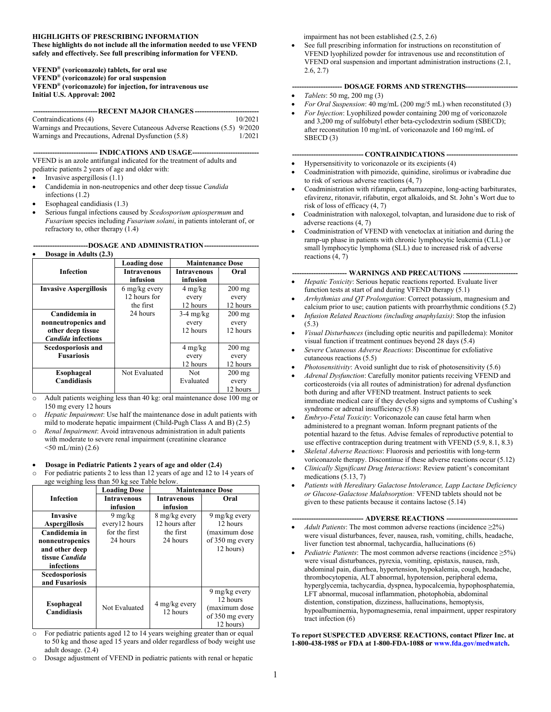#### **HIGHLIGHTS OF PRESCRIBING INFORMATION**

**These highlights do not include all the information needed to use VFEND safely and effectively. See full prescribing information for VFEND.**

**VFEND® (voriconazole) tablets, for oral use VFEND® (voriconazole) for oral suspension VFEND® (voriconazole) for injection, for intravenous use Initial U.S. Approval: 2002**

**---------------------------RECENT MAJOR CHANGES ---------------------------**

| Contraindications (4)                                                     | 10/2021 |
|---------------------------------------------------------------------------|---------|
| Warnings and Precautions, Severe Cutaneous Adverse Reactions (5.5) 9/2020 |         |
| Warnings and Precautions, Adrenal Dysfunction (5.8)                       | 1/2021  |

-- **INDICATIONS AND USAGE--**

VFEND is an azole antifungal indicated for the treatment of adults and pediatric patients 2 years of age and older with:

- Invasive aspergillosis (1.1)
- Candidemia in non-neutropenics and other deep tissue *Candida*  infections (1.2)
- Esophageal candidiasis (1.3)
- Serious fungal infections caused by *Scedosporium apiospermum* and *Fusarium* species including *Fusarium solani*, in patients intolerant of, or refractory to, other therapy (1.4)

**-----------------------DOSAGE AND ADMINISTRATION-----------------------**

| Dosage in Adults (2.3)        |                                |                                |          |
|-------------------------------|--------------------------------|--------------------------------|----------|
|                               | <b>Loading dose</b>            | <b>Maintenance Dose</b>        |          |
| <b>Infection</b>              | <b>Intravenous</b><br>infusion | <b>Intravenous</b><br>infusion | Oral     |
| <b>Invasive Aspergillosis</b> | 6 mg/kg every                  | $4 \text{ mg/kg}$              | 200 mg   |
|                               | 12 hours for                   | every                          | every    |
|                               | the first                      | 12 hours                       | 12 hours |
| Candidemia in                 | 24 hours                       | $3-4$ mg/kg                    | $200$ mg |
| nonneutropenics and           |                                | every                          | every    |
| other deep tissue             |                                | 12 hours                       | 12 hours |
| <b>Candida</b> infections     |                                |                                |          |
| Scedosporiosis and            |                                | $4 \text{ mg/kg}$              | $200$ mg |
| <b>Fusariosis</b>             |                                | every                          | every    |
|                               |                                | 12 hours                       | 12 hours |
| Esophageal                    | Not Evaluated                  | Not                            | $200$ mg |
| Candidiasis                   |                                | Evaluated                      | every    |
|                               |                                |                                | 12 hours |

- o Adult patients weighing less than 40 kg: oral maintenance dose 100 mg or 150 mg every 12 hours
- o *Hepatic Impairment*: Use half the maintenance dose in adult patients with mild to moderate hepatic impairment (Child-Pugh Class A and B) (2.5)
- o *Renal Impairment*: Avoid intravenous administration in adult patients with moderate to severe renal impairment (creatinine clearance  $<$ 50 mL/min) (2.6)

#### **Dosage in Pediatric Patients 2 years of age and older (2.4)**

o For pediatric patients 2 to less than 12 years of age and 12 to 14 years of age weighing less than 50 kg see Table below.

|                                                                                                                        | <b>Loading Dose</b>                |                                 | <b>Maintenance Dose</b>                                                    |
|------------------------------------------------------------------------------------------------------------------------|------------------------------------|---------------------------------|----------------------------------------------------------------------------|
| <b>Infection</b>                                                                                                       | <b>Intravenous</b><br>infusion     | <b>Intravenous</b><br>infusion  | Oral                                                                       |
| <b>Invasive</b><br><b>Aspergillosis</b>                                                                                | $9 \text{ mg/kg}$<br>every12 hours | 8 mg/kg every<br>12 hours after | 9 mg/kg every<br>12 hours                                                  |
| Candidemia in<br>nonneutropenics<br>and other deep<br>tissue Candida<br>infections<br>Scedosporiosis<br>and Fusariosis | for the first<br>24 hours          | the first<br>24 hours           | (maximum dose<br>of 350 mg every<br>12 hours)                              |
| Esophageal<br>Candidiasis                                                                                              | Not Evaluated                      | 4 mg/kg every<br>12 hours       | 9 mg/kg every<br>12 hours<br>(maximum dose<br>of 350 mg every<br>12 hours) |

- For pediatric patients aged 12 to 14 years weighing greater than or equal to 50 kg and those aged 15 years and older regardless of body weight use adult dosage. (2.4)
- o Dosage adjustment of VFEND in pediatric patients with renal or hepatic

impairment has not been established (2.5, 2.6)

 See full prescribing information for instructions on reconstitution of VFEND lyophilized powder for intravenous use and reconstitution of VFEND oral suspension and important administration instructions (2.1, 2.6, 2.7)

#### **--------------------- DOSAGE FORMS AND STRENGTHS----------------------**

- *Tablets*: 50 mg, 200 mg (3)
- *For Oral Suspension*: 40 mg/mL (200 mg/5 mL) when reconstituted (3)
- *For Injection*: Lyophilized powder containing 200 mg of voriconazole and 3,200 mg of sulfobutyl ether beta-cyclodextrin sodium (SBECD); after reconstitution 10 mg/mL of voriconazole and 160 mg/mL of SBECD (3)

#### $-$  **CONTRAINDICATIONS**  $-$

- Hypersensitivity to voriconazole or its excipients (4)
- Coadministration with pimozide, quinidine, sirolimus or ivabradine due to risk of serious adverse reactions (4, 7)
- Coadministration with rifampin, carbamazepine, long-acting barbiturates, efavirenz, ritonavir, rifabutin, ergot alkaloids, and St. John's Wort due to risk of loss of efficacy (4, 7)
- Coadministration with naloxegol, tolvaptan, and lurasidone due to risk of adverse reactions (4, 7)
- Coadministration of VFEND with venetoclax at initiation and during the ramp-up phase in patients with chronic lymphocytic leukemia (CLL) or small lymphocytic lymphoma (SLL) due to increased risk of adverse reactions (4, 7)

#### **----------------------- WARNINGS AND PRECAUTIONS -----------------------**

- *Hepatic Toxicity*: Serious hepatic reactions reported. Evaluate liver function tests at start of and during VFEND therapy (5.1)
- *Arrhythmias and QT Prolongation*: Correct potassium, magnesium and calcium prior to use; caution patients with proarrhythmic conditions (5.2)
- *Infusion Related Reactions (including anaphylaxis)*: Stop the infusion (5.3)
- *Visual Disturbances* (including optic neuritis and papilledema): Monitor visual function if treatment continues beyond 28 days (5.4)
- *Severe Cutaneous Adverse Reactions*: Discontinue for exfoliative cutaneous reactions (5.5)
- *Photosensitivity*: Avoid sunlight due to risk of photosensitivity (5.6)
- *Adrenal Dysfunction*: Carefully monitor patients receiving VFEND and corticosteroids (via all routes of administration) for adrenal dysfunction both during and after VFEND treatment. Instruct patients to seek immediate medical care if they develop signs and symptoms of Cushing's syndrome or adrenal insufficiency (5.8)
- *Embryo-Fetal Toxicity*: Voriconazole can cause fetal harm when administered to a pregnant woman. Inform pregnant patients of the potential hazard to the fetus. Advise females of reproductive potential to use effective contraception during treatment with VFEND (5.9, 8.1, 8.3)
- *Skeletal Adverse Reactions*: Fluorosis and periostitis with long-term voriconazole therapy. Discontinue if these adverse reactions occur (5.12)
- *Clinically Significant Drug Interactions*: Review patient's concomitant medications (5.13, 7)
- *Patients with Hereditary Galactose Intolerance, Lapp Lactase Deficiency or Glucose-Galactose Malabsorption:* VFEND tablets should not be given to these patients because it contains lactose (5.14)

#### **- ADVERSE REACTIONS --**

- *Adult Patients*: The most common adverse reactions (incidence ≥2%) were visual disturbances, fever, nausea, rash, vomiting, chills, headache, liver function test abnormal, tachycardia, hallucinations (6)
- *Pediatric Patients*: The most common adverse reactions (incidence ≥5%) were visual disturbances, pyrexia, vomiting, epistaxis, nausea, rash, abdominal pain, diarrhea, hypertension, hypokalemia, cough, headache, thrombocytopenia, ALT abnormal, hypotension, peripheral edema, hyperglycemia, tachycardia, dyspnea, hypocalcemia, hypophosphatemia, LFT abnormal, mucosal inflammation, photophobia, abdominal distention, constipation, dizziness, hallucinations, hemoptysis, hypoalbuminemia, hypomagnesemia, renal impairment, upper respiratory tract infection (6)

#### **To report SUSPECTED ADVERSE REACTIONS, contact Pfizer Inc. at 1-800-438-1985 or FDA at 1-800-FDA-1088 or [www.fda.gov/medwatch](http://www.fda.gov/medwatch).**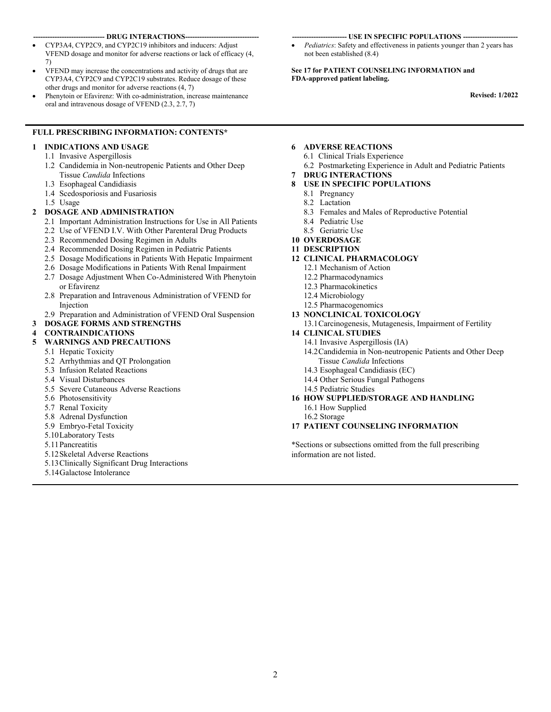#### -- DRUG INTERACTIONS--

- CYP3A4, CYP2C9, and CYP2C19 inhibitors and inducers: Adjust VFEND dosage and monitor for adverse reactions or lack of efficacy (4, 7)
- VFEND may increase the concentrations and activity of drugs that are CYP3A4, CYP2C9 and CYP2C19 substrates. Reduce dosage of these other drugs and monitor for adverse reactions (4, 7)
- Phenytoin or Efavirenz: With co-administration, increase maintenance oral and intravenous dosage of VFEND (2.3, 2.7, 7)

#### **FULL PRESCRIBING INFORMATION: CONTENTS\***

### **1 INDICATIONS AND USAGE**

- 1.1 Invasive Aspergillosis
- 1.2 Candidemia in Non-neutropenic Patients and Other Deep Tissue *Candida* Infections
- 1.3 Esophageal Candidiasis
- 1.4 Scedosporiosis and Fusariosis
- 1.5 Usage

#### **2 DOSAGE AND ADMINISTRATION**

- 2.1 Important Administration Instructions for Use in All Patients
- 2.2 Use of VFEND I.V. With Other Parenteral Drug Products
- 2.3 Recommended Dosing Regimen in Adults
- 2.4 Recommended Dosing Regimen in Pediatric Patients
- 2.5 Dosage Modifications in Patients With Hepatic Impairment
- 2.6 Dosage Modifications in Patients With Renal Impairment
- 2.7 Dosage Adjustment When Co-Administered With Phenytoin or Efavirenz
- 2.8 Preparation and Intravenous Administration of VFEND for Injection
- 2.9 Preparation and Administration of VFEND Oral Suspension
- **3 DOSAGE FORMS AND STRENGTHS**

# **4 CONTRAINDICATIONS**

#### **5 WARNINGS AND PRECAUTIONS**

- 5.1 Hepatic Toxicity
- 5.2 Arrhythmias and QT Prolongation
- 5.3 Infusion Related Reactions
- 5.4 Visual Disturbances
- 5.5 Severe Cutaneous Adverse Reactions
- 5.6 Photosensitivity
- 5.7 Renal Toxicity
- 5.8 Adrenal Dysfunction
- 5.9 Embryo-Fetal Toxicity
- 5.10Laboratory Tests
- 5.11Pancreatitis
- 5.12Skeletal Adverse Reactions
- 5.13Clinically Significant Drug Interactions
- 5.14Galactose Intolerance

#### **----------------------- USE IN SPECIFIC POPULATIONS -----------------------**

 *Pediatrics*: Safety and effectiveness in patients younger than 2 years has not been established (8.4)

**See 17 for PATIENT COUNSELING INFORMATION and FDA-approved patient labeling.**

**Revised: 1/2022**

#### **6 ADVERSE REACTIONS**

- 6.1 Clinical Trials Experience
- 6.2 Postmarketing Experience in Adult and Pediatric Patients
- **7 DRUG INTERACTIONS**

# **8 USE IN SPECIFIC POPULATIONS**

- 8.1 Pregnancy
- 8.2 Lactation
- 8.3 Females and Males of Reproductive Potential
- 8.4 Pediatric Use
- 8.5 Geriatric Use
- **10 OVERDOSAGE**
- **11 DESCRIPTION**
- **12 CLINICAL PHARMACOLOGY**
	- 12.1 Mechanism of Action
	- 12.2 Pharmacodynamics
	- 12.3 Pharmacokinetics
	- 12.4 Microbiology
	- 12.5 Pharmacogenomics
- **13 NONCLINICAL TOXICOLOGY**

#### 13.1Carcinogenesis, Mutagenesis, Impairment of Fertility

#### **14 CLINICAL STUDIES**

- 14.1 Invasive Aspergillosis (IA)
- 14.2Candidemia in Non-neutropenic Patients and Other Deep Tissue *Candida* Infections
- 14.3 Esophageal Candidiasis (EC)
- 14.4 Other Serious Fungal Pathogens
- 14.5 Pediatric Studies
- **16 HOW SUPPLIED/STORAGE AND HANDLING** 16.1 How Supplied
	- 16.2 Storage

### **17 PATIENT COUNSELING INFORMATION**

\*Sections or subsections omitted from the full prescribing information are not listed.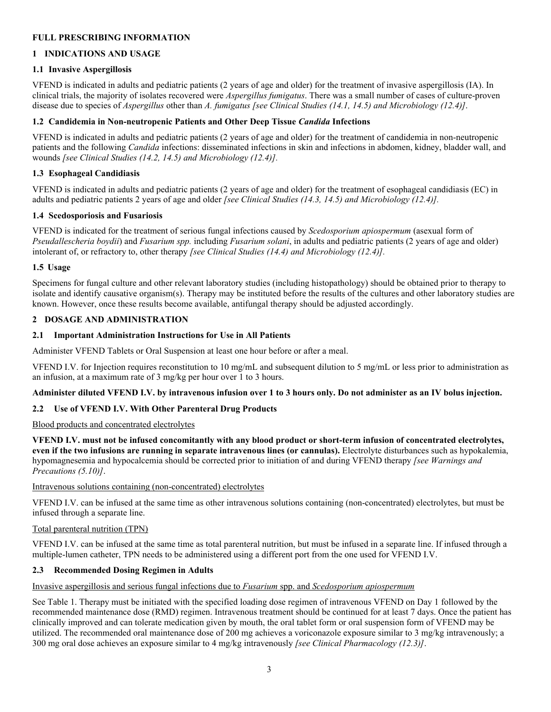# **FULL PRESCRIBING INFORMATION**

# **1 INDICATIONS AND USAGE**

# **1.1 Invasive Aspergillosis**

VFEND is indicated in adults and pediatric patients (2 years of age and older) for the treatment of invasive aspergillosis (IA). In clinical trials, the majority of isolates recovered were *Aspergillus fumigatus*. There was a small number of cases of culture-proven disease due to species of *Aspergillus* other than *A. fumigatus [see Clinical Studies (14.1, 14.5) and Microbiology (12.4)]*.

# **1.2 Candidemia in Non-neutropenic Patients and Other Deep Tissue** *Candida* **Infections**

VFEND is indicated in adults and pediatric patients (2 years of age and older) for the treatment of candidemia in non-neutropenic patients and the following *Candida* infections: disseminated infections in skin and infections in abdomen, kidney, bladder wall, and wounds *[see Clinical Studies (14.2, 14.5) and Microbiology (12.4)].*

# **1.3 Esophageal Candidiasis**

VFEND is indicated in adults and pediatric patients (2 years of age and older) for the treatment of esophageal candidiasis (EC) in adults and pediatric patients 2 years of age and older *[see Clinical Studies (14.3, 14.5) and Microbiology (12.4)].*

# **1.4 Scedosporiosis and Fusariosis**

VFEND is indicated for the treatment of serious fungal infections caused by *Scedosporium apiospermum* (asexual form of *Pseudallescheria boydii*) and *Fusarium spp.* including *Fusarium solani*, in adults and pediatric patients (2 years of age and older) intolerant of, or refractory to, other therapy *[see Clinical Studies (14.4) and Microbiology (12.4)].*

# **1.5 Usage**

Specimens for fungal culture and other relevant laboratory studies (including histopathology) should be obtained prior to therapy to isolate and identify causative organism(s). Therapy may be instituted before the results of the cultures and other laboratory studies are known. However, once these results become available, antifungal therapy should be adjusted accordingly.

# **2 DOSAGE AND ADMINISTRATION**

# **2.1 Important Administration Instructions for Use in All Patients**

Administer VFEND Tablets or Oral Suspension at least one hour before or after a meal.

VFEND I.V. for Injection requires reconstitution to 10 mg/mL and subsequent dilution to 5 mg/mL or less prior to administration as an infusion, at a maximum rate of 3 mg/kg per hour over 1 to 3 hours.

# **Administer diluted VFEND I.V. by intravenous infusion over 1 to 3 hours only. Do not administer as an IV bolus injection.**

# **2.2 Use of VFEND I.V. With Other Parenteral Drug Products**

# Blood products and concentrated electrolytes

**VFEND I.V. must not be infused concomitantly with any blood product or short-term infusion of concentrated electrolytes, even if the two infusions are running in separate intravenous lines (or cannulas).** Electrolyte disturbances such as hypokalemia, hypomagnesemia and hypocalcemia should be corrected prior to initiation of and during VFEND therapy *[see Warnings and Precautions (5.10)]*.

# Intravenous solutions containing (non-concentrated) electrolytes

VFEND I.V. can be infused at the same time as other intravenous solutions containing (non-concentrated) electrolytes, but must be infused through a separate line.

# Total parenteral nutrition (TPN)

VFEND I.V. can be infused at the same time as total parenteral nutrition, but must be infused in a separate line. If infused through a multiple-lumen catheter, TPN needs to be administered using a different port from the one used for VFEND I.V.

# **2.3 Recommended Dosing Regimen in Adults**

# Invasive aspergillosis and serious fungal infections due to *Fusarium* spp. and *Scedosporium apiospermum*

See Table 1. Therapy must be initiated with the specified loading dose regimen of intravenous VFEND on Day 1 followed by the recommended maintenance dose (RMD) regimen. Intravenous treatment should be continued for at least 7 days. Once the patient has clinically improved and can tolerate medication given by mouth, the oral tablet form or oral suspension form of VFEND may be utilized. The recommended oral maintenance dose of 200 mg achieves a voriconazole exposure similar to 3 mg/kg intravenously; a 300 mg oral dose achieves an exposure similar to 4 mg/kg intravenously *[see Clinical Pharmacology (12.3)]*.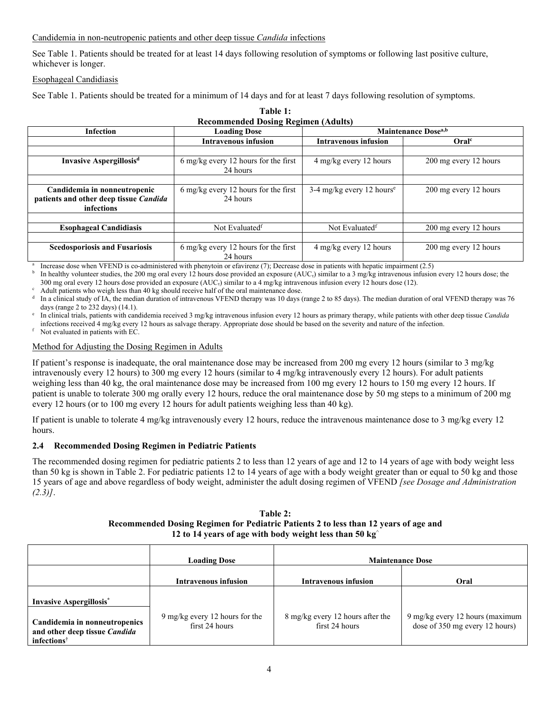# Candidemia in non-neutropenic patients and other deep tissue *Candida* infections

See Table 1. Patients should be treated for at least 14 days following resolution of symptoms or following last positive culture, whichever is longer.

# Esophageal Candidiasis

See Table 1. Patients should be treated for a minimum of 14 days and for at least 7 days following resolution of symptoms.

| <b>Recommended Dosing Regimen (Adults)</b>                                           |                                                            |                                        |                       |  |
|--------------------------------------------------------------------------------------|------------------------------------------------------------|----------------------------------------|-----------------------|--|
| <b>Infection</b>                                                                     | <b>Loading Dose</b>                                        | <b>Maintenance Dose</b> <sup>a,b</sup> |                       |  |
|                                                                                      | <b>Intravenous infusion</b>                                | <b>Intravenous infusion</b>            | Oralc                 |  |
|                                                                                      |                                                            |                                        |                       |  |
| <b>Invasive Aspergillosisd</b>                                                       | $6 \text{ mg/kg}$ every 12 hours for the first<br>24 hours | 4 mg/kg every 12 hours                 | 200 mg every 12 hours |  |
|                                                                                      |                                                            |                                        |                       |  |
| Candidemia in nonneutropenic<br>patients and other deep tissue Candida<br>infections | 6 mg/kg every 12 hours for the first<br>24 hours           | 3-4 mg/kg every 12 hours <sup>e</sup>  | 200 mg every 12 hours |  |
|                                                                                      |                                                            |                                        |                       |  |
| <b>Esophageal Candidiasis</b>                                                        | Not Evaluated <sup>f</sup>                                 | Not Evaluated <sup>f</sup>             | 200 mg every 12 hours |  |
|                                                                                      |                                                            |                                        |                       |  |
| <b>Scedosporiosis and Fusariosis</b>                                                 | 6 mg/kg every 12 hours for the first<br>24 hours           | 4 mg/kg every 12 hours                 | 200 mg every 12 hours |  |

**Table 1:**

a Increase dose when VFEND is co-administered with phenytoin or efavirenz (7); Decrease dose in patients with hepatic impairment (2.5)

b In healthy volunteer studies, the 200 mg oral every 12 hours dose provided an exposure (AUC<sub>t</sub>) similar to a 3 mg/kg intravenous infusion every 12 hours dose; the 300 mg oral every 12 hours dose provided an exposure  $(AUC<sub>t</sub>)$  similar to a 4 mg/kg intravenous infusion every 12 hours dose (12).

Adult patients who weigh less than 40 kg should receive half of the oral maintenance dose.

d In a clinical study of IA, the median duration of intravenous VFEND therapy was 10 days (range 2 to 85 days). The median duration of oral VFEND therapy was 76 days (range 2 to 232 days) (14.1).

e In clinical trials, patients with candidemia received 3 mg/kg intravenous infusion every 12 hours as primary therapy, while patients with other deep tissue *Candida* infections received 4 mg/kg every 12 hours as salvage therapy. Appropriate dose should be based on the severity and nature of the infection.

Not evaluated in patients with EC.

# Method for Adjusting the Dosing Regimen in Adults

If patient's response is inadequate, the oral maintenance dose may be increased from 200 mg every 12 hours (similar to 3 mg/kg intravenously every 12 hours) to 300 mg every 12 hours (similar to 4 mg/kg intravenously every 12 hours). For adult patients weighing less than 40 kg, the oral maintenance dose may be increased from 100 mg every 12 hours to 150 mg every 12 hours. If patient is unable to tolerate 300 mg orally every 12 hours, reduce the oral maintenance dose by 50 mg steps to a minimum of 200 mg every 12 hours (or to 100 mg every 12 hours for adult patients weighing less than 40 kg).

If patient is unable to tolerate 4 mg/kg intravenously every 12 hours, reduce the intravenous maintenance dose to 3 mg/kg every 12 hours.

# **2.4 Recommended Dosing Regimen in Pediatric Patients**

The recommended dosing regimen for pediatric patients 2 to less than 12 years of age and 12 to 14 years of age with body weight less than 50 kg is shown in Table 2. For pediatric patients 12 to 14 years of age with a body weight greater than or equal to 50 kg and those 15 years of age and above regardless of body weight, administer the adult dosing regimen of VFEND *[see Dosage and Administration (2.3)]*.

| Table 2:                                                                             |
|--------------------------------------------------------------------------------------|
| Recommended Dosing Regimen for Pediatric Patients 2 to less than 12 years of age and |
| 12 to 14 years of age with body weight less than 50 kg <sup><math>\sim</math></sup>  |

|                                                                                           | <b>Loading Dose</b>                              |                                                    | <b>Maintenance Dose</b>                                           |
|-------------------------------------------------------------------------------------------|--------------------------------------------------|----------------------------------------------------|-------------------------------------------------------------------|
|                                                                                           | Intravenous infusion                             | <b>Intravenous infusion</b>                        | Oral                                                              |
| <b>Invasive Aspergillosis</b> <sup>*</sup>                                                |                                                  |                                                    |                                                                   |
| Candidemia in nonneutropenics<br>and other deep tissue Candida<br>infections <sup>†</sup> | 9 mg/kg every 12 hours for the<br>first 24 hours | 8 mg/kg every 12 hours after the<br>first 24 hours | 9 mg/kg every 12 hours (maximum<br>dose of 350 mg every 12 hours) |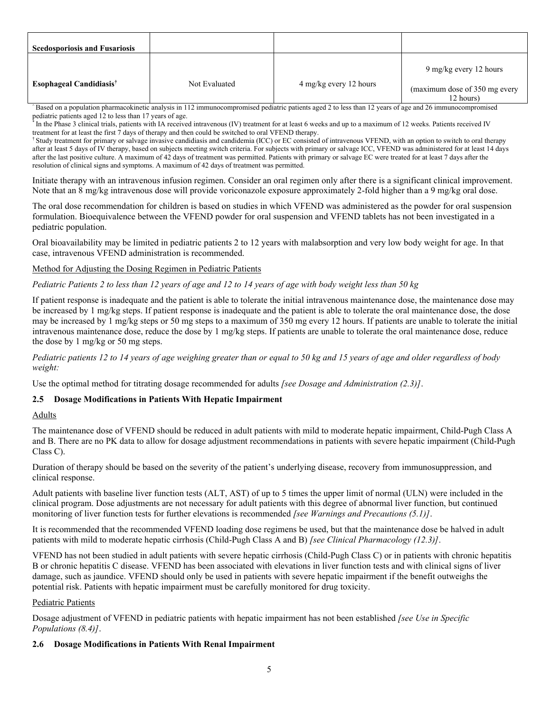| <b>Scedosporiosis and Fusariosis</b> |               |                        |                                                                      |
|--------------------------------------|---------------|------------------------|----------------------------------------------------------------------|
| Esophageal Candidiasis <sup>†</sup>  | Not Evaluated | 4 mg/kg every 12 hours | 9 mg/kg every 12 hours<br>(maximum dose of 350 mg every<br>12 hours) |

Based on a population pharmacokinetic analysis in 112 immunocompromised pediatric patients aged 2 to less than 12 years of age and 26 immunocompromised pediatric patients aged 12 to less than 17 years of age.

In the Phase 3 clinical trials, patients with IA received intravenous (IV) treatment for at least 6 weeks and up to a maximum of 12 weeks. Patients received IV treatment for at least the first 7 days of therapy and then could be switched to oral VFEND therapy.

† Study treatment for primary or salvage invasive candidiasis and candidemia (ICC) or EC consisted of intravenous VFEND, with an option to switch to oral therapy after at least 5 days of IV therapy, based on subjects meeting switch criteria. For subjects with primary or salvage ICC, VFEND was administered for at least 14 days after the last positive culture. A maximum of 42 days of treatment was permitted. Patients with primary or salvage EC were treated for at least 7 days after the resolution of clinical signs and symptoms. A maximum of 42 days of treatment was permitted.

Initiate therapy with an intravenous infusion regimen. Consider an oral regimen only after there is a significant clinical improvement. Note that an 8 mg/kg intravenous dose will provide voriconazole exposure approximately 2-fold higher than a 9 mg/kg oral dose.

The oral dose recommendation for children is based on studies in which VFEND was administered as the powder for oral suspension formulation. Bioequivalence between the VFEND powder for oral suspension and VFEND tablets has not been investigated in a pediatric population.

Oral bioavailability may be limited in pediatric patients 2 to 12 years with malabsorption and very low body weight for age. In that case, intravenous VFEND administration is recommended.

Method for Adjusting the Dosing Regimen in Pediatric Patients

# *Pediatric Patients 2 to less than 12 years of age and 12 to 14 years of age with body weight less than 50 kg*

If patient response is inadequate and the patient is able to tolerate the initial intravenous maintenance dose, the maintenance dose may be increased by 1 mg/kg steps. If patient response is inadequate and the patient is able to tolerate the oral maintenance dose, the dose may be increased by 1 mg/kg steps or 50 mg steps to a maximum of 350 mg every 12 hours. If patients are unable to tolerate the initial intravenous maintenance dose, reduce the dose by 1 mg/kg steps. If patients are unable to tolerate the oral maintenance dose, reduce the dose by 1 mg/kg or 50 mg steps.

*Pediatric patients 12 to 14 years of age weighing greater than or equal to 50 kg and 15 years of age and older regardless of body weight:*

Use the optimal method for titrating dosage recommended for adults *[see Dosage and Administration (2.3)]*.

# **2.5 Dosage Modifications in Patients With Hepatic Impairment**

# Adults

The maintenance dose of VFEND should be reduced in adult patients with mild to moderate hepatic impairment, Child-Pugh Class A and B. There are no PK data to allow for dosage adjustment recommendations in patients with severe hepatic impairment (Child-Pugh Class C).

Duration of therapy should be based on the severity of the patient's underlying disease, recovery from immunosuppression, and clinical response.

Adult patients with baseline liver function tests (ALT, AST) of up to 5 times the upper limit of normal (ULN) were included in the clinical program. Dose adjustments are not necessary for adult patients with this degree of abnormal liver function, but continued monitoring of liver function tests for further elevations is recommended *[see Warnings and Precautions (5.1)]*.

It is recommended that the recommended VFEND loading dose regimens be used, but that the maintenance dose be halved in adult patients with mild to moderate hepatic cirrhosis (Child-Pugh Class A and B) *[see Clinical Pharmacology (12.3)]*.

VFEND has not been studied in adult patients with severe hepatic cirrhosis (Child-Pugh Class C) or in patients with chronic hepatitis B or chronic hepatitis C disease. VFEND has been associated with elevations in liver function tests and with clinical signs of liver damage, such as jaundice. VFEND should only be used in patients with severe hepatic impairment if the benefit outweighs the potential risk. Patients with hepatic impairment must be carefully monitored for drug toxicity.

# Pediatric Patients

Dosage adjustment of VFEND in pediatric patients with hepatic impairment has not been established *[see Use in Specific Populations (8.4)]*.

# **2.6 Dosage Modifications in Patients With Renal Impairment**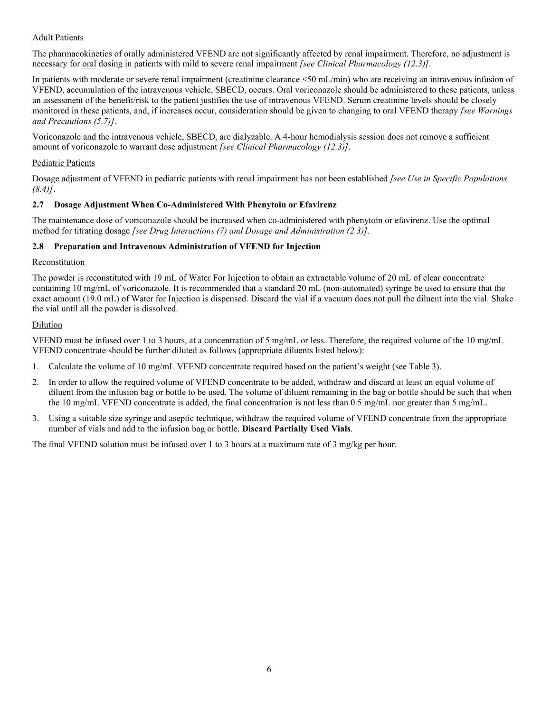# Adult Patients

The pharmacokinetics of orally administered VFEND are not significantly affected by renal impairment. Therefore, no adjustment is necessary for oral dosing in patients with mild to severe renal impairment *[see Clinical Pharmacology (12.3)]*.

In patients with moderate or severe renal impairment (creatinine clearance <50 mL/min) who are receiving an intravenous infusion of VFEND, accumulation of the intravenous vehicle, SBECD, occurs. Oral voriconazole should be administered to these patients, unless an assessment of the benefit/risk to the patient justifies the use of intravenous VFEND. Serum creatinine levels should be closely monitored in these patients, and, if increases occur, consideration should be given to changing to oral VFEND therapy *[see Warnings and Precautions (5.7)]*.

Voriconazole and the intravenous vehicle, SBECD, are dialyzable. A 4-hour hemodialysis session does not remove a sufficient amount of voriconazole to warrant dose adjustment *[see Clinical Pharmacology (12.3)]*.

# Pediatric Patients

Dosage adjustment of VFEND in pediatric patients with renal impairment has not been established *[see Use in Specific Populations (8.4)]*.

# **2.7 Dosage Adjustment When Co-Administered With Phenytoin or Efavirenz**

The maintenance dose of voriconazole should be increased when co-administered with phenytoin or efavirenz. Use the optimal method for titrating dosage *[see Drug Interactions (7) and Dosage and Administration (2.3)]*.

# **2.8 Preparation and Intravenous Administration of VFEND for Injection**

# **Reconstitution**

The powder is reconstituted with 19 mL of Water For Injection to obtain an extractable volume of 20 mL of clear concentrate containing 10 mg/mL of voriconazole. It is recommended that a standard 20 mL (non-automated) syringe be used to ensure that the exact amount (19.0 mL) of Water for Injection is dispensed. Discard the vial if a vacuum does not pull the diluent into the vial. Shake the vial until all the powder is dissolved.

# Dilution

VFEND must be infused over 1 to 3 hours, at a concentration of 5 mg/mL or less. Therefore, the required volume of the 10 mg/mL VFEND concentrate should be further diluted as follows (appropriate diluents listed below):

- 1. Calculate the volume of 10 mg/mL VFEND concentrate required based on the patient's weight (see Table 3).
- In order to allow the required volume of VFEND concentrate to be added, withdraw and discard at least an equal volume of diluent from the infusion bag or bottle to be used. The volume of diluent remaining in the bag or bottle should be such that when the 10 mg/mL VFEND concentrate is added, the final concentration is not less than 0.5 mg/mL nor greater than 5 mg/mL.
- 3. Using a suitable size syringe and aseptic technique, withdraw the required volume of VFEND concentrate from the appropriate number of vials and add to the infusion bag or bottle. **Discard Partially Used Vials**.

The final VFEND solution must be infused over 1 to 3 hours at a maximum rate of 3 mg/kg per hour.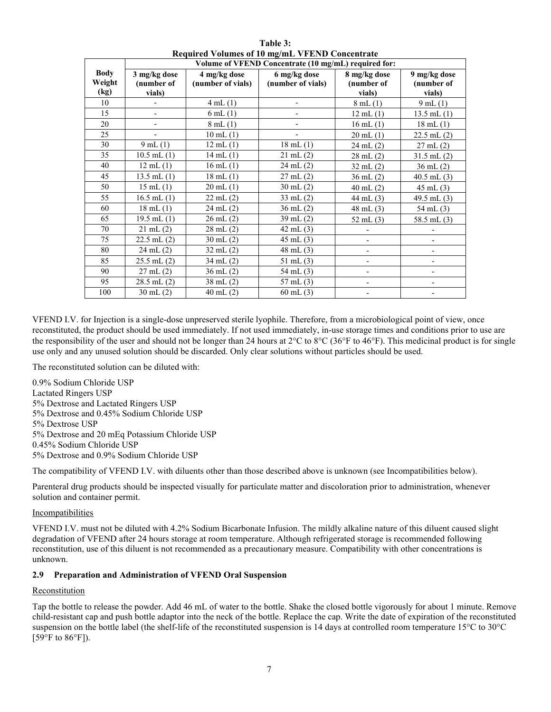|                               | Volume of VFEND Concentrate (10 mg/mL) required for: |                                   |                                   |                                      |                                      |
|-------------------------------|------------------------------------------------------|-----------------------------------|-----------------------------------|--------------------------------------|--------------------------------------|
| <b>Body</b><br>Weight<br>(kg) | 3 mg/kg dose<br>(number of<br>vials)                 | 4 mg/kg dose<br>(number of vials) | 6 mg/kg dose<br>(number of vials) | 8 mg/kg dose<br>(number of<br>vials) | 9 mg/kg dose<br>(number of<br>vials) |
| 10                            |                                                      | 4 mL(1)                           |                                   | 8mL(1)                               | $9 \text{ mL} (1)$                   |
| 15                            | $\overline{\phantom{0}}$                             | $6$ mL $(1)$                      |                                   | $12 \text{ mL} (1)$                  | $13.5$ mL $(1)$                      |
| 20                            |                                                      | $8 \text{ mL} (1)$                |                                   | $16$ mL $(1)$                        | $18 \text{ mL} (1)$                  |
| 25                            |                                                      | $10$ mL $(1)$                     |                                   | $20$ mL $(1)$                        | $22.5$ mL $(2)$                      |
| 30                            | $9$ mL $(1)$                                         | $12$ mL $(1)$                     | $18 \text{ mL} (1)$               | $24 \text{ mL} (2)$                  | $27 \text{ mL} (2)$                  |
| 35                            | $10.5$ mL $(1)$                                      | $14$ mL $(1)$                     | $21$ mL $(2)$                     | $28$ mL $(2)$                        | $31.5$ mL $(2)$                      |
| 40                            | $12$ mL $(1)$                                        | $16$ mL $(1)$                     | $24$ mL $(2)$                     | $32$ mL $(2)$                        | $36$ mL $(2)$                        |
| 45                            | 13.5 mL $(1)$                                        | $18$ mL $(1)$                     | $27$ mL $(2)$                     | $36$ mL $(2)$                        | $40.5$ mL $(3)$                      |
| 50                            | $15$ mL $(1)$                                        | $20$ mL $(1)$                     | $30$ mL $(2)$                     | $40$ mL $(2)$                        | $45$ mL $(3)$                        |
| 55                            | $16.5$ mL $(1)$                                      | $22 \text{ mL} (2)$               | $33$ mL $(2)$                     | 44 mL $(3)$                          | 49.5 mL $(3)$                        |
| 60                            | $18$ mL $(1)$                                        | $24$ mL $(2)$                     | $36$ mL $(2)$                     | $48$ mL $(3)$                        | $54$ mL $(3)$                        |
| 65                            | $19.5$ mL $(1)$                                      | $26$ mL $(2)$                     | $39$ mL $(2)$                     | 52 mL $(3)$                          | 58.5 mL $(3)$                        |
| 70                            | $21$ mL $(2)$                                        | $28$ mL $(2)$                     | $42$ mL $(3)$                     |                                      |                                      |
| 75                            | $22.5$ mL $(2)$                                      | $30 \text{ mL} (2)$               | $45$ mL $(3)$                     |                                      |                                      |
| 80                            | $24$ mL $(2)$                                        | $32$ mL $(2)$                     | $48$ mL $(3)$                     |                                      |                                      |
| 85                            | $25.5$ mL $(2)$                                      | $34$ mL $(2)$                     | $51$ mL $(3)$                     |                                      |                                      |
| 90                            | $27$ mL $(2)$                                        | $36$ mL $(2)$                     | $54$ mL $(3)$                     | $\overline{\phantom{a}}$             |                                      |
| 95                            | $28.5$ mL $(2)$                                      | $38$ mL $(2)$                     | $57$ mL $(3)$                     |                                      |                                      |
| 100                           | $30$ mL $(2)$                                        | $40$ mL $(2)$                     | $60$ mL $(3)$                     |                                      |                                      |

**Table 3: Required Volumes of 10 mg/mL VFEND Concentrate**

VFEND I.V. for Injection is a single-dose unpreserved sterile lyophile. Therefore, from a microbiological point of view, once reconstituted, the product should be used immediately. If not used immediately, in-use storage times and conditions prior to use are the responsibility of the user and should not be longer than 24 hours at  $2^{\circ}C$  to  $8^{\circ}C$  (36°F to 46°F). This medicinal product is for single use only and any unused solution should be discarded. Only clear solutions without particles should be used.

The reconstituted solution can be diluted with:

0.9% Sodium Chloride USP Lactated Ringers USP 5% Dextrose and Lactated Ringers USP 5% Dextrose and 0.45% Sodium Chloride USP

5% Dextrose USP

5% Dextrose and 20 mEq Potassium Chloride USP

0.45% Sodium Chloride USP

5% Dextrose and 0.9% Sodium Chloride USP

The compatibility of VFEND I.V. with diluents other than those described above is unknown (see Incompatibilities below).

Parenteral drug products should be inspected visually for particulate matter and discoloration prior to administration, whenever solution and container permit.

#### **Incompatibilities**

VFEND I.V. must not be diluted with 4.2% Sodium Bicarbonate Infusion. The mildly alkaline nature of this diluent caused slight degradation of VFEND after 24 hours storage at room temperature. Although refrigerated storage is recommended following reconstitution, use of this diluent is not recommended as a precautionary measure. Compatibility with other concentrations is unknown.

# **2.9 Preparation and Administration of VFEND Oral Suspension**

# Reconstitution

Tap the bottle to release the powder. Add 46 mL of water to the bottle. Shake the closed bottle vigorously for about 1 minute. Remove child-resistant cap and push bottle adaptor into the neck of the bottle. Replace the cap. Write the date of expiration of the reconstituted suspension on the bottle label (the shelf-life of the reconstituted suspension is 14 days at controlled room temperature 15°C to 30°C [59 $\mathrm{^{\circ}F}$  to 86 $\mathrm{^{\circ}F}$ ]).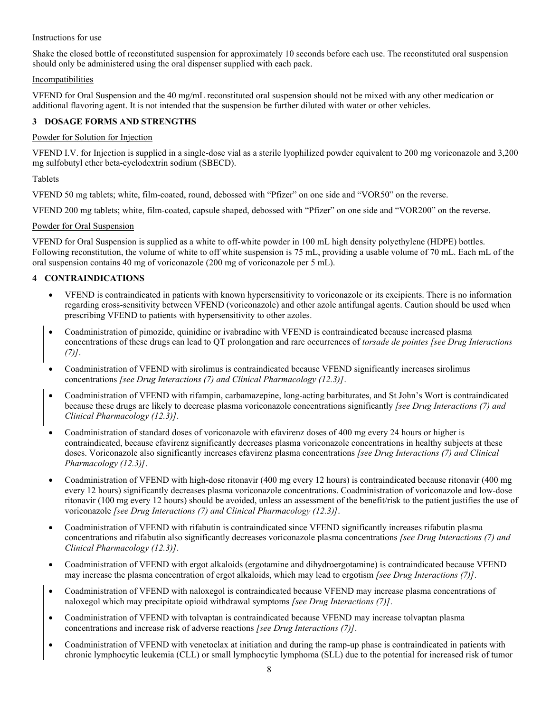# Instructions for use

Shake the closed bottle of reconstituted suspension for approximately 10 seconds before each use. The reconstituted oral suspension should only be administered using the oral dispenser supplied with each pack.

# **Incompatibilities**

VFEND for Oral Suspension and the 40 mg/mL reconstituted oral suspension should not be mixed with any other medication or additional flavoring agent. It is not intended that the suspension be further diluted with water or other vehicles.

# **3 DOSAGE FORMS AND STRENGTHS**

# Powder for Solution for Injection

VFEND I.V. for Injection is supplied in a single-dose vial as a sterile lyophilized powder equivalent to 200 mg voriconazole and 3,200 mg sulfobutyl ether beta-cyclodextrin sodium (SBECD).

# Tablets

VFEND 50 mg tablets; white, film-coated, round, debossed with "Pfizer" on one side and "VOR50" on the reverse.

VFEND 200 mg tablets; white, film-coated, capsule shaped, debossed with "Pfizer" on one side and "VOR200" on the reverse.

# Powder for Oral Suspension

VFEND for Oral Suspension is supplied as a white to off-white powder in 100 mL high density polyethylene (HDPE) bottles. Following reconstitution, the volume of white to off white suspension is 75 mL, providing a usable volume of 70 mL. Each mL of the oral suspension contains 40 mg of voriconazole (200 mg of voriconazole per 5 mL).

# **4 CONTRAINDICATIONS**

- VFEND is contraindicated in patients with known hypersensitivity to voriconazole or its excipients. There is no information regarding cross-sensitivity between VFEND (voriconazole) and other azole antifungal agents. Caution should be used when prescribing VFEND to patients with hypersensitivity to other azoles.
- Coadministration of pimozide, quinidine or ivabradine with VFEND is contraindicated because increased plasma concentrations of these drugs can lead to QT prolongation and rare occurrences of *torsade de pointes [see Drug Interactions (7)]*.
- Coadministration of VFEND with sirolimus is contraindicated because VFEND significantly increases sirolimus concentrations *[see Drug Interactions (7) and Clinical Pharmacology (12.3)]*.
- Coadministration of VFEND with rifampin, carbamazepine, long-acting barbiturates, and St John's Wort is contraindicated because these drugs are likely to decrease plasma voriconazole concentrations significantly *[see Drug Interactions (7) and Clinical Pharmacology (12.3)]*.
- Coadministration of standard doses of voriconazole with efavirenz doses of 400 mg every 24 hours or higher is contraindicated, because efavirenz significantly decreases plasma voriconazole concentrations in healthy subjects at these doses. Voriconazole also significantly increases efavirenz plasma concentrations *[see Drug Interactions (7) and Clinical Pharmacology (12.3)]*.
- Coadministration of VFEND with high-dose ritonavir (400 mg every 12 hours) is contraindicated because ritonavir (400 mg every 12 hours) significantly decreases plasma voriconazole concentrations. Coadministration of voriconazole and low-dose ritonavir (100 mg every 12 hours) should be avoided, unless an assessment of the benefit/risk to the patient justifies the use of voriconazole *[see Drug Interactions (7) and Clinical Pharmacology (12.3)]*.
- Coadministration of VFEND with rifabutin is contraindicated since VFEND significantly increases rifabutin plasma concentrations and rifabutin also significantly decreases voriconazole plasma concentrations *[see Drug Interactions (7) and Clinical Pharmacology (12.3)]*.
- Coadministration of VFEND with ergot alkaloids (ergotamine and dihydroergotamine) is contraindicated because VFEND may increase the plasma concentration of ergot alkaloids, which may lead to ergotism *[see Drug Interactions (7)]*.
- Coadministration of VFEND with naloxegol is contraindicated because VFEND may increase plasma concentrations of naloxegol which may precipitate opioid withdrawal symptoms *[see Drug Interactions (7)]*.
- Coadministration of VFEND with tolvaptan is contraindicated because VFEND may increase tolvaptan plasma concentrations and increase risk of adverse reactions *[see Drug Interactions (7)]*.
- Coadministration of VFEND with venetoclax at initiation and during the ramp-up phase is contraindicated in patients with chronic lymphocytic leukemia (CLL) or small lymphocytic lymphoma (SLL) due to the potential for increased risk of tumor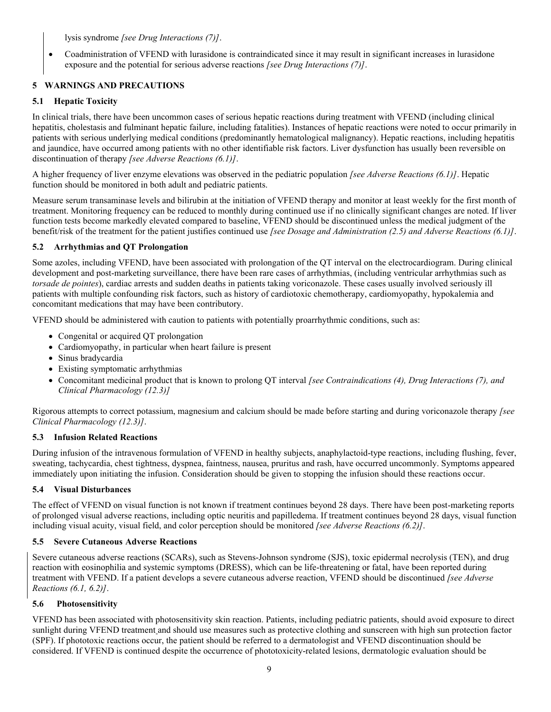lysis syndrome *[see Drug Interactions (7)]*.

 Coadministration of VFEND with lurasidone is contraindicated since it may result in significant increases in lurasidone exposure and the potential for serious adverse reactions *[see Drug Interactions (7)]*.

# **5 WARNINGS AND PRECAUTIONS**

# **5.1 Hepatic Toxicity**

In clinical trials, there have been uncommon cases of serious hepatic reactions during treatment with VFEND (including clinical hepatitis, cholestasis and fulminant hepatic failure, including fatalities). Instances of hepatic reactions were noted to occur primarily in patients with serious underlying medical conditions (predominantly hematological malignancy). Hepatic reactions, including hepatitis and jaundice, have occurred among patients with no other identifiable risk factors. Liver dysfunction has usually been reversible on discontinuation of therapy *[see Adverse Reactions (6.1)]*.

A higher frequency of liver enzyme elevations was observed in the pediatric population *[see Adverse Reactions (6.1)]*. Hepatic function should be monitored in both adult and pediatric patients.

Measure serum transaminase levels and bilirubin at the initiation of VFEND therapy and monitor at least weekly for the first month of treatment. Monitoring frequency can be reduced to monthly during continued use if no clinically significant changes are noted. If liver function tests become markedly elevated compared to baseline, VFEND should be discontinued unless the medical judgment of the benefit/risk of the treatment for the patient justifies continued use *[see Dosage and Administration (2.5) and Adverse Reactions (6.1)]*.

# **5.2 Arrhythmias and QT Prolongation**

Some azoles, including VFEND, have been associated with prolongation of the QT interval on the electrocardiogram. During clinical development and post-marketing surveillance, there have been rare cases of arrhythmias, (including ventricular arrhythmias such as *torsade de pointes*), cardiac arrests and sudden deaths in patients taking voriconazole. These cases usually involved seriously ill patients with multiple confounding risk factors, such as history of cardiotoxic chemotherapy, cardiomyopathy, hypokalemia and concomitant medications that may have been contributory.

VFEND should be administered with caution to patients with potentially proarrhythmic conditions, such as:

- Congenital or acquired QT prolongation
- Cardiomyopathy, in particular when heart failure is present
- Sinus bradycardia
- Existing symptomatic arrhythmias
- Concomitant medicinal product that is known to prolong QT interval *[see Contraindications (4), Drug Interactions (7), and Clinical Pharmacology (12.3)]*

Rigorous attempts to correct potassium, magnesium and calcium should be made before starting and during voriconazole therapy *[see Clinical Pharmacology (12.3)]*.

# **5.3 Infusion Related Reactions**

During infusion of the intravenous formulation of VFEND in healthy subjects, anaphylactoid-type reactions, including flushing, fever, sweating, tachycardia, chest tightness, dyspnea, faintness, nausea, pruritus and rash, have occurred uncommonly. Symptoms appeared immediately upon initiating the infusion. Consideration should be given to stopping the infusion should these reactions occur.

# **5.4 Visual Disturbances**

The effect of VFEND on visual function is not known if treatment continues beyond 28 days. There have been post-marketing reports of prolonged visual adverse reactions, including optic neuritis and papilledema. If treatment continues beyond 28 days, visual function including visual acuity, visual field, and color perception should be monitored *[see Adverse Reactions (6.2)]*.

# **5.5 Severe Cutaneous Adverse Reactions**

Severe cutaneous adverse reactions (SCARs), such as Stevens-Johnson syndrome (SJS), toxic epidermal necrolysis (TEN), and drug reaction with eosinophilia and systemic symptoms (DRESS), which can be life-threatening or fatal, have been reported during treatment with VFEND. If a patient develops a severe cutaneous adverse reaction, VFEND should be discontinued *[see Adverse Reactions (6.1, 6.2)]*.

# **5.6 Photosensitivity**

VFEND has been associated with photosensitivity skin reaction. Patients, including pediatric patients, should avoid exposure to direct sunlight during VFEND treatment and should use measures such as protective clothing and sunscreen with high sun protection factor (SPF). If phototoxic reactions occur, the patient should be referred to a dermatologist and VFEND discontinuation should be considered. If VFEND is continued despite the occurrence of phototoxicity-related lesions, dermatologic evaluation should be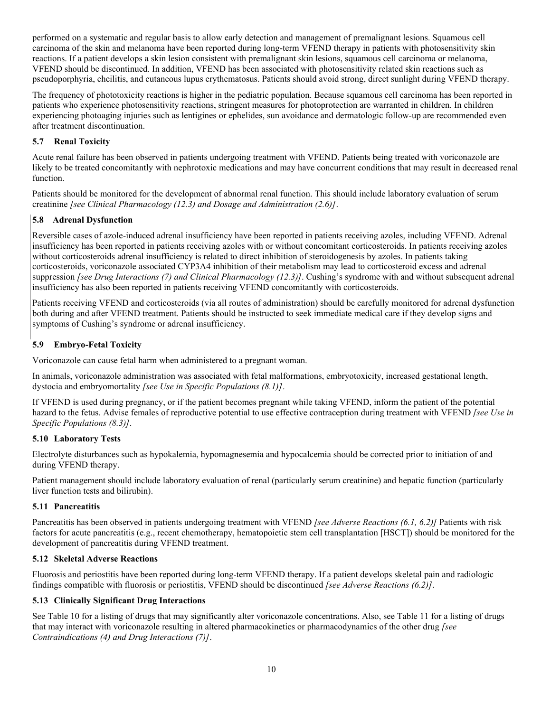performed on a systematic and regular basis to allow early detection and management of premalignant lesions. Squamous cell carcinoma of the skin and melanoma have been reported during long-term VFEND therapy in patients with photosensitivity skin reactions. If a patient develops a skin lesion consistent with premalignant skin lesions, squamous cell carcinoma or melanoma, VFEND should be discontinued. In addition, VFEND has been associated with photosensitivity related skin reactions such as pseudoporphyria, cheilitis, and cutaneous lupus erythematosus. Patients should avoid strong, direct sunlight during VFEND therapy.

The frequency of phototoxicity reactions is higher in the pediatric population. Because squamous cell carcinoma has been reported in patients who experience photosensitivity reactions, stringent measures for photoprotection are warranted in children. In children experiencing photoaging injuries such as lentigines or ephelides, sun avoidance and dermatologic follow-up are recommended even after treatment discontinuation.

# **5.7 Renal Toxicity**

Acute renal failure has been observed in patients undergoing treatment with VFEND. Patients being treated with voriconazole are likely to be treated concomitantly with nephrotoxic medications and may have concurrent conditions that may result in decreased renal function.

Patients should be monitored for the development of abnormal renal function. This should include laboratory evaluation of serum creatinine *[see Clinical Pharmacology (12.3) and Dosage and Administration (2.6)]*.

# **5.8 Adrenal Dysfunction**

Reversible cases of azole-induced adrenal insufficiency have been reported in patients receiving azoles, including VFEND. Adrenal insufficiency has been reported in patients receiving azoles with or without concomitant corticosteroids. In patients receiving azoles without corticosteroids adrenal insufficiency is related to direct inhibition of steroidogenesis by azoles. In patients taking corticosteroids, voriconazole associated CYP3A4 inhibition of their metabolism may lead to corticosteroid excess and adrenal suppression *[see Drug Interactions (7) and Clinical Pharmacology (12.3)]*. Cushing's syndrome with and without subsequent adrenal insufficiency has also been reported in patients receiving VFEND concomitantly with corticosteroids.

Patients receiving VFEND and corticosteroids (via all routes of administration) should be carefully monitored for adrenal dysfunction both during and after VFEND treatment. Patients should be instructed to seek immediate medical care if they develop signs and symptoms of Cushing's syndrome or adrenal insufficiency.

# **5.9 Embryo-Fetal Toxicity**

Voriconazole can cause fetal harm when administered to a pregnant woman.

In animals, voriconazole administration was associated with fetal malformations, embryotoxicity, increased gestational length, dystocia and embryomortality *[see Use in Specific Populations (8.1)]*.

If VFEND is used during pregnancy, or if the patient becomes pregnant while taking VFEND, inform the patient of the potential hazard to the fetus. Advise females of reproductive potential to use effective contraception during treatment with VFEND *[see Use in Specific Populations (8.3)]*.

# **5.10 Laboratory Tests**

Electrolyte disturbances such as hypokalemia, hypomagnesemia and hypocalcemia should be corrected prior to initiation of and during VFEND therapy.

Patient management should include laboratory evaluation of renal (particularly serum creatinine) and hepatic function (particularly liver function tests and bilirubin).

# **5.11 Pancreatitis**

Pancreatitis has been observed in patients undergoing treatment with VFEND *[see Adverse Reactions (6.1, 6.2)]* Patients with risk factors for acute pancreatitis (e.g., recent chemotherapy, hematopoietic stem cell transplantation [HSCT]) should be monitored for the development of pancreatitis during VFEND treatment.

# **5.12 Skeletal Adverse Reactions**

Fluorosis and periostitis have been reported during long-term VFEND therapy. If a patient develops skeletal pain and radiologic findings compatible with fluorosis or periostitis, VFEND should be discontinued *[see Adverse Reactions (6.2)]*.

# **5.13 Clinically Significant Drug Interactions**

See Table 10 for a listing of drugs that may significantly alter voriconazole concentrations. Also, see Table 11 for a listing of drugs that may interact with voriconazole resulting in altered pharmacokinetics or pharmacodynamics of the other drug *[see Contraindications (4) and Drug Interactions (7)]*.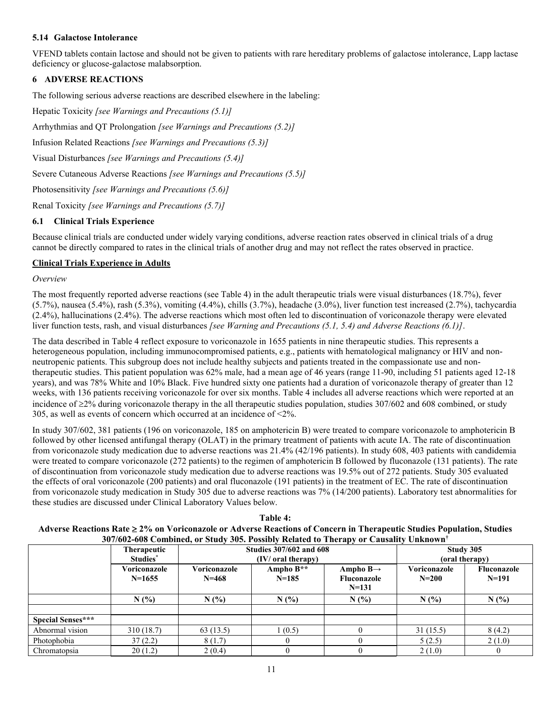# **5.14 Galactose Intolerance**

VFEND tablets contain lactose and should not be given to patients with rare hereditary problems of galactose intolerance, Lapp lactase deficiency or glucose-galactose malabsorption.

# **6 ADVERSE REACTIONS**

The following serious adverse reactions are described elsewhere in the labeling:

Hepatic Toxicity *[see Warnings and Precautions (5.1)]* Arrhythmias and QT Prolongation *[see Warnings and Precautions (5.2)]* Infusion Related Reactions *[see Warnings and Precautions (5.3)]* Visual Disturbances *[see Warnings and Precautions (5.4)]* Severe Cutaneous Adverse Reactions *[see Warnings and Precautions (5.5)]* Photosensitivity *[see Warnings and Precautions (5.6)]* Renal Toxicity *[see Warnings and Precautions (5.7)]*

# **6.1 Clinical Trials Experience**

Because clinical trials are conducted under widely varying conditions, adverse reaction rates observed in clinical trials of a drug cannot be directly compared to rates in the clinical trials of another drug and may not reflect the rates observed in practice.

# **Clinical Trials Experience in Adults**

# *Overview*

The most frequently reported adverse reactions (see Table 4) in the adult therapeutic trials were visual disturbances (18.7%), fever (5.7%), nausea (5.4%), rash (5.3%), vomiting (4.4%), chills (3.7%), headache (3.0%), liver function test increased (2.7%), tachycardia (2.4%), hallucinations (2.4%). The adverse reactions which most often led to discontinuation of voriconazole therapy were elevated liver function tests, rash, and visual disturbances *[see Warning and Precautions (5.1, 5.4) and Adverse Reactions (6.1)]*.

The data described in Table 4 reflect exposure to voriconazole in 1655 patients in nine therapeutic studies. This represents a heterogeneous population, including immunocompromised patients, e.g., patients with hematological malignancy or HIV and nonneutropenic patients. This subgroup does not include healthy subjects and patients treated in the compassionate use and nontherapeutic studies. This patient population was 62% male, had a mean age of 46 years (range 11-90, including 51 patients aged 12-18 years), and was 78% White and 10% Black. Five hundred sixty one patients had a duration of voriconazole therapy of greater than 12 weeks, with 136 patients receiving voriconazole for over six months. Table 4 includes all adverse reactions which were reported at an incidence of  $\geq 2\%$  during voriconazole therapy in the all therapeutic studies population, studies 307/602 and 608 combined, or study 305, as well as events of concern which occurred at an incidence of <2%.

In study 307/602, 381 patients (196 on voriconazole, 185 on amphotericin B) were treated to compare voriconazole to amphotericin B followed by other licensed antifungal therapy (OLAT) in the primary treatment of patients with acute IA. The rate of discontinuation from voriconazole study medication due to adverse reactions was 21.4% (42/196 patients). In study 608, 403 patients with candidemia were treated to compare voriconazole (272 patients) to the regimen of amphotericin B followed by fluconazole (131 patients). The rate of discontinuation from voriconazole study medication due to adverse reactions was 19.5% out of 272 patients. Study 305 evaluated the effects of oral voriconazole (200 patients) and oral fluconazole (191 patients) in the treatment of EC. The rate of discontinuation from voriconazole study medication in Study 305 due to adverse reactions was 7% (14/200 patients). Laboratory test abnormalities for these studies are discussed under Clinical Laboratory Values below.

| Table 4:                                                                                                               |
|------------------------------------------------------------------------------------------------------------------------|
| Adverse Reactions Rate ≥ 2% on Voriconazole or Adverse Reactions of Concern in Therapeutic Studies Population, Studies |
| $307/602$ -608 Combined, or Study 305. Possibly Related to Therapy or Causality Unknown <sup>†</sup>                   |

|                          |              |              |                                | $P_{1}$ = $P_{2}$ = $P_{3}$ = $P_{4}$ = $P_{5}$ = $P_{6}$ = $P_{7}$ = $P_{8}$ = $P_{9}$ = $P_{9}$ = $P_{9}$ = $P_{9}$ = $P_{9}$ = $P_{9}$ = $P_{9}$ = $P_{9}$ = $P_{9}$ = $P_{9}$ = $P_{9}$ = $P_{9}$ = $P_{9}$ = $P_{9}$ = $P_{9}$ = $P_{9}$ = $P_{9}$ |              |                |  |
|--------------------------|--------------|--------------|--------------------------------|---------------------------------------------------------------------------------------------------------------------------------------------------------------------------------------------------------------------------------------------------------|--------------|----------------|--|
|                          | Therapeutic  |              | <b>Studies 307/602 and 608</b> |                                                                                                                                                                                                                                                         | Study 305    |                |  |
|                          | Studies*     |              | (IV/ oral therapy)             |                                                                                                                                                                                                                                                         |              | (oral therapy) |  |
|                          | Voriconazole | Voriconazole | Ampho $B**$                    | Ampho B $\rightarrow$                                                                                                                                                                                                                                   | Voriconazole | Fluconazole    |  |
|                          | $N=1655$     | $N = 468$    | $N=185$                        | Fluconazole                                                                                                                                                                                                                                             | $N = 200$    | $N=191$        |  |
|                          |              |              |                                | $N=131$                                                                                                                                                                                                                                                 |              |                |  |
|                          | N(%)         | N(%          | N(%)                           | N(%                                                                                                                                                                                                                                                     | N(%          | N(%)           |  |
|                          |              |              |                                |                                                                                                                                                                                                                                                         |              |                |  |
| <b>Special Senses***</b> |              |              |                                |                                                                                                                                                                                                                                                         |              |                |  |
| Abnormal vision          | 310 (18.7)   | 63(13.5)     | (0.5)                          |                                                                                                                                                                                                                                                         | 31(15.5)     | 8(4.2)         |  |
| Photophobia              | 37(2.2)      | 8(1.7)       | $\theta$                       |                                                                                                                                                                                                                                                         | 5(2.5)       | 2(1.0)         |  |
| Chromatopsia             | 20(1.2)      | 2(0.4)       | $\theta$                       |                                                                                                                                                                                                                                                         | 2(1.0)       |                |  |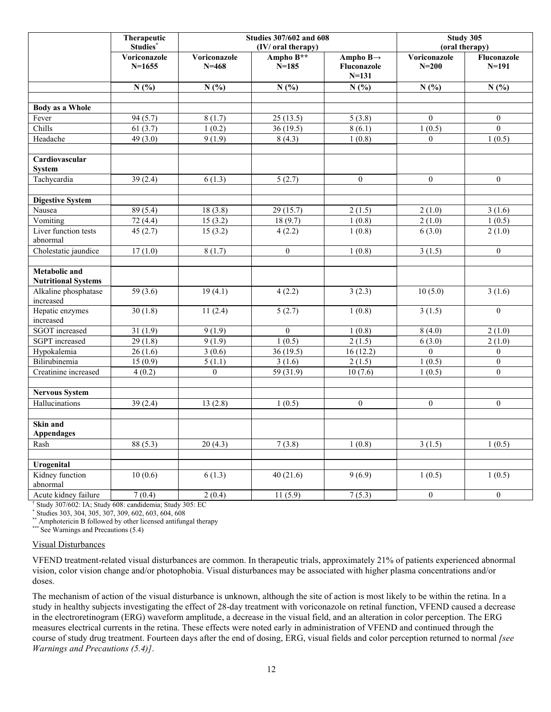|                                                    | Therapeutic<br>Studies*  |                           | <b>Studies 307/602 and 608</b><br>(IV/ oral therapy) |                                                  |                         | Study 305<br>(oral therapy) |
|----------------------------------------------------|--------------------------|---------------------------|------------------------------------------------------|--------------------------------------------------|-------------------------|-----------------------------|
|                                                    | Voriconazole<br>$N=1655$ | Voriconazole<br>$N = 468$ | Ampho B**<br>$N = 185$                               | Ampho $B\rightarrow$<br>Fluconazole<br>$N = 131$ | Voriconazole<br>$N=200$ | Fluconazole<br>$N = 191$    |
|                                                    | N(%)                     | N(%)                      | N(%)                                                 | N(%)                                             | N(%)                    | N(%)                        |
|                                                    |                          |                           |                                                      |                                                  |                         |                             |
| <b>Body as a Whole</b>                             |                          |                           |                                                      |                                                  |                         |                             |
| Fever                                              | 94(5.7)                  | 8(1.7)                    | 25(13.5)                                             | 5(3.8)                                           | $\Omega$                | $\overline{0}$              |
| Chills                                             | 61(3.7)                  | 1(0.2)                    | 36(19.5)                                             | 8(6.1)                                           | 1(0.5)                  | $\overline{0}$              |
| Headache                                           | 49 (3.0)                 | 9(1.9)                    | 8(4.3)                                               | 1(0.8)                                           | $\overline{0}$          | 1(0.5)                      |
| Cardiovascular<br><b>System</b>                    |                          |                           |                                                      |                                                  |                         |                             |
| Tachycardia                                        | 39(2.4)                  | 6(1.3)                    | 5(2.7)                                               | $\overline{0}$                                   | $\theta$                | $\theta$                    |
| <b>Digestive System</b>                            |                          |                           |                                                      |                                                  |                         |                             |
| Nausea                                             | 89 (5.4)                 | 18(3.8)                   | 29(15.7)                                             | 2(1.5)                                           | 2(1.0)                  | 3(1.6)                      |
| Vomiting                                           | $\overline{72(4.4)}$     | 15(3.2)                   | 18(9.7)                                              | 1(0.8)                                           | 2(1.0)                  | 1(0.5)                      |
| Liver function tests<br>abnormal                   | 45(2.7)                  | 15(3.2)                   | 4(2.2)                                               | 1(0.8)                                           | 6(3.0)                  | 2(1.0)                      |
| Cholestatic jaundice                               | 17(1.0)                  | 8(1.7)                    | $\overline{0}$                                       | 1(0.8)                                           | 3(1.5)                  | $\theta$                    |
| <b>Metabolic</b> and<br><b>Nutritional Systems</b> |                          |                           |                                                      |                                                  |                         |                             |
| Alkaline phosphatase<br>increased                  | 59 (3.6)                 | 19(4.1)                   | 4(2.2)                                               | 3(2.3)                                           | 10(5.0)                 | 3(1.6)                      |
| Hepatic enzymes<br>increased                       | 30(1.8)                  | 11(2.4)                   | 5(2.7)                                               | 1(0.8)                                           | 3(1.5)                  | $\theta$                    |
| <b>SGOT</b> increased                              | 31(1.9)                  | 9(1.9)                    | $\theta$                                             | 1(0.8)                                           | 8(4.0)                  | 2(1.0)                      |
| <b>SGPT</b> increased                              | 29(1.8)                  | 9(1.9)                    | 1(0.5)                                               | 2(1.5)                                           | 6(3.0)                  | 2(1.0)                      |
| Hypokalemia                                        | 26(1.6)                  | 3(0.6)                    | 36(19.5)                                             | 16(12.2)                                         | $\overline{0}$          | $\mathbf{0}$                |
| Bilirubinemia                                      | 15(0.9)                  | 5(1.1)                    | 3(1.6)                                               | 2(1.5)                                           | 1(0.5)                  | $\theta$                    |
| Creatinine increased                               | 4(0.2)                   | $\theta$                  | 59 (31.9)                                            | 10(7.6)                                          | 1(0.5)                  | $\Omega$                    |
| <b>Nervous System</b>                              |                          |                           |                                                      |                                                  |                         |                             |
| Hallucinations                                     | 39(2.4)                  | 13(2.8)                   | 1(0.5)                                               | $\overline{0}$                                   | $\mathbf{0}$            | $\boldsymbol{0}$            |
| Skin and<br><b>Appendages</b>                      |                          |                           |                                                      |                                                  |                         |                             |
| Rash                                               | 88 (5.3)                 | 20(4.3)                   | 7(3.8)                                               | 1(0.8)                                           | 3(1.5)                  | 1(0.5)                      |
|                                                    |                          |                           |                                                      |                                                  |                         |                             |
| Urogenital                                         |                          |                           |                                                      |                                                  |                         |                             |
| Kidney function<br>abnormal                        | 10(0.6)                  | 6(1.3)                    | 40(21.6)                                             | 9(6.9)                                           | 1(0.5)                  | 1(0.5)                      |
| Acute kidney failure                               | 7(0.4)                   | 2(0.4)                    | 11(5.9)                                              | 7(5.3)                                           | $\boldsymbol{0}$        | $\overline{0}$              |

† Study 307/602: IA; Study 608: candidemia; Study 305: EC

\* Studies 303, 304, 305, 307, 309, 602, 603, 604, 608

\*\* Amphotericin B followed by other licensed antifungal therapy

 $***$  See Warnings and Precautions (5.4)

#### Visual Disturbances

VFEND treatment-related visual disturbances are common. In therapeutic trials, approximately 21% of patients experienced abnormal vision, color vision change and/or photophobia. Visual disturbances may be associated with higher plasma concentrations and/or doses.

The mechanism of action of the visual disturbance is unknown, although the site of action is most likely to be within the retina. In a study in healthy subjects investigating the effect of 28-day treatment with voriconazole on retinal function, VFEND caused a decrease in the electroretinogram (ERG) waveform amplitude, a decrease in the visual field, and an alteration in color perception. The ERG measures electrical currents in the retina. These effects were noted early in administration of VFEND and continued through the course of study drug treatment. Fourteen days after the end of dosing, ERG, visual fields and color perception returned to normal *[see Warnings and Precautions (5.4)]*.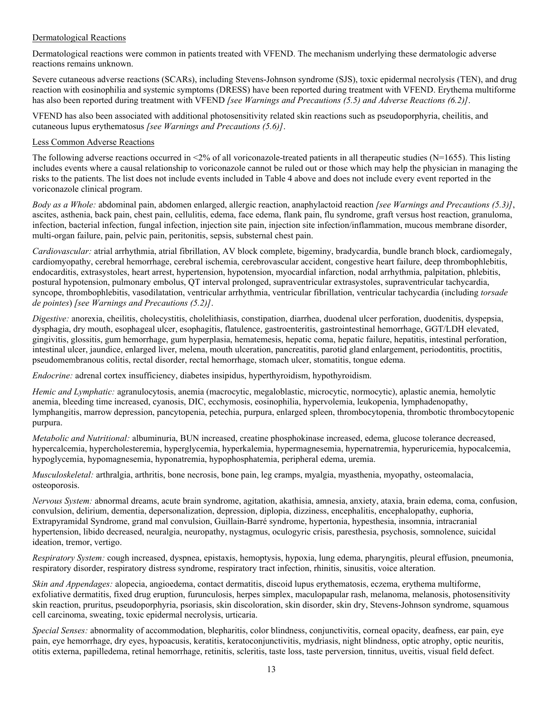# Dermatological Reactions

Dermatological reactions were common in patients treated with VFEND. The mechanism underlying these dermatologic adverse reactions remains unknown.

Severe cutaneous adverse reactions (SCARs), including Stevens-Johnson syndrome (SJS), toxic epidermal necrolysis (TEN), and drug reaction with eosinophilia and systemic symptoms (DRESS) have been reported during treatment with VFEND. Erythema multiforme has also been reported during treatment with VFEND *[see Warnings and Precautions (5.5) and Adverse Reactions (6.2)]*.

VFEND has also been associated with additional photosensitivity related skin reactions such as pseudoporphyria, cheilitis, and cutaneous lupus erythematosus *[see Warnings and Precautions (5.6)]*.

### Less Common Adverse Reactions

The following adverse reactions occurred in  $\leq 2\%$  of all voriconazole-treated patients in all therapeutic studies (N=1655). This listing includes events where a causal relationship to voriconazole cannot be ruled out or those which may help the physician in managing the risks to the patients. The list does not include events included in Table 4 above and does not include every event reported in the voriconazole clinical program.

*Body as a Whole:* abdominal pain, abdomen enlarged, allergic reaction, anaphylactoid reaction *[see Warnings and Precautions (5.3)]*, ascites, asthenia, back pain, chest pain, cellulitis, edema, face edema, flank pain, flu syndrome, graft versus host reaction, granuloma, infection, bacterial infection, fungal infection, injection site pain, injection site infection/inflammation, mucous membrane disorder, multi-organ failure, pain, pelvic pain, peritonitis, sepsis, substernal chest pain.

*Cardiovascular:* atrial arrhythmia, atrial fibrillation, AV block complete, bigeminy, bradycardia, bundle branch block, cardiomegaly, cardiomyopathy, cerebral hemorrhage, cerebral ischemia, cerebrovascular accident, congestive heart failure, deep thrombophlebitis, endocarditis, extrasystoles, heart arrest, hypertension, hypotension, myocardial infarction, nodal arrhythmia, palpitation, phlebitis, postural hypotension, pulmonary embolus, QT interval prolonged, supraventricular extrasystoles, supraventricular tachycardia, syncope, thrombophlebitis, vasodilatation, ventricular arrhythmia, ventricular fibrillation, ventricular tachycardia (including *torsade de pointes*) *[see Warnings and Precautions (5.2)]*.

*Digestive:* anorexia, cheilitis, cholecystitis, cholelithiasis, constipation, diarrhea, duodenal ulcer perforation, duodenitis, dyspepsia, dysphagia, dry mouth, esophageal ulcer, esophagitis, flatulence, gastroenteritis, gastrointestinal hemorrhage, GGT/LDH elevated, gingivitis, glossitis, gum hemorrhage, gum hyperplasia, hematemesis, hepatic coma, hepatic failure, hepatitis, intestinal perforation, intestinal ulcer, jaundice, enlarged liver, melena, mouth ulceration, pancreatitis, parotid gland enlargement, periodontitis, proctitis, pseudomembranous colitis, rectal disorder, rectal hemorrhage, stomach ulcer, stomatitis, tongue edema.

*Endocrine:* adrenal cortex insufficiency, diabetes insipidus, hyperthyroidism, hypothyroidism.

*Hemic and Lymphatic:* agranulocytosis, anemia (macrocytic, megaloblastic, microcytic, normocytic), aplastic anemia, hemolytic anemia, bleeding time increased, cyanosis, DIC, ecchymosis, eosinophilia, hypervolemia, leukopenia, lymphadenopathy, lymphangitis, marrow depression, pancytopenia, petechia, purpura, enlarged spleen, thrombocytopenia, thrombotic thrombocytopenic purpura.

*Metabolic and Nutritional:* albuminuria, BUN increased, creatine phosphokinase increased, edema, glucose tolerance decreased, hypercalcemia, hypercholesteremia, hyperglycemia, hyperkalemia, hypermagnesemia, hypernatremia, hyperuricemia, hypocalcemia, hypoglycemia, hypomagnesemia, hyponatremia, hypophosphatemia, peripheral edema, uremia.

*Musculoskeletal:* arthralgia, arthritis, bone necrosis, bone pain, leg cramps, myalgia, myasthenia, myopathy, osteomalacia, osteoporosis.

*Nervous System:* abnormal dreams, acute brain syndrome, agitation, akathisia, amnesia, anxiety, ataxia, brain edema, coma, confusion, convulsion, delirium, dementia, depersonalization, depression, diplopia, dizziness, encephalitis, encephalopathy, euphoria, Extrapyramidal Syndrome, grand mal convulsion, Guillain-Barré syndrome, hypertonia, hypesthesia, insomnia, intracranial hypertension, libido decreased, neuralgia, neuropathy, nystagmus, oculogyric crisis, paresthesia, psychosis, somnolence, suicidal ideation, tremor, vertigo.

*Respiratory System:* cough increased, dyspnea, epistaxis, hemoptysis, hypoxia, lung edema, pharyngitis, pleural effusion, pneumonia, respiratory disorder, respiratory distress syndrome, respiratory tract infection, rhinitis, sinusitis, voice alteration.

*Skin and Appendages:* alopecia, angioedema, contact dermatitis, discoid lupus erythematosis, eczema, erythema multiforme, exfoliative dermatitis, fixed drug eruption, furunculosis, herpes simplex, maculopapular rash, melanoma, melanosis, photosensitivity skin reaction, pruritus, pseudoporphyria, psoriasis, skin discoloration, skin disorder, skin dry, Stevens-Johnson syndrome, squamous cell carcinoma, sweating, toxic epidermal necrolysis, urticaria.

*Special Senses:* abnormality of accommodation, blepharitis, color blindness, conjunctivitis, corneal opacity, deafness, ear pain, eye pain, eye hemorrhage, dry eyes, hypoacusis, keratitis, keratoconjunctivitis, mydriasis, night blindness, optic atrophy, optic neuritis, otitis externa, papilledema, retinal hemorrhage, retinitis, scleritis, taste loss, taste perversion, tinnitus, uveitis, visual field defect.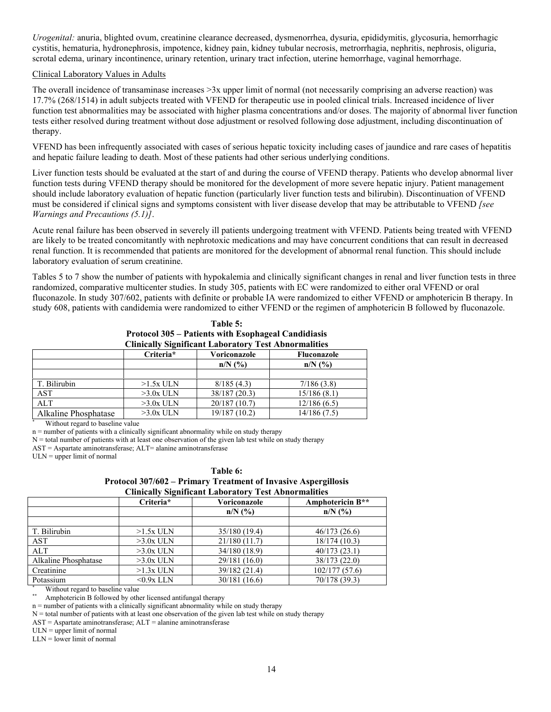*Urogenital:* anuria, blighted ovum, creatinine clearance decreased, dysmenorrhea, dysuria, epididymitis, glycosuria, hemorrhagic cystitis, hematuria, hydronephrosis, impotence, kidney pain, kidney tubular necrosis, metrorrhagia, nephritis, nephrosis, oliguria, scrotal edema, urinary incontinence, urinary retention, urinary tract infection, uterine hemorrhage, vaginal hemorrhage.

### Clinical Laboratory Values in Adults

The overall incidence of transaminase increases >3x upper limit of normal (not necessarily comprising an adverse reaction) was 17.7% (268/1514) in adult subjects treated with VFEND for therapeutic use in pooled clinical trials. Increased incidence of liver function test abnormalities may be associated with higher plasma concentrations and/or doses. The majority of abnormal liver function tests either resolved during treatment without dose adjustment or resolved following dose adjustment, including discontinuation of therapy.

VFEND has been infrequently associated with cases of serious hepatic toxicity including cases of jaundice and rare cases of hepatitis and hepatic failure leading to death. Most of these patients had other serious underlying conditions.

Liver function tests should be evaluated at the start of and during the course of VFEND therapy. Patients who develop abnormal liver function tests during VFEND therapy should be monitored for the development of more severe hepatic injury. Patient management should include laboratory evaluation of hepatic function (particularly liver function tests and bilirubin). Discontinuation of VFEND must be considered if clinical signs and symptoms consistent with liver disease develop that may be attributable to VFEND *[see Warnings and Precautions (5.1)]*.

Acute renal failure has been observed in severely ill patients undergoing treatment with VFEND. Patients being treated with VFEND are likely to be treated concomitantly with nephrotoxic medications and may have concurrent conditions that can result in decreased renal function. It is recommended that patients are monitored for the development of abnormal renal function. This should include laboratory evaluation of serum creatinine.

Tables 5 to 7 show the number of patients with hypokalemia and clinically significant changes in renal and liver function tests in three randomized, comparative multicenter studies. In study 305, patients with EC were randomized to either oral VFEND or oral fluconazole. In study 307/602, patients with definite or probable IA were randomized to either VFEND or amphotericin B therapy. In study 608, patients with candidemia were randomized to either VFEND or the regimen of amphotericin B followed by fluconazole.

| Table 5:                                                    |
|-------------------------------------------------------------|
| Protocol 305 – Patients with Esophageal Candidiasis         |
| <b>Clinically Significant Laboratory Test Abnormalities</b> |

|                      | Criteria*   | Voriconazole  | <b>Fluconazole</b> |
|----------------------|-------------|---------------|--------------------|
|                      |             | $n/N$ (%)     | $n/N$ (%)          |
|                      |             |               |                    |
| T. Bilirubin         | $>1.5x$ ULN | 8/185(4.3)    | 7/186(3.8)         |
| AST                  | $>3.0x$ ULN | 38/187 (20.3) | 15/186(8.1)        |
| ALT                  | $>3.0x$ ULN | 20/187(10.7)  | 12/186(6.5)        |
| Alkaline Phosphatase | $>3.0x$ ULN | 19/187 (10.2) | 14/186(7.5)        |

Without regard to baseline value

n = number of patients with a clinically significant abnormality while on study therapy

N = total number of patients with at least one observation of the given lab test while on study therapy

AST = Aspartate aminotransferase; ALT= alanine aminotransferase

ULN = upper limit of normal

#### **Table 6:**

**Protocol 307/602 – Primary Treatment of Invasive Aspergillosis Clinically Significant Laboratory Test Abnormalities**

|                      | Criteria*    | Voriconazole  | Amphotericin B** |
|----------------------|--------------|---------------|------------------|
|                      |              | $n/N$ (%)     | $n/N$ (%)        |
|                      |              |               |                  |
| T. Bilirubin         | $>1.5x$ ULN  | 35/180 (19.4) | 46/173(26.6)     |
| AST                  | $>3.0x$ ULN  | 21/180(11.7)  | 18/174 (10.3)    |
| ALT                  | $>3.0x$ ULN  | 34/180 (18.9) | 40/173(23.1)     |
| Alkaline Phosphatase | $>3.0x$ ULN  | 29/181 (16.0) | 38/173 (22.0)    |
| Creatinine           | $>1.3x$ ULN  | 39/182 (21.4) | 102/177(57.6)    |
| Potassium            | $<$ 0.9x LLN | 30/181(16.6)  | 70/178 (39.3)    |

Without regard to baseline value

Amphotericin B followed by other licensed antifungal therapy

n = number of patients with a clinically significant abnormality while on study therapy

 $N =$  total number of patients with at least one observation of the given lab test while on study therapy

AST = Aspartate aminotransferase; ALT = alanine aminotransferase

 $ULN = upper limit of normal$ 

LLN = lower limit of normal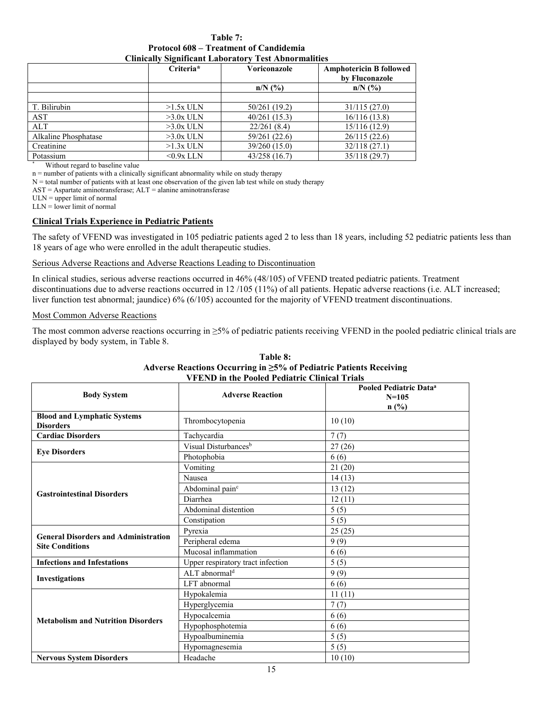**Table 7: Protocol 608 – Treatment of Candidemia Clinically Significant Laboratory Test Abnormalities**

|                      | Criteria*    | Voriconazole  | <b>Amphotericin B followed</b><br>by Fluconazole |
|----------------------|--------------|---------------|--------------------------------------------------|
|                      |              | $n/N$ (%)     | $n/N$ (%)                                        |
|                      |              |               |                                                  |
| T. Bilirubin         | $>1.5x$ ULN  | 50/261 (19.2) | 31/115(27.0)                                     |
| AST                  | $>3.0x$ ULN  | 40/261(15.3)  | 16/116(13.8)                                     |
| <b>ALT</b>           | $>3.0x$ ULN  | 22/261(8.4)   | 15/116(12.9)                                     |
| Alkaline Phosphatase | $>3.0x$ ULN  | 59/261 (22.6) | 26/115(22.6)                                     |
| Creatinine           | $>1.3x$ ULN  | 39/260 (15.0) | 32/118(27.1)                                     |
| Potassium            | $<$ 0.9x LLN | 43/258 (16.7) | 35/118 (29.7)                                    |

\* Without regard to baseline value

n = number of patients with a clinically significant abnormality while on study therapy

N = total number of patients with at least one observation of the given lab test while on study therapy

 $AST = Aspartate aminotransference; ALT = alanine aminotransferase$ 

ULN = upper limit of normal

 $LLN =$  lower limit of normal

### **Clinical Trials Experience in Pediatric Patients**

The safety of VFEND was investigated in 105 pediatric patients aged 2 to less than 18 years, including 52 pediatric patients less than 18 years of age who were enrolled in the adult therapeutic studies.

### Serious Adverse Reactions and Adverse Reactions Leading to Discontinuation

In clinical studies, serious adverse reactions occurred in 46% (48/105) of VFEND treated pediatric patients. Treatment discontinuations due to adverse reactions occurred in 12/105 (11%) of all patients. Hepatic adverse reactions (i.e. ALT increased; liver function test abnormal; jaundice) 6% (6/105) accounted for the majority of VFEND treatment discontinuations.

#### Most Common Adverse Reactions

The most common adverse reactions occurring in  $\geq 5\%$  of pediatric patients receiving VFEND in the pooled pediatric clinical trials are displayed by body system, in Table 8.

| <b>VFEND</b> in the Pooled Pediatric Clinical Trials                  |                                   |                                                            |  |
|-----------------------------------------------------------------------|-----------------------------------|------------------------------------------------------------|--|
| <b>Body System</b>                                                    | <b>Adverse Reaction</b>           | Pooled Pediatric Data <sup>a</sup><br>$N = 105$<br>$n$ (%) |  |
| <b>Blood and Lymphatic Systems</b><br><b>Disorders</b>                | Thrombocytopenia                  | 10(10)                                                     |  |
| <b>Cardiac Disorders</b>                                              | Tachycardia                       | 7(7)                                                       |  |
|                                                                       | Visual Disturbances <sup>b</sup>  | 27(26)                                                     |  |
| <b>Eye Disorders</b>                                                  | Photophobia                       | 6(6)                                                       |  |
|                                                                       | Vomiting                          | 21(20)                                                     |  |
|                                                                       | Nausea                            | 14(13)                                                     |  |
|                                                                       | Abdominal pain <sup>c</sup>       | 13(12)                                                     |  |
| <b>Gastrointestinal Disorders</b>                                     | Diarrhea                          | 12(11)                                                     |  |
|                                                                       | Abdominal distention              | 5(5)                                                       |  |
|                                                                       | Constipation                      | 5(5)                                                       |  |
|                                                                       | Pyrexia                           | 25(25)                                                     |  |
| <b>General Disorders and Administration</b><br><b>Site Conditions</b> | Peripheral edema                  | 9(9)                                                       |  |
|                                                                       | Mucosal inflammation              | 6 (6)                                                      |  |
| <b>Infections and Infestations</b>                                    | Upper respiratory tract infection | 5(5)                                                       |  |
|                                                                       | ALT abnormal <sup>d</sup>         | 9(9)                                                       |  |
| Investigations                                                        | LFT abnormal                      | 6(6)                                                       |  |
|                                                                       | Hypokalemia                       | 11(11)                                                     |  |
|                                                                       | Hyperglycemia                     | 7(7)                                                       |  |
|                                                                       | Hypocalcemia                      | 6(6)                                                       |  |
| <b>Metabolism and Nutrition Disorders</b>                             | Hypophosphotemia                  | 6(6)                                                       |  |
|                                                                       | Hypoalbuminemia                   | 5(5)                                                       |  |
|                                                                       | Hypomagnesemia                    | 5(5)                                                       |  |
| <b>Nervous System Disorders</b>                                       | Headache                          | 10(10)                                                     |  |

# **Table 8: Adverse Reactions Occurring in ≥5% of Pediatric Patients Receiving**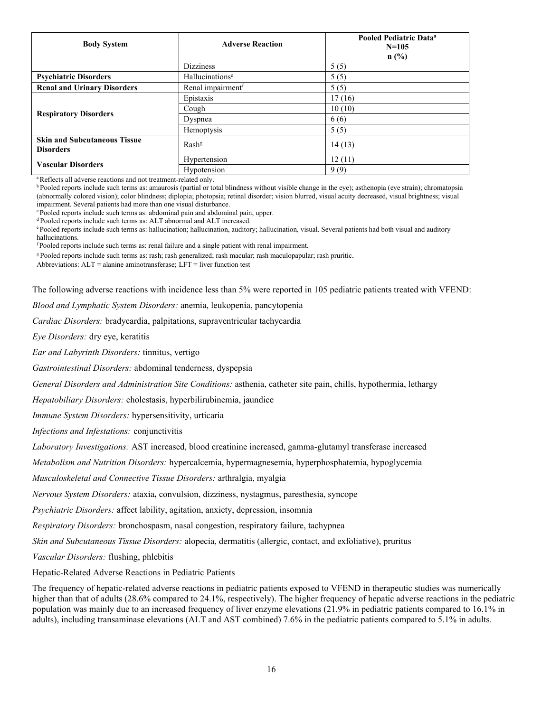| <b>Body System</b>                                      | <b>Adverse Reaction</b>       | Pooled Pediatric Data <sup>a</sup><br>$N = 105$<br>n(%) |
|---------------------------------------------------------|-------------------------------|---------------------------------------------------------|
|                                                         | <b>Dizziness</b>              | 5(5)                                                    |
| <b>Psychiatric Disorders</b>                            | Hallucinations <sup>e</sup>   | 5(5)                                                    |
| <b>Renal and Urinary Disorders</b>                      | Renal impairment <sup>f</sup> | 5(5)                                                    |
|                                                         | Epistaxis                     | 17(16)                                                  |
|                                                         | Cough                         | 10(10)                                                  |
| <b>Respiratory Disorders</b>                            | Dyspnea                       | 6(6)                                                    |
|                                                         | Hemoptysis                    | 5(5)                                                    |
| <b>Skin and Subcutaneous Tissue</b><br><b>Disorders</b> | Rash <sup>g</sup>             | 14(13)                                                  |
| <b>Vascular Disorders</b>                               | Hypertension                  | 12(11)                                                  |
|                                                         | Hypotension                   | 9(9)                                                    |

<sup>a</sup>Reflects all adverse reactions and not treatment-related only.

<sup>b</sup> Pooled reports include such terms as: amaurosis (partial or total blindness without visible change in the eye); asthenopia (eye strain); chromatopsia (abnormally colored vision); color blindness; diplopia; photopsia; retinal disorder; vision blurred, visual acuity decreased, visual brightness; visual impairment. Several patients had more than one visual disturbance.

<sup>c</sup> Pooled reports include such terms as: abdominal pain and abdominal pain, upper.

<sup>d</sup> Pooled reports include such terms as: ALT abnormal and ALT increased.

<sup>e</sup>Pooled reports include such terms as: hallucination; hallucination, auditory; hallucination, visual. Several patients had both visual and auditory hallucinations.

<sup>f</sup>Pooled reports include such terms as: renal failure and a single patient with renal impairment.

<sup>g</sup> Pooled reports include such terms as: rash; rash generalized; rash macular; rash maculopapular; rash pruritic.

Abbreviations:  $ALT =$  alanine aminotransferase;  $LFT =$  liver function test

The following adverse reactions with incidence less than 5% were reported in 105 pediatric patients treated with VFEND:

*Blood and Lymphatic System Disorders:* anemia, leukopenia, pancytopenia

*Cardiac Disorders:* bradycardia, palpitations, supraventricular tachycardia

*Eye Disorders:* dry eye, keratitis

*Ear and Labyrinth Disorders:* tinnitus, vertigo

*Gastrointestinal Disorders:* abdominal tenderness, dyspepsia

*General Disorders and Administration Site Conditions:* asthenia, catheter site pain, chills, hypothermia, lethargy

*Hepatobiliary Disorders:* cholestasis, hyperbilirubinemia, jaundice

*Immune System Disorders:* hypersensitivity, urticaria

*Infections and Infestations:* conjunctivitis

*Laboratory Investigations:* AST increased, blood creatinine increased, gamma-glutamyl transferase increased

*Metabolism and Nutrition Disorders:* hypercalcemia, hypermagnesemia, hyperphosphatemia, hypoglycemia

*Musculoskeletal and Connective Tissue Disorders:* arthralgia, myalgia

*Nervous System Disorders:* ataxia**,** convulsion, dizziness, nystagmus, paresthesia, syncope

*Psychiatric Disorders:* affect lability, agitation, anxiety, depression, insomnia

*Respiratory Disorders:* bronchospasm, nasal congestion, respiratory failure, tachypnea

*Skin and Subcutaneous Tissue Disorders:* alopecia, dermatitis (allergic, contact, and exfoliative), pruritus

*Vascular Disorders:* flushing, phlebitis

#### Hepatic-Related Adverse Reactions in Pediatric Patients

The frequency of hepatic-related adverse reactions in pediatric patients exposed to VFEND in therapeutic studies was numerically higher than that of adults (28.6% compared to 24.1%, respectively). The higher frequency of hepatic adverse reactions in the pediatric population was mainly due to an increased frequency of liver enzyme elevations (21.9% in pediatric patients compared to 16.1% in adults), including transaminase elevations (ALT and AST combined) 7.6% in the pediatric patients compared to 5.1% in adults.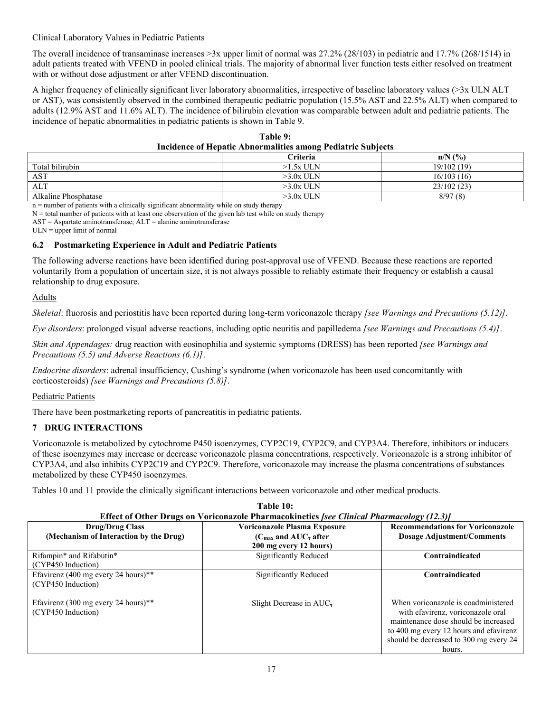# Clinical Laboratory Values in Pediatric Patients

The overall incidence of transaminase increases >3x upper limit of normal was 27.2% (28/103) in pediatric and 17.7% (268/1514) in adult patients treated with VFEND in pooled clinical trials. The majority of abnormal liver function tests either resolved on treatment with or without dose adjustment or after VFEND discontinuation.

A higher frequency of clinically significant liver laboratory abnormalities, irrespective of baseline laboratory values (>3x ULN ALT or AST), was consistently observed in the combined therapeutic pediatric population (15.5% AST and 22.5% ALT) when compared to adults (12.9% AST and 11.6% ALT). The incidence of bilirubin elevation was comparable between adult and pediatric patients. The incidence of hepatic abnormalities in pediatric patients is shown in Table 9.

|                                                                    | Table 9: |  |
|--------------------------------------------------------------------|----------|--|
| <b>Incidence of Hepatic Abnormalities among Pediatric Subjects</b> |          |  |
|                                                                    |          |  |

|                      | <b>Criteria</b> | (%)<br>n/N |
|----------------------|-----------------|------------|
| Total bilirubin      | $>1.5x$ ULN     | 19/102(19) |
| <b>AST</b>           | $>3.0x$ ULN     | 16/103(16) |
| ALT                  | $>3.0x$ ULN     | 23/102(23) |
| Alkaline Phosphatase | $>3.0x$ ULN     | 8/97(8)    |

n = number of patients with a clinically significant abnormality while on study therapy

 $N =$  total number of patients with at least one observation of the given lab test while on study therapy

AST = Aspartate aminotransferase; ALT = alanine aminotransferase

 $ULN = upper limit of normal$ 

# **6.2 Postmarketing Experience in Adult and Pediatric Patients**

The following adverse reactions have been identified during post-approval use of VFEND. Because these reactions are reported voluntarily from a population of uncertain size, it is not always possible to reliably estimate their frequency or establish a causal relationship to drug exposure.

# Adults

*Skeletal*: fluorosis and periostitis have been reported during long-term voriconazole therapy *[see Warnings and Precautions (5.12)]*.

*Eye disorders*: prolonged visual adverse reactions, including optic neuritis and papilledema *[see Warnings and Precautions (5.4)]*.

*Skin and Appendages:* drug reaction with eosinophilia and systemic symptoms (DRESS) has been reported *[see Warnings and Precautions (5.5) and Adverse Reactions (6.1)]*.

*Endocrine disorders*: adrenal insufficiency, Cushing's syndrome (when voriconazole has been used concomitantly with corticosteroids) *[see Warnings and Precautions (5.8)]*.

# Pediatric Patients

There have been postmarketing reports of pancreatitis in pediatric patients.

# **7 DRUG INTERACTIONS**

Voriconazole is metabolized by cytochrome P450 isoenzymes, CYP2C19, CYP2C9, and CYP3A4. Therefore, inhibitors or inducers of these isoenzymes may increase or decrease voriconazole plasma concentrations, respectively. Voriconazole is a strong inhibitor of CYP3A4, and also inhibits CYP2C19 and CYP2C9. Therefore, voriconazole may increase the plasma concentrations of substances metabolized by these CYP450 isoenzymes.

Tables 10 and 11 provide the clinically significant interactions between voriconazole and other medical products.

| <b>Effect of Other Drugs on Voriconazole Pharmacokinetics [see Clinical Pharmacology (12.3)]</b> |                                                               |                                         |  |
|--------------------------------------------------------------------------------------------------|---------------------------------------------------------------|-----------------------------------------|--|
| <b>Drug/Drug Class</b>                                                                           | <b>Voriconazole Plasma Exposure</b>                           | <b>Recommendations for Voriconazole</b> |  |
| (Mechanism of Interaction by the Drug)                                                           | ( $C_{\text{max}}$ and AUC <sub><math>\tau</math></sub> after | <b>Dosage Adjustment/Comments</b>       |  |
|                                                                                                  | 200 mg every 12 hours)                                        |                                         |  |
| Rifampin* and Rifabutin*                                                                         | Significantly Reduced                                         | Contraindicated                         |  |
| (CYP450 Induction)                                                                               |                                                               |                                         |  |
| Efavirenz (400 mg every 24 hours)**                                                              | Significantly Reduced                                         | Contraindicated                         |  |
| (CYP450 Induction)                                                                               |                                                               |                                         |  |
|                                                                                                  |                                                               |                                         |  |
| Efavirenz (300 mg every 24 hours)**                                                              | Slight Decrease in $AUC$                                      | When voriconazole is coadministered     |  |
| (CYP450 Induction)                                                                               |                                                               | with efavirenz, voriconazole oral       |  |
|                                                                                                  |                                                               | maintenance dose should be increased    |  |
|                                                                                                  |                                                               | to 400 mg every 12 hours and efavirenz  |  |
|                                                                                                  |                                                               | should be decreased to 300 mg every 24  |  |
|                                                                                                  |                                                               | hours.                                  |  |

# **Table 10:**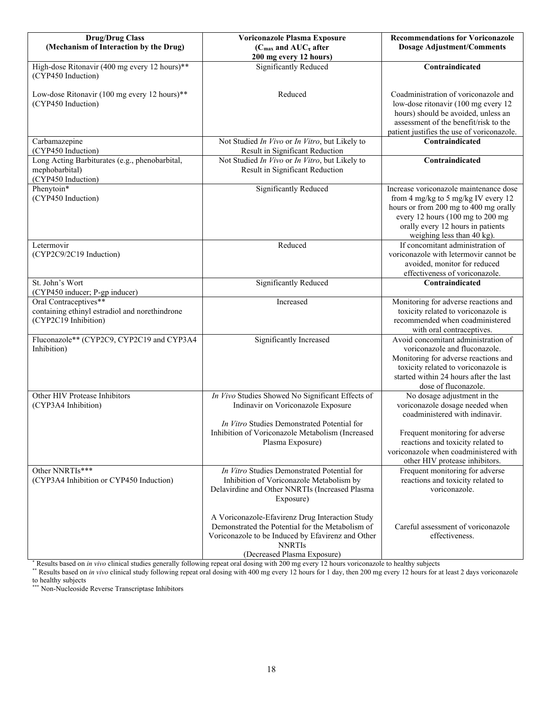| <b>Drug/Drug Class</b><br>(Mechanism of Interaction by the Drug)                                | Voriconazole Plasma Exposure<br>( $C_{\text{max}}$ and $AUC_{\tau}$ after                                                                                                                                | <b>Recommendations for Voriconazole</b><br><b>Dosage Adjustment/Comments</b>                                                                                                                                                  |
|-------------------------------------------------------------------------------------------------|----------------------------------------------------------------------------------------------------------------------------------------------------------------------------------------------------------|-------------------------------------------------------------------------------------------------------------------------------------------------------------------------------------------------------------------------------|
|                                                                                                 | 200 mg every 12 hours)                                                                                                                                                                                   |                                                                                                                                                                                                                               |
| High-dose Ritonavir (400 mg every 12 hours)**<br>(CYP450 Induction)                             | Significantly Reduced                                                                                                                                                                                    | Contraindicated                                                                                                                                                                                                               |
| Low-dose Ritonavir (100 mg every 12 hours)**<br>(CYP450 Induction)                              | Reduced                                                                                                                                                                                                  | Coadministration of voriconazole and<br>low-dose ritonavir (100 mg every 12<br>hours) should be avoided, unless an<br>assessment of the benefit/risk to the<br>patient justifies the use of voriconazole.                     |
| Carbamazepine<br>(CYP450 Induction)                                                             | Not Studied In Vivo or In Vitro, but Likely to<br>Result in Significant Reduction                                                                                                                        | Contraindicated                                                                                                                                                                                                               |
| Long Acting Barbiturates (e.g., phenobarbital,<br>mephobarbital)<br>(CYP450 Induction)          | Not Studied In Vivo or In Vitro, but Likely to<br>Result in Significant Reduction                                                                                                                        | Contraindicated                                                                                                                                                                                                               |
| Phenytoin*<br>(CYP450 Induction)                                                                | Significantly Reduced                                                                                                                                                                                    | Increase voriconazole maintenance dose<br>from 4 mg/kg to 5 mg/kg IV every 12<br>hours or from 200 mg to 400 mg orally<br>every 12 hours (100 mg to 200 mg<br>orally every 12 hours in patients<br>weighing less than 40 kg). |
| Letermovir<br>(CYP2C9/2C19 Induction)                                                           | Reduced                                                                                                                                                                                                  | If concomitant administration of<br>voriconazole with letermovir cannot be<br>avoided, monitor for reduced<br>effectiveness of voriconazole.                                                                                  |
| St. John's Wort<br>(CYP450 inducer; P-gp inducer)                                               | <b>Significantly Reduced</b>                                                                                                                                                                             | Contraindicated                                                                                                                                                                                                               |
| Oral Contraceptives**<br>containing ethinyl estradiol and norethindrone<br>(CYP2C19 Inhibition) | Increased                                                                                                                                                                                                | Monitoring for adverse reactions and<br>toxicity related to voriconazole is<br>recommended when coadministered<br>with oral contraceptives.                                                                                   |
| Fluconazole** (CYP2C9, CYP2C19 and CYP3A4<br>Inhibition)                                        | Significantly Increased                                                                                                                                                                                  | Avoid concomitant administration of<br>voriconazole and fluconazole.<br>Monitoring for adverse reactions and<br>toxicity related to voriconazole is<br>started within 24 hours after the last<br>dose of fluconazole.         |
| Other HIV Protease Inhibitors<br>(CYP3A4 Inhibition)                                            | In Vivo Studies Showed No Significant Effects of<br>Indinavir on Voriconazole Exposure                                                                                                                   | No dosage adjustment in the<br>voriconazole dosage needed when<br>coadministered with indinavir.                                                                                                                              |
|                                                                                                 | In Vitro Studies Demonstrated Potential for<br>Inhibition of Voriconazole Metabolism (Increased<br>Plasma Exposure)                                                                                      | Frequent monitoring for adverse<br>reactions and toxicity related to<br>voriconazole when coadministered with<br>other HIV protease inhibitors.                                                                               |
| Other NNRTIs***<br>(CYP3A4 Inhibition or CYP450 Induction)                                      | In Vitro Studies Demonstrated Potential for<br>Inhibition of Voriconazole Metabolism by<br>Delavirdine and Other NNRTIs (Increased Plasma<br>Exposure)                                                   | Frequent monitoring for adverse<br>reactions and toxicity related to<br>voriconazole.                                                                                                                                         |
|                                                                                                 | A Voriconazole-Efavirenz Drug Interaction Study<br>Demonstrated the Potential for the Metabolism of<br>Voriconazole to be Induced by Efavirenz and Other<br><b>NNRTIs</b><br>(Decreased Plasma Exposure) | Careful assessment of voriconazole<br>effectiveness.                                                                                                                                                                          |

\* Results based on *in vivo* clinical studies generally following repeat oral dosing with 200 mg every 12 hours voriconazole to healthy subjects

\*\* Results based on *in vivo* clinical study following repeat oral dosing with 400 mg every 12 hours for 1 day, then 200 mg every 12 hours for at least 2 days voriconazole to healthy subjects

\*\*\* Non-Nucleoside Reverse Transcriptase Inhibitors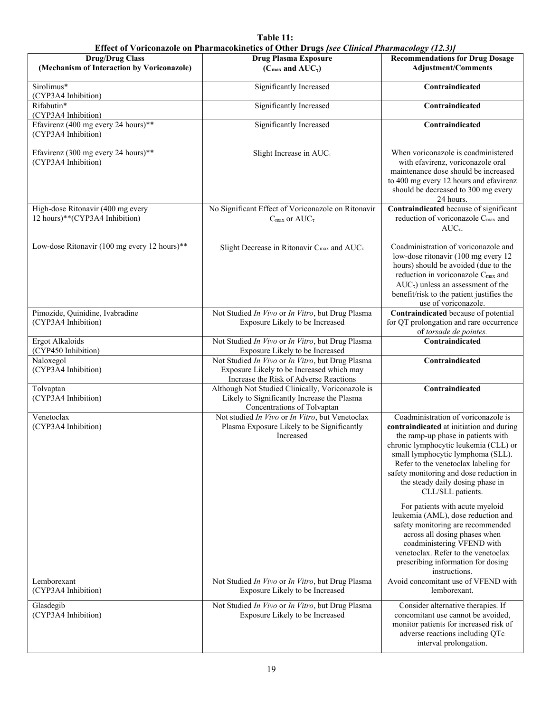| Table 11:                                                                                       |
|-------------------------------------------------------------------------------------------------|
| ect of Voriconazole on Pharmacokinetics of Other Drugs <i>Isee Clinical Pharmacology (123</i> ) |

|                                                                     | Effect of Voriconazole on Pharmacokinetics of Other Drugs [see Clinical Pharmacology (12.3)]                                            |                                                                                                                                                                                                                                                                                                                                                                                    |
|---------------------------------------------------------------------|-----------------------------------------------------------------------------------------------------------------------------------------|------------------------------------------------------------------------------------------------------------------------------------------------------------------------------------------------------------------------------------------------------------------------------------------------------------------------------------------------------------------------------------|
| <b>Drug/Drug Class</b>                                              | <b>Drug Plasma Exposure</b>                                                                                                             | <b>Recommendations for Drug Dosage</b>                                                                                                                                                                                                                                                                                                                                             |
| (Mechanism of Interaction by Voriconazole)                          | ( $C_{\text{max}}$ and $AUC_{\tau}$ )                                                                                                   | <b>Adjustment/Comments</b>                                                                                                                                                                                                                                                                                                                                                         |
| Sirolimus*<br>(CYP3A4 Inhibition)                                   | Significantly Increased                                                                                                                 | Contraindicated                                                                                                                                                                                                                                                                                                                                                                    |
| Rifabutin*<br>(CYP3A4 Inhibition)                                   | Significantly Increased                                                                                                                 | Contraindicated                                                                                                                                                                                                                                                                                                                                                                    |
| Efavirenz (400 mg every 24 hours)**<br>(CYP3A4 Inhibition)          | Significantly Increased                                                                                                                 | Contraindicated                                                                                                                                                                                                                                                                                                                                                                    |
| Efavirenz (300 mg every 24 hours)**<br>(CYP3A4 Inhibition)          | Slight Increase in $AUC_{\tau}$                                                                                                         | When voriconazole is coadministered<br>with efavirenz, voriconazole oral<br>maintenance dose should be increased<br>to 400 mg every 12 hours and efavirenz<br>should be decreased to 300 mg every<br>24 hours.                                                                                                                                                                     |
| High-dose Ritonavir (400 mg every<br>12 hours)**(CYP3A4 Inhibition) | No Significant Effect of Voriconazole on Ritonavir<br>$C_{\text{max}}$ or $AUC_{\tau}$                                                  | Contraindicated because of significant<br>reduction of voriconazole C <sub>max</sub> and<br>$AUC_{\tau}$ .                                                                                                                                                                                                                                                                         |
| Low-dose Ritonavir (100 mg every 12 hours)**                        | Slight Decrease in Ritonavir C <sub>max</sub> and AUC <sub>T</sub>                                                                      | Coadministration of voriconazole and<br>low-dose ritonavir (100 mg every 12<br>hours) should be avoided (due to the<br>reduction in voriconazole C <sub>max</sub> and<br>$AUC_{\tau}$ ) unless an assessment of the<br>benefit/risk to the patient justifies the<br>use of voriconazole.                                                                                           |
| Pimozide, Quinidine, Ivabradine<br>(CYP3A4 Inhibition)              | Not Studied In Vivo or In Vitro, but Drug Plasma<br>Exposure Likely to be Increased                                                     | Contraindicated because of potential<br>for QT prolongation and rare occurrence<br>of torsade de pointes.                                                                                                                                                                                                                                                                          |
| Ergot Alkaloids<br>(CYP450 Inhibition)                              | Not Studied In Vivo or In Vitro, but Drug Plasma<br>Exposure Likely to be Increased                                                     | Contraindicated                                                                                                                                                                                                                                                                                                                                                                    |
| Naloxegol<br>(CYP3A4 Inhibition)                                    | Not Studied In Vivo or In Vitro, but Drug Plasma<br>Exposure Likely to be Increased which may<br>Increase the Risk of Adverse Reactions | Contraindicated                                                                                                                                                                                                                                                                                                                                                                    |
| Tolvaptan<br>(CYP3A4 Inhibition)                                    | Although Not Studied Clinically, Voriconazole is<br>Likely to Significantly Increase the Plasma<br>Concentrations of Tolvaptan          | Contraindicated                                                                                                                                                                                                                                                                                                                                                                    |
| Venetoclax<br>(CYP3A4 Inhibition)                                   | Not studied In Vivo or In Vitro, but Venetoclax<br>Plasma Exposure Likely to be Significantly<br>Increased                              | Coadministration of voriconazole is<br>contraindicated at initiation and during<br>the ramp-up phase in patients with<br>chronic lymphocytic leukemia (CLL) or<br>small lymphocytic lymphoma (SLL).<br>Refer to the venetoclax labeling for<br>safety monitoring and dose reduction in<br>the steady daily dosing phase in<br>CLL/SLL patients.<br>For patients with acute myeloid |
|                                                                     |                                                                                                                                         | leukemia (AML), dose reduction and<br>safety monitoring are recommended<br>across all dosing phases when<br>coadministering VFEND with<br>venetoclax. Refer to the venetoclax<br>prescribing information for dosing<br>instructions.                                                                                                                                               |
| Lemborexant<br>(CYP3A4 Inhibition)                                  | Not Studied In Vivo or In Vitro, but Drug Plasma<br>Exposure Likely to be Increased                                                     | Avoid concomitant use of VFEND with<br>lemborexant.                                                                                                                                                                                                                                                                                                                                |
| Glasdegib<br>(CYP3A4 Inhibition)                                    | Not Studied In Vivo or In Vitro, but Drug Plasma<br>Exposure Likely to be Increased                                                     | Consider alternative therapies. If<br>concomitant use cannot be avoided,<br>monitor patients for increased risk of<br>adverse reactions including QTc<br>interval prolongation.                                                                                                                                                                                                    |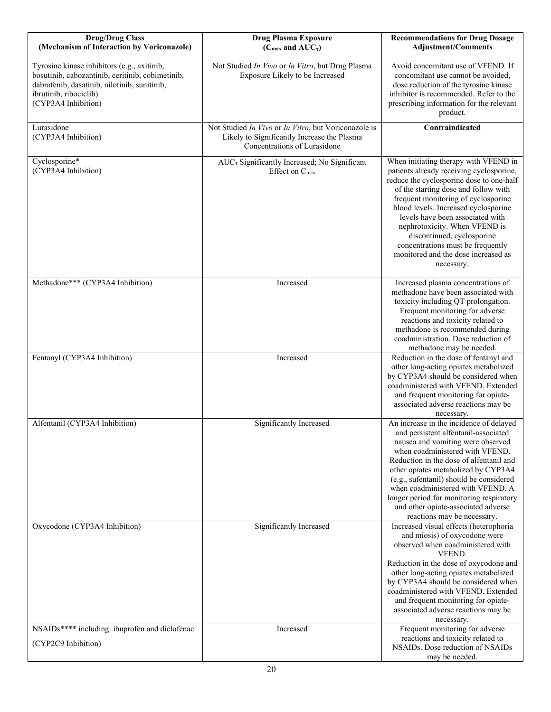| <b>Drug/Drug Class</b><br>(Mechanism of Interaction by Voriconazole)                                                                                                                             | <b>Drug Plasma Exposure</b><br>( $C_{\text{max}}$ and $AUC_{\tau}$ )                                                                | <b>Recommendations for Drug Dosage</b><br><b>Adjustment/Comments</b>                                                                                                                                                                                                                                                                                                                                                                              |
|--------------------------------------------------------------------------------------------------------------------------------------------------------------------------------------------------|-------------------------------------------------------------------------------------------------------------------------------------|---------------------------------------------------------------------------------------------------------------------------------------------------------------------------------------------------------------------------------------------------------------------------------------------------------------------------------------------------------------------------------------------------------------------------------------------------|
| Tyrosine kinase inhibitors (e.g., axitinib,<br>bosutinib, cabozantinib, ceritinib, cobimetinib,<br>dabrafenib, dasatinib, nilotinib, sunitinib,<br>ibrutinib, ribociclib)<br>(CYP3A4 Inhibition) | Not Studied In Vivo or In Vitro, but Drug Plasma<br>Exposure Likely to be Increased                                                 | Avoid concomitant use of VFEND. If<br>concomitant use cannot be avoided,<br>dose reduction of the tyrosine kinase<br>inhibitor is recommended. Refer to the<br>prescribing information for the relevant<br>product.                                                                                                                                                                                                                               |
| Lurasidone<br>(CYP3A4 Inhibition)                                                                                                                                                                | Not Studied In Vivo or In Vitro, but Voriconazole is<br>Likely to Significantly Increase the Plasma<br>Concentrations of Lurasidone | Contraindicated                                                                                                                                                                                                                                                                                                                                                                                                                                   |
| Cyclosporine*<br>(CYP3A4 Inhibition)                                                                                                                                                             | AUC <sub>τ</sub> Significantly Increased; No Significant<br>Effect on C <sub>max</sub>                                              | When initiating therapy with VFEND in<br>patients already receiving cyclosporine,<br>reduce the cyclosporine dose to one-half<br>of the starting dose and follow with<br>frequent monitoring of cyclosporine<br>blood levels. Increased cyclosporine<br>levels have been associated with<br>nephrotoxicity. When VFEND is<br>discontinued, cyclosporine<br>concentrations must be frequently<br>monitored and the dose increased as<br>necessary. |
| Methadone*** (CYP3A4 Inhibition)                                                                                                                                                                 | Increased                                                                                                                           | Increased plasma concentrations of<br>methadone have been associated with<br>toxicity including QT prolongation.<br>Frequent monitoring for adverse<br>reactions and toxicity related to<br>methadone is recommended during<br>coadministration. Dose reduction of<br>methadone may be needed.                                                                                                                                                    |
| Fentanyl (CYP3A4 Inhibition)                                                                                                                                                                     | Increased                                                                                                                           | Reduction in the dose of fentanyl and<br>other long-acting opiates metabolized<br>by CYP3A4 should be considered when<br>coadministered with VFEND. Extended<br>and frequent monitoring for opiate-<br>associated adverse reactions may be<br>necessary.                                                                                                                                                                                          |
| Alfentanil (CYP3A4 Inhibition)                                                                                                                                                                   | Significantly Increased                                                                                                             | An increase in the incidence of delayed<br>and persistent alfentanil-associated<br>nausea and vomiting were observed<br>when coadministered with VFEND.<br>Reduction in the dose of alfentanil and<br>other opiates metabolized by CYP3A4<br>(e.g., sufentanil) should be considered<br>when coadministered with VFEND. A<br>longer period for monitoring respiratory<br>and other opiate-associated adverse<br>reactions may be necessary.       |
| Oxycodone (CYP3A4 Inhibition)                                                                                                                                                                    | Significantly Increased                                                                                                             | Increased visual effects (heterophoria<br>and miosis) of oxycodone were<br>observed when coadministered with<br>VFEND.<br>Reduction in the dose of oxycodone and<br>other long-acting opiates metabolized<br>by CYP3A4 should be considered when<br>coadministered with VFEND. Extended<br>and frequent monitoring for opiate-<br>associated adverse reactions may be<br>necessary.                                                               |
| NSAIDs**** including. ibuprofen and diclofenac                                                                                                                                                   | Increased                                                                                                                           | Frequent monitoring for adverse<br>reactions and toxicity related to                                                                                                                                                                                                                                                                                                                                                                              |
| (CYP2C9 Inhibition)                                                                                                                                                                              |                                                                                                                                     | NSAIDs. Dose reduction of NSAIDs<br>may be needed.                                                                                                                                                                                                                                                                                                                                                                                                |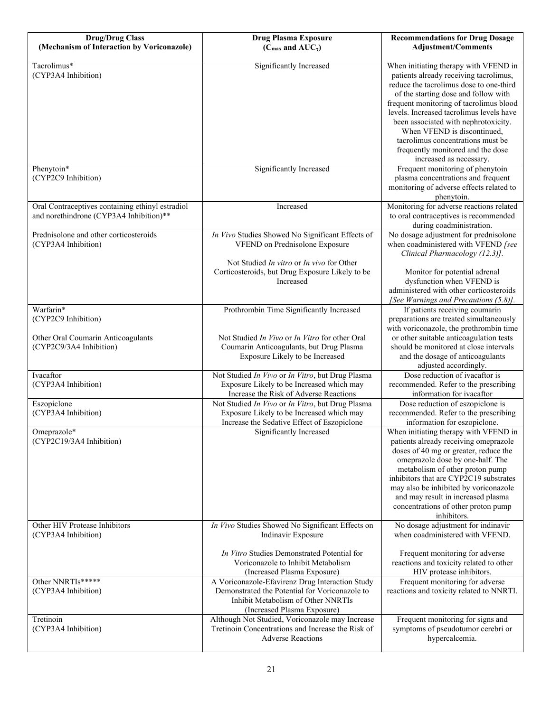| <b>Drug/Drug Class</b>                                                                      | <b>Drug Plasma Exposure</b>                                                                                                                                            | <b>Recommendations for Drug Dosage</b>                                                                                                                                                                                                                                                                                                                                                                                                |
|---------------------------------------------------------------------------------------------|------------------------------------------------------------------------------------------------------------------------------------------------------------------------|---------------------------------------------------------------------------------------------------------------------------------------------------------------------------------------------------------------------------------------------------------------------------------------------------------------------------------------------------------------------------------------------------------------------------------------|
| (Mechanism of Interaction by Voriconazole)                                                  | ( $C_{\text{max}}$ and $AUC_{\tau}$ )                                                                                                                                  | <b>Adjustment/Comments</b>                                                                                                                                                                                                                                                                                                                                                                                                            |
| Tacrolimus*<br>(CYP3A4 Inhibition)                                                          | Significantly Increased                                                                                                                                                | When initiating therapy with VFEND in<br>patients already receiving tacrolimus,<br>reduce the tacrolimus dose to one-third<br>of the starting dose and follow with<br>frequent monitoring of tacrolimus blood<br>levels. Increased tacrolimus levels have<br>been associated with nephrotoxicity.<br>When VFEND is discontinued,<br>tacrolimus concentrations must be<br>frequently monitored and the dose<br>increased as necessary. |
| Phenytoin*<br>(CYP2C9 Inhibition)                                                           | Significantly Increased                                                                                                                                                | Frequent monitoring of phenytoin<br>plasma concentrations and frequent<br>monitoring of adverse effects related to<br>phenytoin.                                                                                                                                                                                                                                                                                                      |
| Oral Contraceptives containing ethinyl estradiol<br>and norethindrone (CYP3A4 Inhibition)** | Increased                                                                                                                                                              | Monitoring for adverse reactions related<br>to oral contraceptives is recommended<br>during coadministration.                                                                                                                                                                                                                                                                                                                         |
| Prednisolone and other corticosteroids<br>(CYP3A4 Inhibition)                               | In Vivo Studies Showed No Significant Effects of<br>VFEND on Prednisolone Exposure                                                                                     | No dosage adjustment for prednisolone<br>when coadministered with VFEND [see<br>Clinical Pharmacology (12.3)].                                                                                                                                                                                                                                                                                                                        |
|                                                                                             | Not Studied In vitro or In vivo for Other<br>Corticosteroids, but Drug Exposure Likely to be<br>Increased                                                              | Monitor for potential adrenal<br>dysfunction when VFEND is<br>administered with other corticosteroids<br>[See Warnings and Precautions (5.8)].                                                                                                                                                                                                                                                                                        |
| Warfarin*<br>(CYP2C9 Inhibition)                                                            | Prothrombin Time Significantly Increased                                                                                                                               | If patients receiving coumarin<br>preparations are treated simultaneously<br>with voriconazole, the prothrombin time                                                                                                                                                                                                                                                                                                                  |
| Other Oral Coumarin Anticoagulants<br>(CYP2C9/3A4 Inhibition)                               | Not Studied In Vivo or In Vitro for other Oral<br>Coumarin Anticoagulants, but Drug Plasma<br>Exposure Likely to be Increased                                          | or other suitable anticoagulation tests<br>should be monitored at close intervals<br>and the dosage of anticoagulants<br>adjusted accordingly.                                                                                                                                                                                                                                                                                        |
| Ivacaftor<br>(CYP3A4 Inhibition)                                                            | Not Studied In Vivo or In Vitro, but Drug Plasma<br>Exposure Likely to be Increased which may<br>Increase the Risk of Adverse Reactions                                | Dose reduction of ivacaftor is<br>recommended. Refer to the prescribing<br>information for ivacaftor                                                                                                                                                                                                                                                                                                                                  |
| Eszopiclone<br>(CYP3A4 Inhibition)                                                          | Not Studied In Vivo or In Vitro, but Drug Plasma<br>Exposure Likely to be Increased which may<br>Increase the Sedative Effect of Eszopiclone                           | Dose reduction of eszopiclone is<br>recommended. Refer to the prescribing<br>information for eszopiclone.                                                                                                                                                                                                                                                                                                                             |
| Omeprazole*<br>(CYP2C19/3A4 Inhibition)                                                     | Significantly Increased                                                                                                                                                | When initiating therapy with VFEND in<br>patients already receiving omeprazole<br>doses of 40 mg or greater, reduce the<br>omeprazole dose by one-half. The<br>metabolism of other proton pump<br>inhibitors that are CYP2C19 substrates<br>may also be inhibited by voriconazole<br>and may result in increased plasma<br>concentrations of other proton pump<br>inhibitors.                                                         |
| Other HIV Protease Inhibitors<br>(CYP3A4 Inhibition)                                        | In Vivo Studies Showed No Significant Effects on<br>Indinavir Exposure                                                                                                 | No dosage adjustment for indinavir<br>when coadministered with VFEND.                                                                                                                                                                                                                                                                                                                                                                 |
|                                                                                             | In Vitro Studies Demonstrated Potential for<br>Voriconazole to Inhibit Metabolism<br>(Increased Plasma Exposure)                                                       | Frequent monitoring for adverse<br>reactions and toxicity related to other<br>HIV protease inhibitors.                                                                                                                                                                                                                                                                                                                                |
| Other NNRTIs*****<br>(CYP3A4 Inhibition)                                                    | A Voriconazole-Efavirenz Drug Interaction Study<br>Demonstrated the Potential for Voriconazole to<br>Inhibit Metabolism of Other NNRTIs<br>(Increased Plasma Exposure) | Frequent monitoring for adverse<br>reactions and toxicity related to NNRTI.                                                                                                                                                                                                                                                                                                                                                           |
| Tretinoin<br>(CYP3A4 Inhibition)                                                            | Although Not Studied, Voriconazole may Increase<br>Tretinoin Concentrations and Increase the Risk of<br><b>Adverse Reactions</b>                                       | Frequent monitoring for signs and<br>symptoms of pseudotumor cerebri or<br>hypercalcemia.                                                                                                                                                                                                                                                                                                                                             |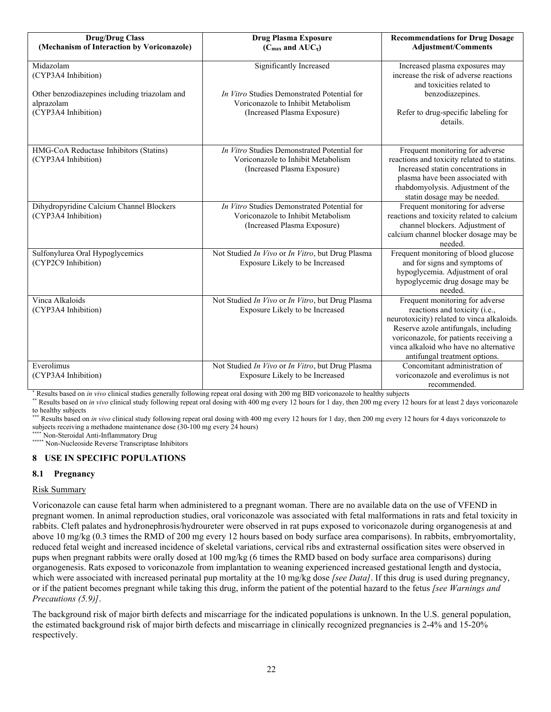| <b>Drug/Drug Class</b>                                                                                                 | <b>Drug Plasma Exposure</b>                                                                                                                 | <b>Recommendations for Drug Dosage</b>                                                                                                                                                                                                                                      |
|------------------------------------------------------------------------------------------------------------------------|---------------------------------------------------------------------------------------------------------------------------------------------|-----------------------------------------------------------------------------------------------------------------------------------------------------------------------------------------------------------------------------------------------------------------------------|
| (Mechanism of Interaction by Voriconazole)                                                                             | ( $C_{\text{max}}$ and $AUC_{\tau}$ )                                                                                                       | <b>Adjustment/Comments</b>                                                                                                                                                                                                                                                  |
| Midazolam<br>(CYP3A4 Inhibition)<br>Other benzodiazepines including triazolam and<br>alprazolam<br>(CYP3A4 Inhibition) | Significantly Increased<br>In Vitro Studies Demonstrated Potential for<br>Voriconazole to Inhibit Metabolism<br>(Increased Plasma Exposure) | Increased plasma exposures may<br>increase the risk of adverse reactions<br>and toxicities related to<br>benzodiazepines.<br>Refer to drug-specific labeling for<br>details.                                                                                                |
| HMG-CoA Reductase Inhibitors (Statins)<br>(CYP3A4 Inhibition)                                                          | In Vitro Studies Demonstrated Potential for<br>Voriconazole to Inhibit Metabolism<br>(Increased Plasma Exposure)                            | Frequent monitoring for adverse<br>reactions and toxicity related to statins.<br>Increased statin concentrations in<br>plasma have been associated with<br>rhabdomyolysis. Adjustment of the<br>statin dosage may be needed.                                                |
| Dihydropyridine Calcium Channel Blockers<br>(CYP3A4 Inhibition)                                                        | In Vitro Studies Demonstrated Potential for<br>Voriconazole to Inhibit Metabolism<br>(Increased Plasma Exposure)                            | Frequent monitoring for adverse<br>reactions and toxicity related to calcium<br>channel blockers. Adjustment of<br>calcium channel blocker dosage may be<br>needed.                                                                                                         |
| Sulfonylurea Oral Hypoglycemics<br>(CYP2C9 Inhibition)                                                                 | Not Studied In Vivo or In Vitro, but Drug Plasma<br>Exposure Likely to be Increased                                                         | Frequent monitoring of blood glucose<br>and for signs and symptoms of<br>hypoglycemia. Adjustment of oral<br>hypoglycemic drug dosage may be<br>needed.                                                                                                                     |
| Vinca Alkaloids<br>(CYP3A4 Inhibition)                                                                                 | Not Studied In Vivo or In Vitro, but Drug Plasma<br>Exposure Likely to be Increased                                                         | Frequent monitoring for adverse<br>reactions and toxicity (i.e.,<br>neurotoxicity) related to vinca alkaloids.<br>Reserve azole antifungals, including<br>voriconazole, for patients receiving a<br>vinca alkaloid who have no alternative<br>antifungal treatment options. |
| Everolimus<br>(CYP3A4 Inhibition)                                                                                      | Not Studied In Vivo or In Vitro, but Drug Plasma<br>Exposure Likely to be Increased                                                         | Concomitant administration of<br>voriconazole and everolimus is not<br>recommended.                                                                                                                                                                                         |

\* Results based on *in vivo* clinical studies generally following repeat oral dosing with 200 mg BID voriconazole to healthy subjects

\*\* Results based on *in vivo* clinical study following repeat oral dosing with 400 mg every 12 hours for 1 day, then 200 mg every 12 hours for at least 2 days voriconazole to healthy subjects

Results based on *in vivo* clinical study following repeat oral dosing with 400 mg every 12 hours for 1 day, then 200 mg every 12 hours for 4 days voriconazole to subjects receiving a methadone maintenance dose (30-100 mg every 24 hours)

Non-Steroidal Anti-Inflammatory Drug

\*\*\*\*\* Non-Nucleoside Reverse Transcriptase Inhibitors

### **8 USE IN SPECIFIC POPULATIONS**

#### **8.1 Pregnancy**

#### Risk Summary

Voriconazole can cause fetal harm when administered to a pregnant woman. There are no available data on the use of VFEND in pregnant women. In animal reproduction studies, oral voriconazole was associated with fetal malformations in rats and fetal toxicity in rabbits. Cleft palates and hydronephrosis/hydroureter were observed in rat pups exposed to voriconazole during organogenesis at and above 10 mg/kg (0.3 times the RMD of 200 mg every 12 hours based on body surface area comparisons). In rabbits, embryomortality, reduced fetal weight and increased incidence of skeletal variations, cervical ribs and extrasternal ossification sites were observed in pups when pregnant rabbits were orally dosed at 100 mg/kg (6 times the RMD based on body surface area comparisons) during organogenesis. Rats exposed to voriconazole from implantation to weaning experienced increased gestational length and dystocia, which were associated with increased perinatal pup mortality at the 10 mg/kg dose *[see Data]*. If this drug is used during pregnancy, or if the patient becomes pregnant while taking this drug, inform the patient of the potential hazard to the fetus *[see Warnings and Precautions (5.9)]*.

The background risk of major birth defects and miscarriage for the indicated populations is unknown. In the U.S. general population, the estimated background risk of major birth defects and miscarriage in clinically recognized pregnancies is 2-4% and 15-20% respectively.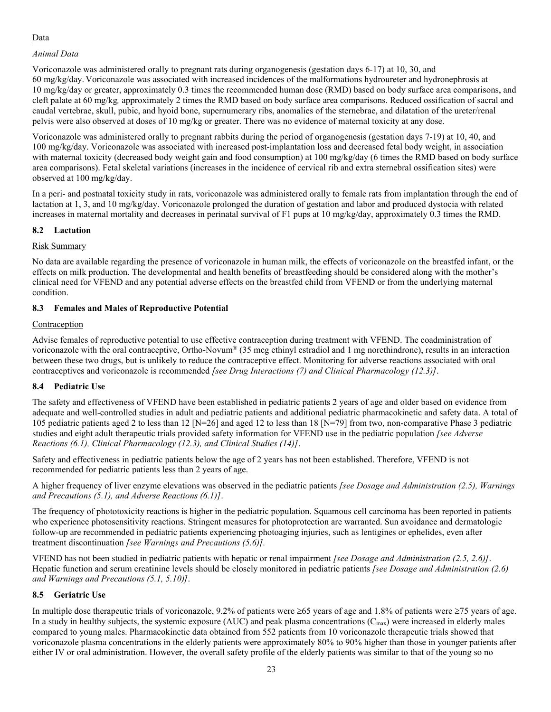# Data

# *Animal Data*

Voriconazole was administered orally to pregnant rats during organogenesis (gestation days 6-17) at 10, 30, and 60 mg/kg/day..Voriconazole was associated with increased incidences of the malformations hydroureter and hydronephrosis at 10 mg/kg/day or greater, approximately 0.3 times the recommended human dose (RMD) based on body surface area comparisons, and cleft palate at 60 mg/kg*,* approximately 2 times the RMD based on body surface area comparisons. Reduced ossification of sacral and caudal vertebrae, skull, pubic, and hyoid bone, supernumerary ribs, anomalies of the sternebrae, and dilatation of the ureter/renal pelvis were also observed at doses of 10 mg/kg or greater. There was no evidence of maternal toxicity at any dose.

Voriconazole was administered orally to pregnant rabbits during the period of organogenesis (gestation days 7-19) at 10, 40, and 100 mg/kg/day. Voriconazole was associated with increased post-implantation loss and decreased fetal body weight, in association with maternal toxicity (decreased body weight gain and food consumption) at 100 mg/kg/day (6 times the RMD based on body surface area comparisons). Fetal skeletal variations (increases in the incidence of cervical rib and extra sternebral ossification sites) were observed at 100 mg/kg/day.

In a peri- and postnatal toxicity study in rats, voriconazole was administered orally to female rats from implantation through the end of lactation at 1, 3, and 10 mg/kg/day. Voriconazole prolonged the duration of gestation and labor and produced dystocia with related increases in maternal mortality and decreases in perinatal survival of F1 pups at 10 mg/kg/day, approximately 0.3 times the RMD.

# **8.2 Lactation**

# Risk Summary

No data are available regarding the presence of voriconazole in human milk, the effects of voriconazole on the breastfed infant, or the effects on milk production. The developmental and health benefits of breastfeeding should be considered along with the mother's clinical need for VFEND and any potential adverse effects on the breastfed child from VFEND or from the underlying maternal condition.

# **8.3 Females and Males of Reproductive Potential**

# Contraception

Advise females of reproductive potential to use effective contraception during treatment with VFEND. The coadministration of voriconazole with the oral contraceptive, Ortho-Novum® (35 mcg ethinyl estradiol and 1 mg norethindrone), results in an interaction between these two drugs, but is unlikely to reduce the contraceptive effect. Monitoring for adverse reactions associated with oral contraceptives and voriconazole is recommended *[see Drug Interactions (7) and Clinical Pharmacology (12.3)]*.

# **8.4 Pediatric Use**

The safety and effectiveness of VFEND have been established in pediatric patients 2 years of age and older based on evidence from adequate and well-controlled studies in adult and pediatric patients and additional pediatric pharmacokinetic and safety data. A total of 105 pediatric patients aged 2 to less than 12 [N=26] and aged 12 to less than 18 [N=79] from two, non-comparative Phase 3 pediatric studies and eight adult therapeutic trials provided safety information for VFEND use in the pediatric population *[see Adverse Reactions (6.1), Clinical Pharmacology (12.3), and Clinical Studies (14)]*.

Safety and effectiveness in pediatric patients below the age of 2 years has not been established. Therefore, VFEND is not recommended for pediatric patients less than 2 years of age.

A higher frequency of liver enzyme elevations was observed in the pediatric patients *[see Dosage and Administration (2.5), Warnings and Precautions (5.1), and Adverse Reactions (6.1)]*.

The frequency of phototoxicity reactions is higher in the pediatric population. Squamous cell carcinoma has been reported in patients who experience photosensitivity reactions. Stringent measures for photoprotection are warranted. Sun avoidance and dermatologic follow-up are recommended in pediatric patients experiencing photoaging injuries, such as lentigines or ephelides, even after treatment discontinuation *[see Warnings and Precautions (5.6)].*

VFEND has not been studied in pediatric patients with hepatic or renal impairment *[see Dosage and Administration (2.5, 2.6)]*. Hepatic function and serum creatinine levels should be closely monitored in pediatric patients *[see Dosage and Administration (2.6) and Warnings and Precautions (5.1, 5.10)]*.

# **8.5 Geriatric Use**

In multiple dose therapeutic trials of voriconazole, 9.2% of patients were  $\geq$ 65 years of age and 1.8% of patients were  $\geq$ 75 years of age. In a study in healthy subjects, the systemic exposure (AUC) and peak plasma concentrations  $(C_{\text{max}})$  were increased in elderly males compared to young males. Pharmacokinetic data obtained from 552 patients from 10 voriconazole therapeutic trials showed that voriconazole plasma concentrations in the elderly patients were approximately 80% to 90% higher than those in younger patients after either IV or oral administration. However, the overall safety profile of the elderly patients was similar to that of the young so no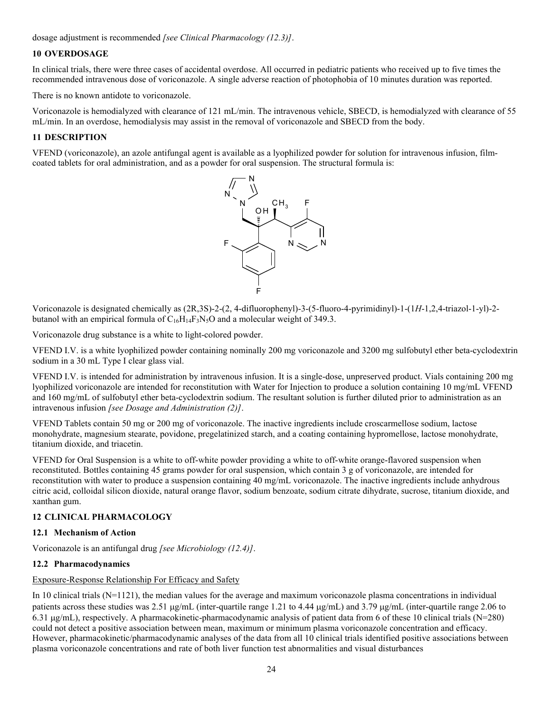dosage adjustment is recommended *[see Clinical Pharmacology (12.3)]*.

# **10 OVERDOSAGE**

In clinical trials, there were three cases of accidental overdose. All occurred in pediatric patients who received up to five times the recommended intravenous dose of voriconazole. A single adverse reaction of photophobia of 10 minutes duration was reported.

There is no known antidote to voriconazole.

Voriconazole is hemodialyzed with clearance of 121 mL/min. The intravenous vehicle, SBECD, is hemodialyzed with clearance of 55 mL/min. In an overdose, hemodialysis may assist in the removal of voriconazole and SBECD from the body.

### **11 DESCRIPTION**

VFEND (voriconazole), an azole antifungal agent is available as a lyophilized powder for solution for intravenous infusion, filmcoated tablets for oral administration, and as a powder for oral suspension. The structural formula is:



Voriconazole is designated chemically as (2R,3S)-2-(2, 4-difluorophenyl)-3-(5-fluoro-4-pyrimidinyl)-1-(1*H*-1,2,4-triazol-1-yl)-2 butanol with an empirical formula of  $C_{16}H_{14}F_3N_5O$  and a molecular weight of 349.3.

Voriconazole drug substance is a white to light-colored powder.

VFEND I.V. is a white lyophilized powder containing nominally 200 mg voriconazole and 3200 mg sulfobutyl ether beta-cyclodextrin sodium in a 30 mL Type I clear glass vial.

VFEND I.V. is intended for administration by intravenous infusion. It is a single-dose, unpreserved product. Vials containing 200 mg lyophilized voriconazole are intended for reconstitution with Water for Injection to produce a solution containing 10 mg/mL VFEND and 160 mg/mL of sulfobutyl ether beta-cyclodextrin sodium. The resultant solution is further diluted prior to administration as an intravenous infusion *[see Dosage and Administration (2)]*.

VFEND Tablets contain 50 mg or 200 mg of voriconazole. The inactive ingredients include croscarmellose sodium, lactose monohydrate, magnesium stearate, povidone, pregelatinized starch, and a coating containing hypromellose, lactose monohydrate, titanium dioxide, and triacetin.

VFEND for Oral Suspension is a white to off-white powder providing a white to off-white orange-flavored suspension when reconstituted. Bottles containing 45 grams powder for oral suspension, which contain 3 g of voriconazole, are intended for reconstitution with water to produce a suspension containing 40 mg/mL voriconazole. The inactive ingredients include anhydrous citric acid, colloidal silicon dioxide, natural orange flavor, sodium benzoate, sodium citrate dihydrate, sucrose, titanium dioxide, and xanthan gum.

# **12 CLINICAL PHARMACOLOGY**

#### **12.1 Mechanism of Action**

Voriconazole is an antifungal drug *[see Microbiology (12.4)]*.

# **12.2 Pharmacodynamics**

### Exposure-Response Relationship For Efficacy and Safety

In 10 clinical trials  $(N=1121)$ , the median values for the average and maximum voriconazole plasma concentrations in individual patients across these studies was 2.51  $\mu$ g/mL (inter-quartile range 1.21 to 4.44  $\mu$ g/mL) and 3.79  $\mu$ g/mL (inter-quartile range 2.06 to 6.31  $\mu$ g/mL), respectively. A pharmacokinetic-pharmacodynamic analysis of patient data from 6 of these 10 clinical trials (N=280) could not detect a positive association between mean, maximum or minimum plasma voriconazole concentration and efficacy. However, pharmacokinetic/pharmacodynamic analyses of the data from all 10 clinical trials identified positive associations between plasma voriconazole concentrations and rate of both liver function test abnormalities and visual disturbances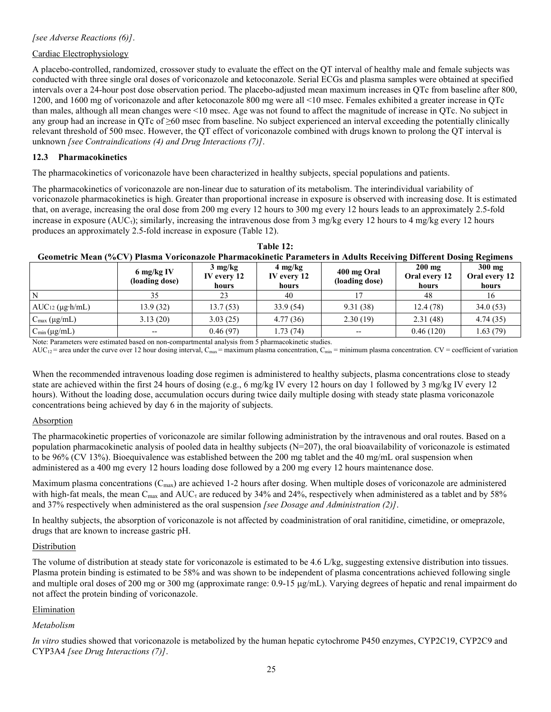# Cardiac Electrophysiology

A placebo-controlled, randomized, crossover study to evaluate the effect on the QT interval of healthy male and female subjects was conducted with three single oral doses of voriconazole and ketoconazole. Serial ECGs and plasma samples were obtained at specified intervals over a 24-hour post dose observation period. The placebo-adjusted mean maximum increases in QTc from baseline after 800, 1200, and 1600 mg of voriconazole and after ketoconazole 800 mg were all <10 msec. Females exhibited a greater increase in QTc than males, although all mean changes were <10 msec. Age was not found to affect the magnitude of increase in QTc. No subject in any group had an increase in QTc of ≥60 msec from baseline. No subject experienced an interval exceeding the potentially clinically relevant threshold of 500 msec. However, the QT effect of voriconazole combined with drugs known to prolong the QT interval is unknown *[see Contraindications (4) and Drug Interactions (7)]*.

# **12.3 Pharmacokinetics**

The pharmacokinetics of voriconazole have been characterized in healthy subjects, special populations and patients.

The pharmacokinetics of voriconazole are non-linear due to saturation of its metabolism. The interindividual variability of voriconazole pharmacokinetics is high. Greater than proportional increase in exposure is observed with increasing dose. It is estimated that, on average, increasing the oral dose from 200 mg every 12 hours to 300 mg every 12 hours leads to an approximately 2.5-fold increase in exposure (AUC<sub>τ</sub>); similarly, increasing the intravenous dose from 3 mg/kg every 12 hours to 4 mg/kg every 12 hours produces an approximately 2.5-fold increase in exposure (Table 12).

| Table 12:                                                                                                         |                      |                   |                                               |             |          |        |
|-------------------------------------------------------------------------------------------------------------------|----------------------|-------------------|-----------------------------------------------|-------------|----------|--------|
| Geometric Mean (%CV) Plasma Voriconazole Pharmacokinetic Parameters in Adults Receiving Different Dosing Regimens |                      |                   |                                               |             |          |        |
|                                                                                                                   | $6 \text{ mg/kg}$ IV | $3 \text{ mg/kg}$ | $4 \text{ mg/kg}$<br>$\overline{\phantom{a}}$ | 400 mg Oral | $200$ mg | 300 mg |

|                               | 6 mg/kg IV<br>(loading dose) | $3 \text{ mg/kg}$<br>IV every 12<br>hours | $4 \text{ mg/kg}$<br>IV every 12<br>hours | 400 mg Oral<br>(loading dose) | $200$ mg<br>Oral every 12<br>hours | $300$ mg<br>Oral every 12<br>hours |
|-------------------------------|------------------------------|-------------------------------------------|-------------------------------------------|-------------------------------|------------------------------------|------------------------------------|
| N                             | 35                           | 23                                        | 40                                        |                               | 48                                 | 16                                 |
| $AUC_{12} (\mu g \cdot h/mL)$ | 13.9(32)                     | 13.7(53)                                  | 33.9(54)                                  | 9.31(38)                      | 12.4(78)                           | 34.0(53)                           |
| $C_{\text{max}} (\mu g/mL)$   | 3.13(20)                     | 3.03(25)                                  | 4.77(36)                                  | 2.30(19)                      | 2.31(48)                           | 4.74(35)                           |
| $C_{\text{min}}(\mu g/mL)$    | $- -$                        | 0.46(97)                                  | 1.73 (74)                                 | $- -$                         | 0.46(120)                          | 1.63 (79)                          |

Note: Parameters were estimated based on non-compartmental analysis from 5 pharmacokinetic studies.

 $AUC_{12}$  = area under the curve over 12 hour dosing interval,  $C_{max}$  = maximum plasma concentration,  $C_{min}$  = minimum plasma concentration.  $CV$  = coefficient of variation

When the recommended intravenous loading dose regimen is administered to healthy subjects, plasma concentrations close to steady state are achieved within the first 24 hours of dosing (e.g., 6 mg/kg IV every 12 hours on day 1 followed by 3 mg/kg IV every 12 hours). Without the loading dose, accumulation occurs during twice daily multiple dosing with steady state plasma voriconazole concentrations being achieved by day 6 in the majority of subjects.

# Absorption

The pharmacokinetic properties of voriconazole are similar following administration by the intravenous and oral routes. Based on a population pharmacokinetic analysis of pooled data in healthy subjects (N=207), the oral bioavailability of voriconazole is estimated to be 96% (CV 13%). Bioequivalence was established between the 200 mg tablet and the 40 mg/mL oral suspension when administered as a 400 mg every 12 hours loading dose followed by a 200 mg every 12 hours maintenance dose.

Maximum plasma concentrations  $(C_{\text{max}})$  are achieved 1-2 hours after dosing. When multiple doses of voriconazole are administered with high-fat meals, the mean C<sub>max</sub> and AUC<sub>t</sub> are reduced by 34% and 24%, respectively when administered as a tablet and by 58% and 37% respectively when administered as the oral suspension *[see Dosage and Administration (2)]*.

In healthy subjects, the absorption of voriconazole is not affected by coadministration of oral ranitidine, cimetidine, or omeprazole, drugs that are known to increase gastric pH.

# **Distribution**

The volume of distribution at steady state for voriconazole is estimated to be 4.6 L/kg, suggesting extensive distribution into tissues. Plasma protein binding is estimated to be 58% and was shown to be independent of plasma concentrations achieved following single and multiple oral doses of 200 mg or 300 mg (approximate range:  $0.9-15 \mu g/mL$ ). Varying degrees of hepatic and renal impairment do not affect the protein binding of voriconazole.

# Elimination

# *Metabolism*

*In vitro* studies showed that voriconazole is metabolized by the human hepatic cytochrome P450 enzymes, CYP2C19, CYP2C9 and CYP3A4 *[see Drug Interactions (7)]*.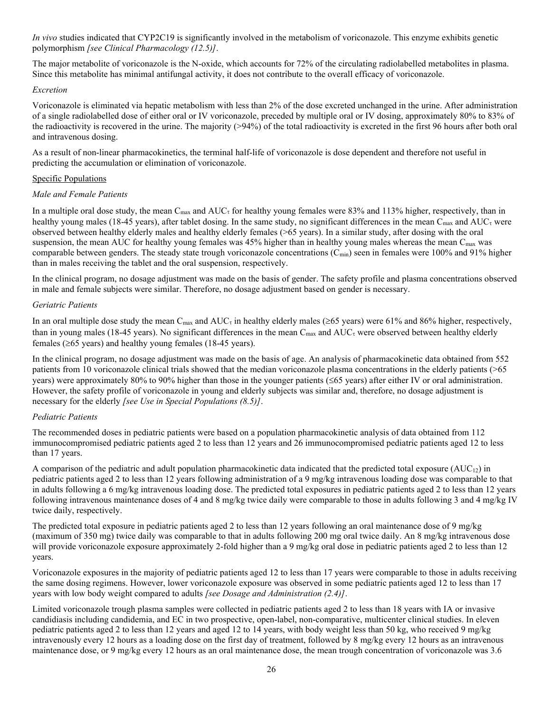*In vivo* studies indicated that CYP2C19 is significantly involved in the metabolism of voriconazole. This enzyme exhibits genetic polymorphism *[see Clinical Pharmacology (12.5)]*.

The major metabolite of voriconazole is the N-oxide, which accounts for 72% of the circulating radiolabelled metabolites in plasma. Since this metabolite has minimal antifungal activity, it does not contribute to the overall efficacy of voriconazole.

### *Excretion*

Voriconazole is eliminated via hepatic metabolism with less than 2% of the dose excreted unchanged in the urine. After administration of a single radiolabelled dose of either oral or IV voriconazole, preceded by multiple oral or IV dosing, approximately 80% to 83% of the radioactivity is recovered in the urine. The majority (>94%) of the total radioactivity is excreted in the first 96 hours after both oral and intravenous dosing.

As a result of non-linear pharmacokinetics, the terminal half-life of voriconazole is dose dependent and therefore not useful in predicting the accumulation or elimination of voriconazole.

# Specific Populations

# *Male and Female Patients*

In a multiple oral dose study, the mean  $C_{\text{max}}$  and  $AUC_{\tau}$  for healthy young females were 83% and 113% higher, respectively, than in healthy young males (18-45 years), after tablet dosing. In the same study, no significant differences in the mean  $C_{\text{max}}$  and  $AUC_{\tau}$  were observed between healthy elderly males and healthy elderly females (>65 years). In a similar study, after dosing with the oral suspension, the mean AUC for healthy young females was  $45%$  higher than in healthy young males whereas the mean C<sub>max</sub> was comparable between genders. The steady state trough voriconazole concentrations  $(C_{\text{min}})$  seen in females were 100% and 91% higher than in males receiving the tablet and the oral suspension, respectively.

In the clinical program, no dosage adjustment was made on the basis of gender. The safety profile and plasma concentrations observed in male and female subjects were similar. Therefore, no dosage adjustment based on gender is necessary.

# *Geriatric Patients*

In an oral multiple dose study the mean C<sub>max</sub> and AUC<sub>τ</sub> in healthy elderly males ( $\geq$ 65 years) were 61% and 86% higher, respectively, than in young males (18-45 years). No significant differences in the mean  $C_{\text{max}}$  and  $AUC_{\tau}$  were observed between healthy elderly females ( $\geq 65$  years) and healthy young females (18-45 years).

In the clinical program, no dosage adjustment was made on the basis of age. An analysis of pharmacokinetic data obtained from 552 patients from 10 voriconazole clinical trials showed that the median voriconazole plasma concentrations in the elderly patients (>65 years) were approximately 80% to 90% higher than those in the younger patients ( $\leq 65$  years) after either IV or oral administration. However, the safety profile of voriconazole in young and elderly subjects was similar and, therefore, no dosage adjustment is necessary for the elderly *[see Use in Special Populations (8.5)]*.

# *Pediatric Patients*

The recommended doses in pediatric patients were based on a population pharmacokinetic analysis of data obtained from 112 immunocompromised pediatric patients aged 2 to less than 12 years and 26 immunocompromised pediatric patients aged 12 to less than 17 years.

A comparison of the pediatric and adult population pharmacokinetic data indicated that the predicted total exposure  $(AUC_{12})$  in pediatric patients aged 2 to less than 12 years following administration of a 9 mg/kg intravenous loading dose was comparable to that in adults following a 6 mg/kg intravenous loading dose. The predicted total exposures in pediatric patients aged 2 to less than 12 years following intravenous maintenance doses of 4 and 8 mg/kg twice daily were comparable to those in adults following 3 and 4 mg/kg IV twice daily, respectively.

The predicted total exposure in pediatric patients aged 2 to less than 12 years following an oral maintenance dose of 9 mg/kg (maximum of 350 mg) twice daily was comparable to that in adults following 200 mg oral twice daily. An 8 mg/kg intravenous dose will provide voriconazole exposure approximately 2-fold higher than a 9 mg/kg oral dose in pediatric patients aged 2 to less than 12 years.

Voriconazole exposures in the majority of pediatric patients aged 12 to less than 17 years were comparable to those in adults receiving the same dosing regimens. However, lower voriconazole exposure was observed in some pediatric patients aged 12 to less than 17 years with low body weight compared to adults *[see Dosage and Administration (2.4)]*.

Limited voriconazole trough plasma samples were collected in pediatric patients aged 2 to less than 18 years with IA or invasive candidiasis including candidemia, and EC in two prospective, open-label, non-comparative, multicenter clinical studies. In eleven pediatric patients aged 2 to less than 12 years and aged 12 to 14 years, with body weight less than 50 kg, who received 9 mg/kg intravenously every 12 hours as a loading dose on the first day of treatment, followed by 8 mg/kg every 12 hours as an intravenous maintenance dose, or 9 mg/kg every 12 hours as an oral maintenance dose, the mean trough concentration of voriconazole was 3.6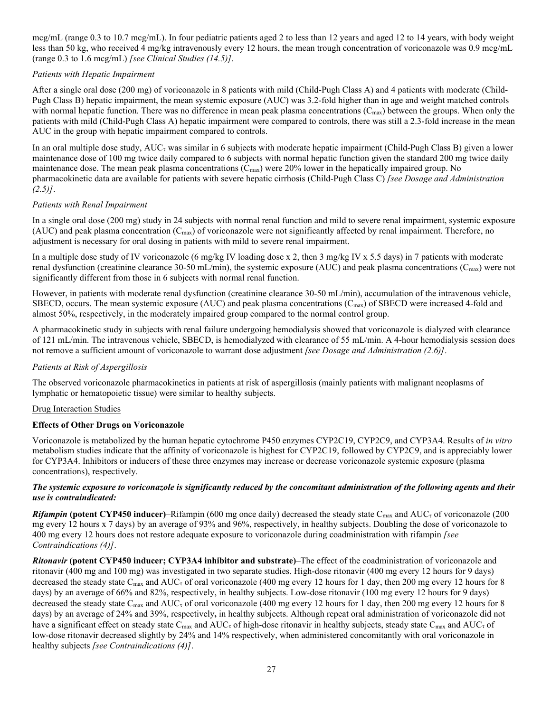mcg/mL (range 0.3 to 10.7 mcg/mL). In four pediatric patients aged 2 to less than 12 years and aged 12 to 14 years, with body weight less than 50 kg, who received 4 mg/kg intravenously every 12 hours, the mean trough concentration of voriconazole was 0.9 mcg/mL (range 0.3 to 1.6 mcg/mL) *[see Clinical Studies (14.5)]*.

# *Patients with Hepatic Impairment*

After a single oral dose (200 mg) of voriconazole in 8 patients with mild (Child-Pugh Class A) and 4 patients with moderate (Child-Pugh Class B) hepatic impairment, the mean systemic exposure (AUC) was 3.2-fold higher than in age and weight matched controls with normal hepatic function. There was no difference in mean peak plasma concentrations  $(C_{\text{max}})$  between the groups. When only the patients with mild (Child-Pugh Class A) hepatic impairment were compared to controls, there was still a 2.3-fold increase in the mean AUC in the group with hepatic impairment compared to controls.

In an oral multiple dose study,  $AUC_{\tau}$  was similar in 6 subjects with moderate hepatic impairment (Child-Pugh Class B) given a lower maintenance dose of 100 mg twice daily compared to 6 subjects with normal hepatic function given the standard 200 mg twice daily maintenance dose. The mean peak plasma concentrations  $(C_{\text{max}})$  were 20% lower in the hepatically impaired group. No pharmacokinetic data are available for patients with severe hepatic cirrhosis (Child-Pugh Class C) *[see Dosage and Administration (2.5)]*.

# *Patients with Renal Impairment*

In a single oral dose (200 mg) study in 24 subjects with normal renal function and mild to severe renal impairment, systemic exposure (AUC) and peak plasma concentration  $(C_{\text{max}})$  of voriconazole were not significantly affected by renal impairment. Therefore, no adjustment is necessary for oral dosing in patients with mild to severe renal impairment.

In a multiple dose study of IV voriconazole (6 mg/kg IV loading dose x 2, then 3 mg/kg IV x 5.5 days) in 7 patients with moderate renal dysfunction (creatinine clearance 30-50 mL/min), the systemic exposure (AUC) and peak plasma concentrations (Cmax) were not significantly different from those in 6 subjects with normal renal function.

However, in patients with moderate renal dysfunction (creatinine clearance 30-50 mL/min), accumulation of the intravenous vehicle, SBECD, occurs. The mean systemic exposure (AUC) and peak plasma concentrations ( $C_{\text{max}}$ ) of SBECD were increased 4-fold and almost 50%, respectively, in the moderately impaired group compared to the normal control group.

A pharmacokinetic study in subjects with renal failure undergoing hemodialysis showed that voriconazole is dialyzed with clearance of 121 mL/min. The intravenous vehicle, SBECD, is hemodialyzed with clearance of 55 mL/min. A 4-hour hemodialysis session does not remove a sufficient amount of voriconazole to warrant dose adjustment *[see Dosage and Administration (2.6)]*.

# *Patients at Risk of Aspergillosis*

The observed voriconazole pharmacokinetics in patients at risk of aspergillosis (mainly patients with malignant neoplasms of lymphatic or hematopoietic tissue) were similar to healthy subjects.

# Drug Interaction Studies

# **Effects of Other Drugs on Voriconazole**

Voriconazole is metabolized by the human hepatic cytochrome P450 enzymes CYP2C19, CYP2C9, and CYP3A4. Results of *in vitro* metabolism studies indicate that the affinity of voriconazole is highest for CYP2C19, followed by CYP2C9, and is appreciably lower for CYP3A4. Inhibitors or inducers of these three enzymes may increase or decrease voriconazole systemic exposure (plasma concentrations), respectively.

# *The systemic exposure to voriconazole is significantly reduced by the concomitant administration of the following agents and their use is contraindicated:*

**Rifampin** (potent CYP450 inducer)–Rifampin (600 mg once daily) decreased the steady state C<sub>max</sub> and AUC<sub>z</sub> of voriconazole (200 mg every 12 hours x 7 days) by an average of 93% and 96%, respectively, in healthy subjects. Doubling the dose of voriconazole to 400 mg every 12 hours does not restore adequate exposure to voriconazole during coadministration with rifampin *[see Contraindications (4)]*.

*Ritonavir* **(potent CYP450 inducer; CYP3A4 inhibitor and substrate)**–The effect of the coadministration of voriconazole and ritonavir (400 mg and 100 mg) was investigated in two separate studies. High-dose ritonavir (400 mg every 12 hours for 9 days) decreased the steady state C<sub>max</sub> and AUC<sub>τ</sub> of oral voriconazole (400 mg every 12 hours for 1 day, then 200 mg every 12 hours for 8 days) by an average of 66% and 82%, respectively, in healthy subjects. Low-dose ritonavir (100 mg every 12 hours for 9 days) decreased the steady state C<sub>max</sub> and AUC<sub><sup>t</sub></sup> of oral voriconazole (400 mg every 12 hours for 1 day, then 200 mg every 12 hours for 8</sub> days) by an average of 24% and 39%, respectively**,** in healthy subjects. Although repeat oral administration of voriconazole did not have a significant effect on steady state C<sub>max</sub> and AUC<sub>τ</sub> of high-dose ritonavir in healthy subjects, steady state C<sub>max</sub> and AUC<sub>τ</sub> of low-dose ritonavir decreased slightly by 24% and 14% respectively, when administered concomitantly with oral voriconazole in healthy subjects *[see Contraindications (4)]*.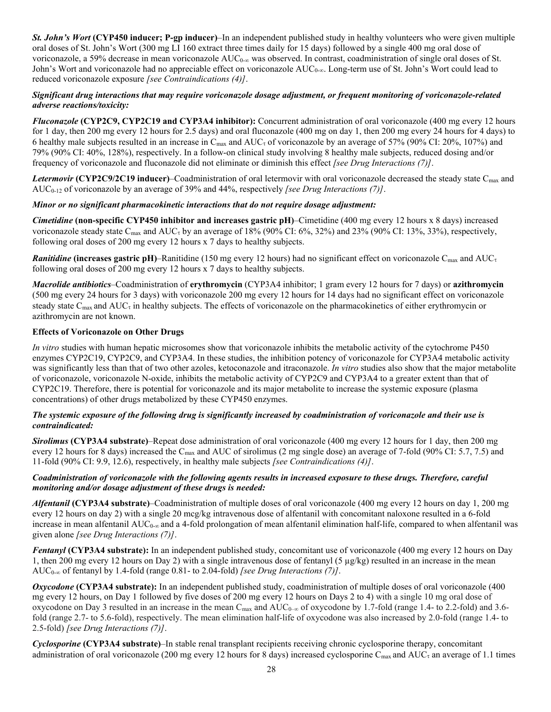*St. John's Wort* **(CYP450 inducer; P-gp inducer)**–In an independent published study in healthy volunteers who were given multiple oral doses of St. John's Wort (300 mg LI 160 extract three times daily for 15 days) followed by a single 400 mg oral dose of voriconazole, a 59% decrease in mean voriconazole  $AUC_{0-\infty}$  was observed. In contrast, coadministration of single oral doses of St. John's Wort and voriconazole had no appreciable effect on voriconazole AUC0-∞. Long-term use of St. John's Wort could lead to reduced voriconazole exposure *[see Contraindications (4)]*.

# *Significant drug interactions that may require voriconazole dosage adjustment, or frequent monitoring of voriconazole-related adverse reactions/toxicity:*

*Fluconazole* **(CYP2C9, CYP2C19 and CYP3A4 inhibitor):** Concurrent administration of oral voriconazole (400 mg every 12 hours for 1 day, then 200 mg every 12 hours for 2.5 days) and oral fluconazole (400 mg on day 1, then 200 mg every 24 hours for 4 days) to 6 healthy male subjects resulted in an increase in C<sub>max</sub> and AUC<sub><sup>t</sub></sup> of voriconazole by an average of 57% (90% CI: 20%, 107%) and</sub> 79% (90% CI: 40%, 128%), respectively. In a follow-on clinical study involving 8 healthy male subjects, reduced dosing and/or frequency of voriconazole and fluconazole did not eliminate or diminish this effect *[see Drug Interactions (7)]*.

Letermovir **(CYP2C9/2C19 inducer)–Coadministration of oral letermovir with oral voriconazole decreased the steady state C<sub>max</sub> and** AUC0-12 of voriconazole by an average of 39% and 44%, respectively *[see Drug Interactions (7)]*.

# *Minor or no significant pharmacokinetic interactions that do not require dosage adjustment:*

*Cimetidine* **(non-specific CYP450 inhibitor and increases gastric pH)**–Cimetidine (400 mg every 12 hours x 8 days) increased voriconazole steady state C<sub>max</sub> and AUC<sub>τ</sub> by an average of 18% (90% CI: 6%, 32%) and 23% (90% CI: 13%, 33%), respectively, following oral doses of 200 mg every 12 hours x 7 days to healthy subjects.

*Ranitidine* (increases gastric pH)–Ranitidine (150 mg every 12 hours) had no significant effect on voriconazole C<sub>max</sub> and AUC<sub>τ</sub> following oral doses of 200 mg every 12 hours x 7 days to healthy subjects.

*Macrolide antibiotics*–Coadministration of **erythromycin** (CYP3A4 inhibitor; 1 gram every 12 hours for 7 days) or **azithromycin** (500 mg every 24 hours for 3 days) with voriconazole 200 mg every 12 hours for 14 days had no significant effect on voriconazole steady state  $C_{\text{max}}$  and  $AUC_t$  in healthy subjects. The effects of voriconazole on the pharmacokinetics of either erythromycin or azithromycin are not known.

# **Effects of Voriconazole on Other Drugs**

*In vitro* studies with human hepatic microsomes show that voriconazole inhibits the metabolic activity of the cytochrome P450 enzymes CYP2C19, CYP2C9, and CYP3A4. In these studies, the inhibition potency of voriconazole for CYP3A4 metabolic activity was significantly less than that of two other azoles, ketoconazole and itraconazole. *In vitro* studies also show that the major metabolite of voriconazole, voriconazole N-oxide, inhibits the metabolic activity of CYP2C9 and CYP3A4 to a greater extent than that of CYP2C19. Therefore, there is potential for voriconazole and its major metabolite to increase the systemic exposure (plasma concentrations) of other drugs metabolized by these CYP450 enzymes.

# *The systemic exposure of the following drug is significantly increased by coadministration of voriconazole and their use is contraindicated:*

*Sirolimus* **(CYP3A4 substrate)**–Repeat dose administration of oral voriconazole (400 mg every 12 hours for 1 day, then 200 mg every 12 hours for 8 days) increased the C<sub>max</sub> and AUC of sirolimus (2 mg single dose) an average of 7-fold (90% CI: 5.7, 7.5) and 11-fold (90% CI: 9.9, 12.6), respectively, in healthy male subjects *[see Contraindications (4)]*.

# *Coadministration of voriconazole with the following agents results in increased exposure to these drugs. Therefore, careful monitoring and/or dosage adjustment of these drugs is needed:*

*Alfentanil* **(CYP3A4 substrate)**–Coadministration of multiple doses of oral voriconazole (400 mg every 12 hours on day 1, 200 mg every 12 hours on day 2) with a single 20 mcg/kg intravenous dose of alfentanil with concomitant naloxone resulted in a 6-fold increase in mean alfentanil  $AUC_{0-\infty}$  and a 4-fold prolongation of mean alfentanil elimination half-life, compared to when alfentanil was given alone *[see Drug Interactions (7)]*.

*Fentanyl* **(CYP3A4 substrate):** In an independent published study, concomitant use of voriconazole (400 mg every 12 hours on Day 1, then 200 mg every 12 hours on Day 2) with a single intravenous dose of fentanyl (5 µg/kg) resulted in an increase in the mean AUC0-∞ of fentanyl by 1.4-fold (range 0.81- to 2.04-fold) *[see Drug Interactions (7)]*.

*Oxycodone* **(CYP3A4 substrate):** In an independent published study, coadministration of multiple doses of oral voriconazole (400 mg every 12 hours, on Day 1 followed by five doses of 200 mg every 12 hours on Days 2 to 4) with a single 10 mg oral dose of oxycodone on Day 3 resulted in an increase in the mean C<sub>max</sub> and AUC<sub>0–∞</sub> of oxycodone by 1.7-fold (range 1.4- to 2.2-fold) and 3.6fold (range 2.7- to 5.6-fold), respectively. The mean elimination half-life of oxycodone was also increased by 2.0-fold (range 1.4- to 2.5-fold) *[see Drug Interactions (7)]*.

*Cyclosporine* **(CYP3A4 substrate)**–In stable renal transplant recipients receiving chronic cyclosporine therapy, concomitant administration of oral voriconazole (200 mg every 12 hours for 8 days) increased cyclosporine  $C_{\text{max}}$  and  $AUC_1$  an average of 1.1 times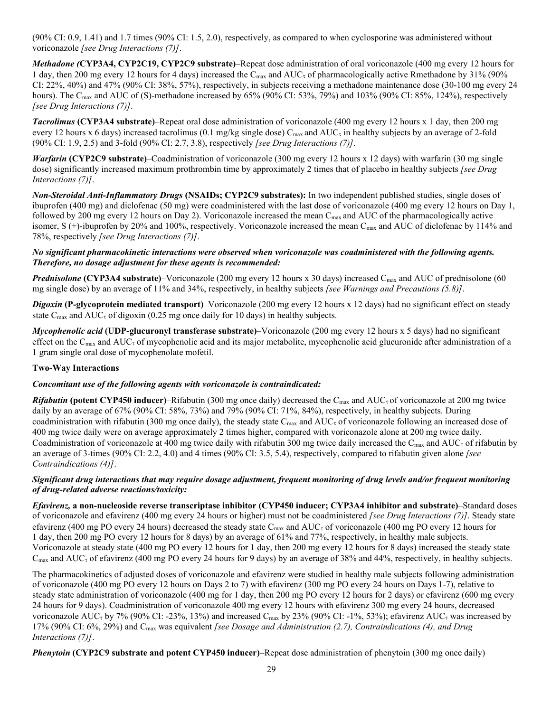(90% CI: 0.9, 1.41) and 1.7 times (90% CI: 1.5, 2.0), respectively, as compared to when cyclosporine was administered without voriconazole *[see Drug Interactions (7)]*.

*Methadone (***CYP3A4, CYP2C19, CYP2C9 substrate)**–Repeat dose administration of oral voriconazole (400 mg every 12 hours for 1 day, then 200 mg every 12 hours for 4 days) increased the C<sub>max</sub> and AUC<sub>τ</sub> of pharmacologically active Rmethadone by 31% (90%) CI: 22%, 40%) and 47% (90% CI: 38%, 57%), respectively, in subjects receiving a methadone maintenance dose (30-100 mg every 24 hours). The C<sub>max</sub> and AUC of (S)-methadone increased by 65% (90% CI: 53%, 79%) and 103% (90% CI: 85%, 124%), respectively *[see Drug Interactions (7)]*.

*Tacrolimus* **(CYP3A4 substrate)**–Repeat oral dose administration of voriconazole (400 mg every 12 hours x 1 day, then 200 mg every 12 hours x 6 days) increased tacrolimus (0.1 mg/kg single dose) C<sub>max</sub> and AUC<sub>I</sub> in healthy subjects by an average of 2-fold (90% CI: 1.9, 2.5) and 3-fold (90% CI: 2.7, 3.8), respectively *[see Drug Interactions (7)]*.

*Warfarin* **(CYP2C9 substrate)**–Coadministration of voriconazole (300 mg every 12 hours x 12 days) with warfarin (30 mg single dose) significantly increased maximum prothrombin time by approximately 2 times that of placebo in healthy subjects *[see Drug Interactions (7)]*.

*Non-Steroidal Anti-Inflammatory Drugs* **(NSAIDs; CYP2C9 substrates):** In two independent published studies, single doses of ibuprofen (400 mg) and diclofenac (50 mg) were coadministered with the last dose of voriconazole (400 mg every 12 hours on Day 1, followed by 200 mg every 12 hours on Day 2). Voriconazole increased the mean  $C_{\text{max}}$  and AUC of the pharmacologically active isomer, S (+)-ibuprofen by 20% and 100%, respectively. Voriconazole increased the mean Cmax and AUC of diclofenac by 114% and 78%, respectively *[see Drug Interactions (7)]*.

# *No significant pharmacokinetic interactions were observed when voriconazole was coadministered with the following agents. Therefore, no dosage adjustment for these agents is recommended:*

*Prednisolone* (CYP3A4 substrate)–Voriconazole (200 mg every 12 hours x 30 days) increased C<sub>max</sub> and AUC of prednisolone (60 mg single dose) by an average of 11% and 34%, respectively, in healthy subjects *[see Warnings and Precautions (5.8)]*.

*Digoxin* **(P-glycoprotein mediated transport)**–Voriconazole (200 mg every 12 hours x 12 days) had no significant effect on steady state  $C_{\text{max}}$  and  $AUC_{\tau}$  of digoxin (0.25 mg once daily for 10 days) in healthy subjects.

*Mycophenolic acid* **(UDP-glucuronyl transferase substrate)**–Voriconazole (200 mg every 12 hours x 5 days) had no significant effect on the C<sub>max</sub> and AUC<sub>τ</sub> of mycophenolic acid and its major metabolite, mycophenolic acid glucuronide after administration of a 1 gram single oral dose of mycophenolate mofetil.

# **Two-Way Interactions**

# *Concomitant use of the following agents with voriconazole is contraindicated:*

*Rifabutin* (potent CYP450 inducer)–Rifabutin (300 mg once daily) decreased the C<sub>max</sub> and AUC<sub><sup>t</sub></sup> of voriconazole at 200 mg twice</sub> daily by an average of 67% (90% CI: 58%, 73%) and 79% (90% CI: 71%, 84%), respectively, in healthy subjects. During coadministration with rifabutin (300 mg once daily), the steady state C<sub>max</sub> and AUC<sub>τ</sub> of voriconazole following an increased dose of 400 mg twice daily were on average approximately 2 times higher, compared with voriconazole alone at 200 mg twice daily. Coadministration of voriconazole at 400 mg twice daily with rifabutin 300 mg twice daily increased the C<sub>max</sub> and AUC<sub>s</sub> of rifabutin by an average of 3-times (90% CI: 2.2, 4.0) and 4 times (90% CI: 3.5, 5.4), respectively, compared to rifabutin given alone *[see Contraindications (4)]*.

# *Significant drug interactions that may require dosage adjustment, frequent monitoring of drug levels and/or frequent monitoring of drug-related adverse reactions/toxicity:*

*Efavirenz,* **a non-nucleoside reverse transcriptase inhibitor (CYP450 inducer; CYP3A4 inhibitor and substrate)**–Standard doses of voriconazole and efavirenz (400 mg every 24 hours or higher) must not be coadministered *[see Drug Interactions (7)]*. Steady state efavirenz (400 mg PO every 24 hours) decreased the steady state C<sub>max</sub> and AUC<sub>τ</sub> of voriconazole (400 mg PO every 12 hours for 1 day, then 200 mg PO every 12 hours for 8 days) by an average of 61% and 77%, respectively, in healthy male subjects. Voriconazole at steady state (400 mg PO every 12 hours for 1 day, then 200 mg every 12 hours for 8 days) increased the steady state  $C_{\text{max}}$  and  $AUC_{\tau}$  of efavirenz (400 mg PO every 24 hours for 9 days) by an average of 38% and 44%, respectively, in healthy subjects.

The pharmacokinetics of adjusted doses of voriconazole and efavirenz were studied in healthy male subjects following administration of voriconazole (400 mg PO every 12 hours on Days 2 to 7) with efavirenz (300 mg PO every 24 hours on Days 1-7), relative to steady state administration of voriconazole (400 mg for 1 day, then 200 mg PO every 12 hours for 2 days) or efavirenz (600 mg every 24 hours for 9 days). Coadministration of voriconazole 400 mg every 12 hours with efavirenz 300 mg every 24 hours, decreased voriconazole AUC<sub><sup>t</sub></sup> by 7% (90% CI: -23%, 13%) and increased C<sub>max</sub> by 23% (90% CI: -1%, 53%); efavirenz AUC<sub>t</sub> was increased by</sub> 17% (90% CI: 6%, 29%) and Cmax was equivalent *[see Dosage and Administration (2.7), Contraindications (4), and Drug Interactions (7)]*.

*Phenytoin* **(CYP2C9 substrate and potent CYP450 inducer)**–Repeat dose administration of phenytoin (300 mg once daily)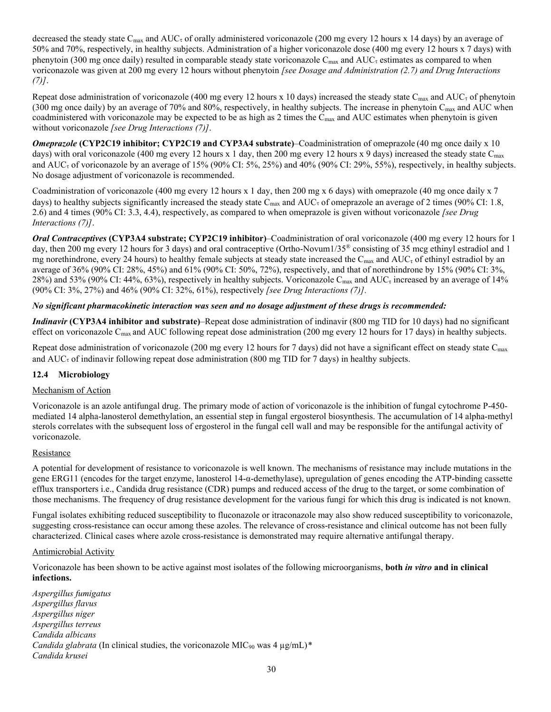decreased the steady state C<sub>max</sub> and AUC<sub><sup>t</sub></sup> of orally administered voriconazole (200 mg every 12 hours x 14 days) by an average of</sub> 50% and 70%, respectively, in healthy subjects. Administration of a higher voriconazole dose (400 mg every 12 hours x 7 days) with phenytoin (300 mg once daily) resulted in comparable steady state voriconazole  $C_{\text{max}}$  and  $AUC_t$  estimates as compared to when voriconazole was given at 200 mg every 12 hours without phenytoin *[see Dosage and Administration (2.7) and Drug Interactions (7)]*.

Repeat dose administration of voriconazole (400 mg every 12 hours x 10 days) increased the steady state C<sub>max</sub> and AUC<sub>z</sub> of phenytoin (300 mg once daily) by an average of 70% and 80%, respectively, in healthy subjects. The increase in phenytoin C<sub>max</sub> and AUC when coadministered with voriconazole may be expected to be as high as 2 times the  $C_{\text{max}}$  and AUC estimates when phenytoin is given without voriconazole *[see Drug Interactions (7)]*.

*Omeprazole* **(CYP2C19 inhibitor; CYP2C19 and CYP3A4 substrate)**–Coadministration of omeprazole (40 mg once daily x 10 days) with oral voriconazole (400 mg every 12 hours x 1 day, then 200 mg every 12 hours x 9 days) increased the steady state C<sub>max</sub> and  $AUC<sub>z</sub>$  of voriconazole by an average of 15% (90% CI: 5%, 25%) and 40% (90% CI: 29%, 55%), respectively, in healthy subjects. No dosage adjustment of voriconazole is recommended.

Coadministration of voriconazole (400 mg every 12 hours x 1 day, then 200 mg x 6 days) with omeprazole (40 mg once daily x 7 days) to healthy subjects significantly increased the steady state  $C_{\text{max}}$  and  $AUC_{\tau}$  of omeprazole an average of 2 times (90% CI: 1.8, 2.6) and 4 times (90% CI: 3.3, 4.4), respectively, as compared to when omeprazole is given without voriconazole *[see Drug Interactions (7)]*.

*Oral Contraceptives* **(CYP3A4 substrate; CYP2C19 inhibitor)**–Coadministration of oral voriconazole (400 mg every 12 hours for 1 day, then 200 mg every 12 hours for 3 days) and oral contraceptive (Ortho-Novum1/35® consisting of 35 mcg ethinyl estradiol and 1 mg norethindrone, every 24 hours) to healthy female subjects at steady state increased the  $C_{\text{max}}$  and  $AUC_{\tau}$  of ethinyl estradiol by an average of 36% (90% CI: 28%, 45%) and 61% (90% CI: 50%, 72%), respectively, and that of norethindrone by 15% (90% CI: 3%, 28%) and 53% (90% CI: 44%, 63%), respectively in healthy subjects. Voriconazole C<sub>max</sub> and AUC<sub>τ</sub> increased by an average of 14% (90% CI: 3%, 27%) and 46% (90% CI: 32%, 61%), respectively *[see Drug Interactions (7)].*

# *No significant pharmacokinetic interaction was seen and no dosage adjustment of these drugs is recommended:*

*Indinavir* **(CYP3A4 inhibitor and substrate)**–Repeat dose administration of indinavir (800 mg TID for 10 days) had no significant effect on voriconazole C<sub>max</sub> and AUC following repeat dose administration (200 mg every 12 hours for 17 days) in healthy subjects.

Repeat dose administration of voriconazole (200 mg every 12 hours for 7 days) did not have a significant effect on steady state  $C_{\text{max}}$ and  $AUC<sub>t</sub>$  of indinavir following repeat dose administration (800 mg TID for 7 days) in healthy subjects.

# **12.4 Microbiology**

# Mechanism of Action

Voriconazole is an azole antifungal drug. The primary mode of action of voriconazole is the inhibition of fungal cytochrome P-450 mediated 14 alpha-lanosterol demethylation, an essential step in fungal ergosterol biosynthesis. The accumulation of 14 alpha-methyl sterols correlates with the subsequent loss of ergosterol in the fungal cell wall and may be responsible for the antifungal activity of voriconazole.

# Resistance

A potential for development of resistance to voriconazole is well known. The mechanisms of resistance may include mutations in the gene ERG11 (encodes for the target enzyme, lanosterol 14-α-demethylase), upregulation of genes encoding the ATP-binding cassette efflux transporters i.e., Candida drug resistance (CDR) pumps and reduced access of the drug to the target, or some combination of those mechanisms. The frequency of drug resistance development for the various fungi for which this drug is indicated is not known.

Fungal isolates exhibiting reduced susceptibility to fluconazole or itraconazole may also show reduced susceptibility to voriconazole, suggesting cross-resistance can occur among these azoles. The relevance of cross-resistance and clinical outcome has not been fully characterized. Clinical cases where azole cross-resistance is demonstrated may require alternative antifungal therapy.

# Antimicrobial Activity

Voriconazole has been shown to be active against most isolates of the following microorganisms, **both** *in vitro* **and in clinical infections.**

*Aspergillus fumigatus Aspergillus flavus Aspergillus niger Aspergillus terreus Candida albicans Candida glabrata* (In clinical studies, the voriconazole MIC<sub>90</sub> was 4 µg/mL)\* *Candida krusei*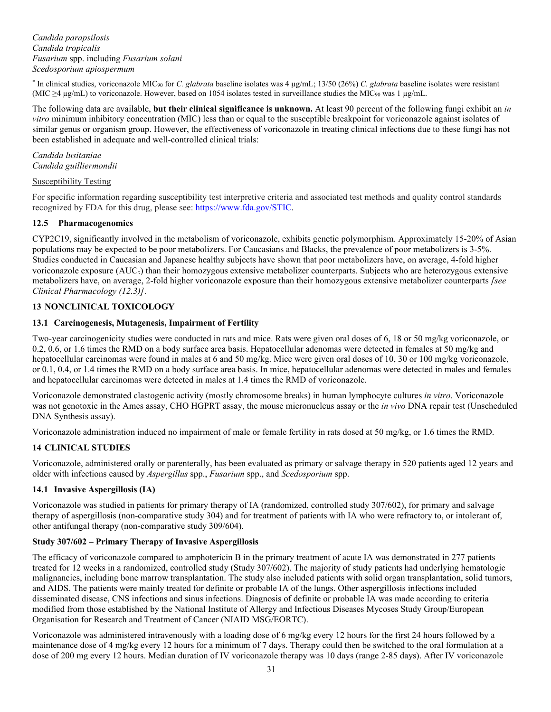*Candida parapsilosis Candida tropicalis Fusarium* spp. including *Fusarium solani Scedosporium apiospermum*

\* In clinical studies, voriconazole MIC<sup>90</sup> for *C. glabrata* baseline isolates was 4 µg/mL; 13/50 (26%) *C. glabrata* baseline isolates were resistant (MIC ≥4 µg/mL) to voriconazole. However, based on 1054 isolates tested in surveillance studies the MIC<sup>90</sup> was 1 µg/mL.

The following data are available, **but their clinical significance is unknown.** At least 90 percent of the following fungi exhibit an *in vitro* minimum inhibitory concentration (MIC) less than or equal to the susceptible breakpoint for voriconazole against isolates of similar genus or organism group. However, the effectiveness of voriconazole in treating clinical infections due to these fungi has not been established in adequate and well-controlled clinical trials:

### *Candida lusitaniae Candida guilliermondii*

### Susceptibility Testing

For specific information regarding susceptibility test interpretive criteria and associated test methods and quality control standards recognized by FDA for this drug, please see:<https://www.fda.gov/STIC>.

# **12.5 Pharmacogenomics**

CYP2C19, significantly involved in the metabolism of voriconazole, exhibits genetic polymorphism. Approximately 15-20% of Asian populations may be expected to be poor metabolizers. For Caucasians and Blacks, the prevalence of poor metabolizers is 3-5%. Studies conducted in Caucasian and Japanese healthy subjects have shown that poor metabolizers have, on average, 4-fold higher voriconazole exposure  $(AUC<sub>1</sub>)$  than their homozygous extensive metabolizer counterparts. Subjects who are heterozygous extensive metabolizers have, on average, 2-fold higher voriconazole exposure than their homozygous extensive metabolizer counterparts *[see Clinical Pharmacology (12.3)]*.

# **13 NONCLINICAL TOXICOLOGY**

### **13.1 Carcinogenesis, Mutagenesis, Impairment of Fertility**

Two-year carcinogenicity studies were conducted in rats and mice. Rats were given oral doses of 6, 18 or 50 mg/kg voriconazole, or 0.2, 0.6, or 1.6 times the RMD on a body surface area basis. Hepatocellular adenomas were detected in females at 50 mg/kg and hepatocellular carcinomas were found in males at 6 and 50 mg/kg. Mice were given oral doses of 10, 30 or 100 mg/kg voriconazole, or 0.1, 0.4, or 1.4 times the RMD on a body surface area basis. In mice, hepatocellular adenomas were detected in males and females and hepatocellular carcinomas were detected in males at 1.4 times the RMD of voriconazole.

Voriconazole demonstrated clastogenic activity (mostly chromosome breaks) in human lymphocyte cultures *in vitro*. Voriconazole was not genotoxic in the Ames assay, CHO HGPRT assay, the mouse micronucleus assay or the *in vivo* DNA repair test (Unscheduled DNA Synthesis assay).

Voriconazole administration induced no impairment of male or female fertility in rats dosed at 50 mg/kg, or 1.6 times the RMD.

# **14 CLINICAL STUDIES**

Voriconazole, administered orally or parenterally, has been evaluated as primary or salvage therapy in 520 patients aged 12 years and older with infections caused by *Aspergillus* spp., *Fusarium* spp., and *Scedosporium* spp.

# **14.1 Invasive Aspergillosis (IA)**

Voriconazole was studied in patients for primary therapy of IA (randomized, controlled study 307/602), for primary and salvage therapy of aspergillosis (non-comparative study 304) and for treatment of patients with IA who were refractory to, or intolerant of, other antifungal therapy (non-comparative study 309/604).

# **Study 307/602 – Primary Therapy of Invasive Aspergillosis**

The efficacy of voriconazole compared to amphotericin B in the primary treatment of acute IA was demonstrated in 277 patients treated for 12 weeks in a randomized, controlled study (Study 307/602). The majority of study patients had underlying hematologic malignancies, including bone marrow transplantation. The study also included patients with solid organ transplantation, solid tumors, and AIDS. The patients were mainly treated for definite or probable IA of the lungs. Other aspergillosis infections included disseminated disease, CNS infections and sinus infections. Diagnosis of definite or probable IA was made according to criteria modified from those established by the National Institute of Allergy and Infectious Diseases Mycoses Study Group/European Organisation for Research and Treatment of Cancer (NIAID MSG/EORTC).

Voriconazole was administered intravenously with a loading dose of 6 mg/kg every 12 hours for the first 24 hours followed by a maintenance dose of 4 mg/kg every 12 hours for a minimum of 7 days. Therapy could then be switched to the oral formulation at a dose of 200 mg every 12 hours. Median duration of IV voriconazole therapy was 10 days (range 2-85 days). After IV voriconazole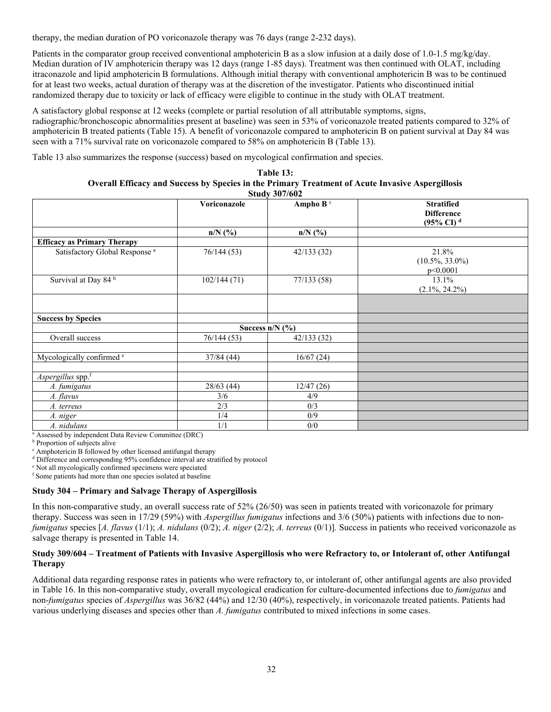therapy, the median duration of PO voriconazole therapy was 76 days (range 2-232 days).

Patients in the comparator group received conventional amphotericin B as a slow infusion at a daily dose of 1.0-1.5 mg/kg/day. Median duration of IV amphotericin therapy was 12 days (range 1-85 days). Treatment was then continued with OLAT, including itraconazole and lipid amphotericin B formulations. Although initial therapy with conventional amphotericin B was to be continued for at least two weeks, actual duration of therapy was at the discretion of the investigator. Patients who discontinued initial randomized therapy due to toxicity or lack of efficacy were eligible to continue in the study with OLAT treatment.

A satisfactory global response at 12 weeks (complete or partial resolution of all attributable symptoms, signs, radiographic/bronchoscopic abnormalities present at baseline) was seen in 53% of voriconazole treated patients compared to 32% of amphotericin B treated patients (Table 15). A benefit of voriconazole compared to amphotericin B on patient survival at Day 84 was seen with a 71% survival rate on voriconazole compared to 58% on amphotericin B (Table 13).

Table 13 also summarizes the response (success) based on mycological confirmation and species.

| Table 13:                                                                                        |
|--------------------------------------------------------------------------------------------------|
| Overall Efficacy and Success by Species in the Primary Treatment of Acute Invasive Aspergillosis |
| <b>Study 307/602</b>                                                                             |

|                                           |                   | 00001 001/00 <del>2</del> |                                                                            |
|-------------------------------------------|-------------------|---------------------------|----------------------------------------------------------------------------|
|                                           | Voriconazole      | Ampho B <sup>c</sup>      | <b>Stratified</b><br><b>Difference</b><br>$(95\% \text{ CI})$ <sup>d</sup> |
|                                           | $n/N$ (%)         | $n/N$ (%)                 |                                                                            |
| <b>Efficacy as Primary Therapy</b>        |                   |                           |                                                                            |
| Satisfactory Global Response <sup>a</sup> | 76/144(53)        | 42/133(32)                | 21.8%<br>$(10.5\%, 33.0\%)$<br>p<0.0001                                    |
| Survival at Day 84 <sup>b</sup>           | 102/144(71)       | 77/133(58)                | 13.1%<br>$(2.1\%, 24.2\%)$                                                 |
| <b>Success by Species</b>                 |                   |                           |                                                                            |
|                                           | Success $n/N$ (%) |                           |                                                                            |
| Overall success                           | 76/144 (53)       | 42/133(32)                |                                                                            |
| Mycologically confirmed <sup>e</sup>      | 37/84(44)         | 16/67(24)                 |                                                                            |
| Aspergillus spp.f                         |                   |                           |                                                                            |
| A. fumigatus                              | 28/63(44)         | 12/47(26)                 |                                                                            |
| A. flavus                                 | 3/6               | 4/9                       |                                                                            |
| A. terreus                                | 2/3               | 0/3                       |                                                                            |
| A. niger                                  | 1/4               | 0/9                       |                                                                            |
| A. nidulans                               | 1/1               | 0/0                       |                                                                            |

<sup>a</sup> Assessed by independent Data Review Committee (DRC)

**b** Proportion of subjects alive

<sup>c</sup> Amphotericin B followed by other licensed antifungal therapy

<sup>d</sup> Difference and corresponding 95% confidence interval are stratified by protocol

<sup>e</sup> Not all mycologically confirmed specimens were speciated

<sup>f</sup> Some patients had more than one species isolated at baseline

# **Study 304 – Primary and Salvage Therapy of Aspergillosis**

In this non-comparative study, an overall success rate of 52% (26/50) was seen in patients treated with voriconazole for primary therapy. Success was seen in 17/29 (59%) with *Aspergillus fumigatus* infections and 3/6 (50%) patients with infections due to non*fumigatus* species [*A. flavus* (1/1); *A. nidulans* (0/2); *A. niger* (2/2); *A. terreus* (0/1)]*.* Success in patients who received voriconazole as salvage therapy is presented in Table 14.

# **Study 309/604 – Treatment of Patients with Invasive Aspergillosis who were Refractory to, or Intolerant of, other Antifungal Therapy**

Additional data regarding response rates in patients who were refractory to, or intolerant of, other antifungal agents are also provided in Table 16. In this non-comparative study, overall mycological eradication for culture-documented infections due to *fumigatus* and non-*fumigatus* species of *Aspergillus* was 36/82 (44%) and 12/30 (40%), respectively, in voriconazole treated patients. Patients had various underlying diseases and species other than *A. fumigatus* contributed to mixed infections in some cases.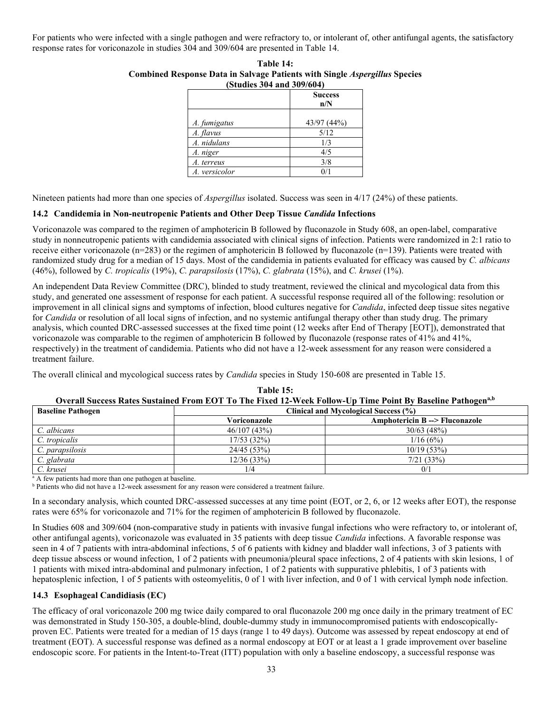For patients who were infected with a single pathogen and were refractory to, or intolerant of, other antifungal agents, the satisfactory response rates for voriconazole in studies 304 and 309/604 are presented in Table 14.

| (Studies 304 and 309/604) |             |  |
|---------------------------|-------------|--|
| <b>Success</b><br>n/N     |             |  |
| A. fumigatus              | 43/97 (44%) |  |
| A. flavus                 | 5/12        |  |
| A. nidulans               | 1/3         |  |
| A. niger                  | 4/5         |  |
| A. terreus                | 3/8         |  |
| A. versicolor             |             |  |

| Table 14:                                                                                                                                                                                                                                                                                                                          |  |  |  |
|------------------------------------------------------------------------------------------------------------------------------------------------------------------------------------------------------------------------------------------------------------------------------------------------------------------------------------|--|--|--|
| <b>Combined Response Data in Salvage Patients with Single Aspergillus Species</b>                                                                                                                                                                                                                                                  |  |  |  |
| $\mathbf{P}$ $\mathbf{P}$ $\mathbf{P}$ $\mathbf{P}$ $\mathbf{P}$ $\mathbf{P}$ $\mathbf{P}$ $\mathbf{P}$ $\mathbf{P}$ $\mathbf{P}$ $\mathbf{P}$ $\mathbf{P}$ $\mathbf{P}$ $\mathbf{P}$ $\mathbf{P}$ $\mathbf{P}$ $\mathbf{P}$ $\mathbf{P}$ $\mathbf{P}$ $\mathbf{P}$ $\mathbf{P}$ $\mathbf{P}$ $\mathbf{P}$ $\mathbf{P}$ $\mathbf{$ |  |  |  |

Nineteen patients had more than one species of *Aspergillus* isolated. Success was seen in 4/17 (24%) of these patients.

### **14.2 Candidemia in Non-neutropenic Patients and Other Deep Tissue** *Candida* **Infections**

Voriconazole was compared to the regimen of amphotericin B followed by fluconazole in Study 608, an open-label, comparative study in nonneutropenic patients with candidemia associated with clinical signs of infection. Patients were randomized in 2:1 ratio to receive either voriconazole (n=283) or the regimen of amphotericin B followed by fluconazole (n=139). Patients were treated with randomized study drug for a median of 15 days. Most of the candidemia in patients evaluated for efficacy was caused by *C. albicans* (46%), followed by *C. tropicalis* (19%), *C. parapsilosis* (17%), *C. glabrata* (15%), and *C. krusei* (1%).

An independent Data Review Committee (DRC), blinded to study treatment, reviewed the clinical and mycological data from this study, and generated one assessment of response for each patient. A successful response required all of the following: resolution or improvement in all clinical signs and symptoms of infection, blood cultures negative for *Candida*, infected deep tissue sites negative for *Candida* or resolution of all local signs of infection, and no systemic antifungal therapy other than study drug. The primary analysis, which counted DRC-assessed successes at the fixed time point (12 weeks after End of Therapy [EOT]), demonstrated that voriconazole was comparable to the regimen of amphotericin B followed by fluconazole (response rates of 41% and 41%, respectively) in the treatment of candidemia. Patients who did not have a 12-week assessment for any reason were considered a treatment failure.

The overall clinical and mycological success rates by *Candida* species in Study 150-608 are presented in Table 15.

| <b>Baseline Pathogen</b> |                                                          | O veran success isancs sustained from EOT To The Fixed 12-77 centrum -OD Thine Follow Daschire Fathogen<br>Clinical and Mycological Success (%) |  |  |  |
|--------------------------|----------------------------------------------------------|-------------------------------------------------------------------------------------------------------------------------------------------------|--|--|--|
|                          | Voriconazole<br><b>Amphotericin B --&gt; Fluconazole</b> |                                                                                                                                                 |  |  |  |
| C. albicans              | 46/107(43%)                                              | 30/63(48%)                                                                                                                                      |  |  |  |
| C. tropicalis            | 17/53(32%)                                               | 1/16(6%)                                                                                                                                        |  |  |  |
| C. parapsilosis          | 24/45(53%)                                               | 10/19(53%)                                                                                                                                      |  |  |  |
| C. glabrata              | 12/36 (33%)                                              | 7/21(33%)                                                                                                                                       |  |  |  |
| C. krusei                | 1/4                                                      | 0/1                                                                                                                                             |  |  |  |

### **Table 15: Overall Success Rates Sustained From EOT To The Fixed 12-Week Follow-Up Time Point By Baseline Pathogena,b**

 $\overline{A}$  A few patients had more than one pathogen at baseline.

<sup>b</sup> Patients who did not have a 12-week assessment for any reason were considered a treatment failure.

In a secondary analysis, which counted DRC-assessed successes at any time point (EOT, or 2, 6, or 12 weeks after EOT), the response rates were 65% for voriconazole and 71% for the regimen of amphotericin B followed by fluconazole.

In Studies 608 and 309/604 (non-comparative study in patients with invasive fungal infections who were refractory to, or intolerant of, other antifungal agents), voriconazole was evaluated in 35 patients with deep tissue *Candida* infections. A favorable response was seen in 4 of 7 patients with intra-abdominal infections, 5 of 6 patients with kidney and bladder wall infections, 3 of 3 patients with deep tissue abscess or wound infection, 1 of 2 patients with pneumonia/pleural space infections, 2 of 4 patients with skin lesions, 1 of 1 patients with mixed intra-abdominal and pulmonary infection, 1 of 2 patients with suppurative phlebitis, 1 of 3 patients with hepatosplenic infection, 1 of 5 patients with osteomyelitis, 0 of 1 with liver infection, and 0 of 1 with cervical lymph node infection.

# **14.3 Esophageal Candidiasis (EC)**

The efficacy of oral voriconazole 200 mg twice daily compared to oral fluconazole 200 mg once daily in the primary treatment of EC was demonstrated in Study 150-305, a double-blind, double-dummy study in immunocompromised patients with endoscopicallyproven EC. Patients were treated for a median of 15 days (range 1 to 49 days). Outcome was assessed by repeat endoscopy at end of treatment (EOT). A successful response was defined as a normal endoscopy at EOT or at least a 1 grade improvement over baseline endoscopic score. For patients in the Intent-to-Treat (ITT) population with only a baseline endoscopy, a successful response was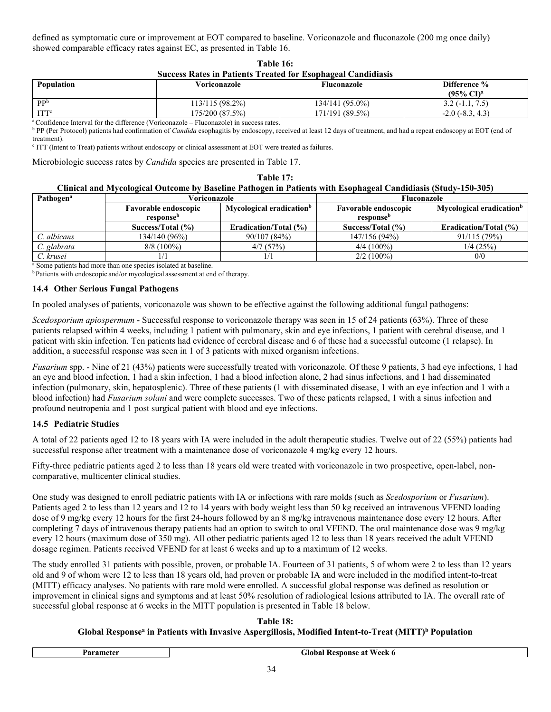defined as symptomatic cure or improvement at EOT compared to baseline. Voriconazole and fluconazole (200 mg once daily) showed comparable efficacy rates against EC, as presented in Table 16.

| Table 16:                                                           |
|---------------------------------------------------------------------|
| <b>Success Rates in Patients Treated for Esophageal Candidiasis</b> |

| <b>Population</b> | Voriconazole    | Fluconazole     | Difference %<br>$(95\% \text{ CI})^{\text{a}}$ |
|-------------------|-----------------|-----------------|------------------------------------------------|
| $\mathbf{p}$      | 113/115 (98.2%) | 134/141 (95.0%) | $22(-1.1, 1.0, 1.0)$                           |
| ITT <sup>c</sup>  | 175/200 (87.5%) | 171/191 (89.5%) | $.4.3^{\circ}$<br>$-2.0$ ( $-8.3$ )            |

Confidence Interval for the difference (Voriconazole – Fluconazole) in success rates.

<sup>b</sup> PP (Per Protocol) patients had confirmation of *Candida* esophagitis by endoscopy, received at least 12 days of treatment, and had a repeat endoscopy at EOT (end of treatment).

c ITT (Intent to Treat) patients without endoscopy or clinical assessment at EOT were treated as failures.

Microbiologic success rates by *Candida* species are presented in Table 17.

### **Table 17: Clinical and Mycological Outcome by Baseline Pathogen in Patients with Esophageal Candidiasis (Study-150-305)**

| <b>Pathogen</b> <sup>a</sup> | Voriconazole                                                        |                              | Fluconazole                 |                                      |
|------------------------------|---------------------------------------------------------------------|------------------------------|-----------------------------|--------------------------------------|
|                              | Mycological eradication <sup>b</sup><br><b>Favorable endoscopic</b> |                              | <b>Favorable endoscopic</b> | Mycological eradication <sup>b</sup> |
|                              | response <sup>b</sup>                                               |                              | response <sup>b</sup>       |                                      |
|                              | Success/Total $(\% )$                                               | <b>Eradication/Total (%)</b> | Success/Total (%)           | <b>Eradication/Total (%)</b>         |
| C. albicans                  | 134/140 (96%)                                                       | 90/107(84%)                  | 147/156 (94%)               | 91/115(79%)                          |
| C. glabrata                  | $8/8(100\%)$                                                        | 4/7(57%)                     | $4/4(100\%)$                | 1/4(25%)                             |
| C. krusei                    |                                                                     |                              | $2/2(100\%)$                | 0/0                                  |

<sup>a</sup> Some patients had more than one species isolated at baseline.

**b** Patients with endoscopic and/or mycological assessment at end of therapy.

### **14.4 Other Serious Fungal Pathogens**

In pooled analyses of patients, voriconazole was shown to be effective against the following additional fungal pathogens:

*Scedosporium apiospermum* - Successful response to voriconazole therapy was seen in 15 of 24 patients (63%). Three of these patients relapsed within 4 weeks, including 1 patient with pulmonary, skin and eye infections, 1 patient with cerebral disease, and 1 patient with skin infection. Ten patients had evidence of cerebral disease and 6 of these had a successful outcome (1 relapse). In addition, a successful response was seen in 1 of 3 patients with mixed organism infections.

*Fusarium* spp. - Nine of 21 (43%) patients were successfully treated with voriconazole. Of these 9 patients, 3 had eye infections, 1 had an eye and blood infection, 1 had a skin infection, 1 had a blood infection alone, 2 had sinus infections, and 1 had disseminated infection (pulmonary, skin, hepatosplenic). Three of these patients (1 with disseminated disease, 1 with an eye infection and 1 with a blood infection) had *Fusarium solani* and were complete successes. Two of these patients relapsed, 1 with a sinus infection and profound neutropenia and 1 post surgical patient with blood and eye infections.

# **14.5 Pediatric Studies**

A total of 22 patients aged 12 to 18 years with IA were included in the adult therapeutic studies. Twelve out of 22 (55%) patients had successful response after treatment with a maintenance dose of voriconazole 4 mg/kg every 12 hours.

Fifty-three pediatric patients aged 2 to less than 18 years old were treated with voriconazole in two prospective, open-label, noncomparative, multicenter clinical studies.

One study was designed to enroll pediatric patients with IA or infections with rare molds (such as *Scedosporium* or *Fusarium*). Patients aged 2 to less than 12 years and 12 to 14 years with body weight less than 50 kg received an intravenous VFEND loading dose of 9 mg/kg every 12 hours for the first 24-hours followed by an 8 mg/kg intravenous maintenance dose every 12 hours. After completing 7 days of intravenous therapy patients had an option to switch to oral VFEND. The oral maintenance dose was 9 mg/kg every 12 hours (maximum dose of 350 mg). All other pediatric patients aged 12 to less than 18 years received the adult VFEND dosage regimen. Patients received VFEND for at least 6 weeks and up to a maximum of 12 weeks.

The study enrolled 31 patients with possible, proven, or probable IA. Fourteen of 31 patients, 5 of whom were 2 to less than 12 years old and 9 of whom were 12 to less than 18 years old, had proven or probable IA and were included in the modified intent-to-treat (MITT) efficacy analyses. No patients with rare mold were enrolled. A successful global response was defined as resolution or improvement in clinical signs and symptoms and at least 50% resolution of radiological lesions attributed to IA. The overall rate of successful global response at 6 weeks in the MITT population is presented in Table 18 below.

**Table 18: Global Response<sup>a</sup> in Patients with Invasive Aspergillosis, Modified Intent-to-Treat (MITT) <sup>b</sup> Population**

**Parameter Clobal Response at Week 6 Global Response at Week 6**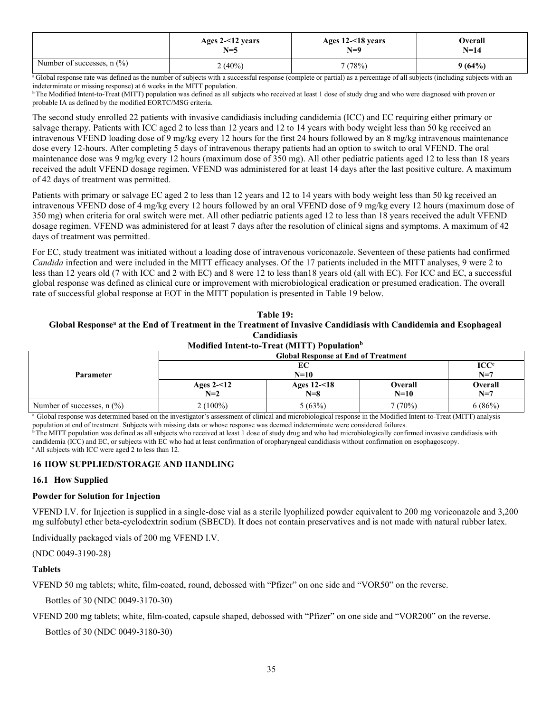|                              | Ages $2 - 12$ years | Ages 12-<18 years | <b>Dverall</b> |
|------------------------------|---------------------|-------------------|----------------|
|                              | $N=5$               | $N=9$             | $N=14$         |
| Number of successes, $n$ (%) | $(40\%)$            | 7 (78%)           | 9(64%)         |

<sup>a</sup>Global response rate was defined as the number of subjects with a successful response (complete or partial) as a percentage of all subjects (including subjects with an indeterminate or missing response) at 6 weeks in the MITT population.

<sup>b</sup>The Modified Intent-to-Treat (MITT) population was defined as all subjects who received at least 1 dose of study drug and who were diagnosed with proven or probable IA as defined by the modified EORTC/MSG criteria.

The second study enrolled 22 patients with invasive candidiasis including candidemia (ICC) and EC requiring either primary or salvage therapy. Patients with ICC aged 2 to less than 12 years and 12 to 14 years with body weight less than 50 kg received an intravenous VFEND loading dose of 9 mg/kg every 12 hours for the first 24 hours followed by an 8 mg/kg intravenous maintenance dose every 12-hours. After completing 5 days of intravenous therapy patients had an option to switch to oral VFEND. The oral maintenance dose was 9 mg/kg every 12 hours (maximum dose of 350 mg). All other pediatric patients aged 12 to less than 18 years received the adult VFEND dosage regimen. VFEND was administered for at least 14 days after the last positive culture. A maximum of 42 days of treatment was permitted.

Patients with primary or salvage EC aged 2 to less than 12 years and 12 to 14 years with body weight less than 50 kg received an intravenous VFEND dose of 4 mg/kg every 12 hours followed by an oral VFEND dose of 9 mg/kg every 12 hours (maximum dose of 350 mg) when criteria for oral switch were met. All other pediatric patients aged 12 to less than 18 years received the adult VFEND dosage regimen. VFEND was administered for at least 7 days after the resolution of clinical signs and symptoms. A maximum of 42 days of treatment was permitted.

For EC, study treatment was initiated without a loading dose of intravenous voriconazole. Seventeen of these patients had confirmed *Candida* infection and were included in the MITT efficacy analyses. Of the 17 patients included in the MITT analyses, 9 were 2 to less than 12 years old (7 with ICC and 2 with EC) and 8 were 12 to less than18 years old (all with EC). For ICC and EC, a successful global response was defined as clinical cure or improvement with microbiological eradication or presumed eradication. The overall rate of successful global response at EOT in the MITT population is presented in Table 19 below.

# **Table 19: Global Response<sup>a</sup> at the End of Treatment in the Treatment of Invasive Candidiasis with Candidemia and Esophageal Candidiasis**

| Modified Intent-to-Treat (MITT) Population <sup>b</sup> |                                            |                |                |         |  |  |  |
|---------------------------------------------------------|--------------------------------------------|----------------|----------------|---------|--|--|--|
| <b>Parameter</b>                                        | <b>Global Response at End of Treatment</b> |                |                |         |  |  |  |
|                                                         |                                            | $\bf{ICC}^c$   |                |         |  |  |  |
|                                                         | $N=10$                                     |                |                | $N=7$   |  |  |  |
|                                                         | Ages $2 - 12$                              | Ages $12 - 18$ | <b>Overall</b> | Overall |  |  |  |
|                                                         | $N=2$                                      | $N=8$          | $N=10$         | $N=7$   |  |  |  |
| Number of successes, $n$ (%)                            | $2(100\%)$                                 | 5(63%)         | 7(70%)         | 6(86%)  |  |  |  |

<sup>a</sup> Global response was determined based on the investigator's assessment of clinical and microbiological response in the Modified Intent-to-Treat (MITT) analysis population at end of treatment. Subjects with missing data or whose response was deemed indeterminate were considered failures.

<sup>b</sup>The MITT population was defined as all subjects who received at least 1 dose of study drug and who had microbiologically confirmed invasive candidiasis with candidemia (ICC) and EC, or subjects with EC who had at least confirmation of oropharyngeal candidiasis without confirmation on esophagoscopy. <sup>c</sup> All subjects with ICC were aged 2 to less than 12.

# **16 HOW SUPPLIED/STORAGE AND HANDLING**

# **16.1 How Supplied**

# **Powder for Solution for Injection**

VFEND I.V. for Injection is supplied in a single-dose vial as a sterile lyophilized powder equivalent to 200 mg voriconazole and 3,200 mg sulfobutyl ether beta-cyclodextrin sodium (SBECD). It does not contain preservatives and is not made with natural rubber latex.

Individually packaged vials of 200 mg VFEND I.V.

(NDC 0049-3190-28)

# **Tablets**

VFEND 50 mg tablets; white, film-coated, round, debossed with "Pfizer" on one side and "VOR50" on the reverse.

Bottles of 30 (NDC 0049-3170-30)

VFEND 200 mg tablets; white, film-coated, capsule shaped, debossed with "Pfizer" on one side and "VOR200" on the reverse.

Bottles of 30 (NDC 0049-3180-30)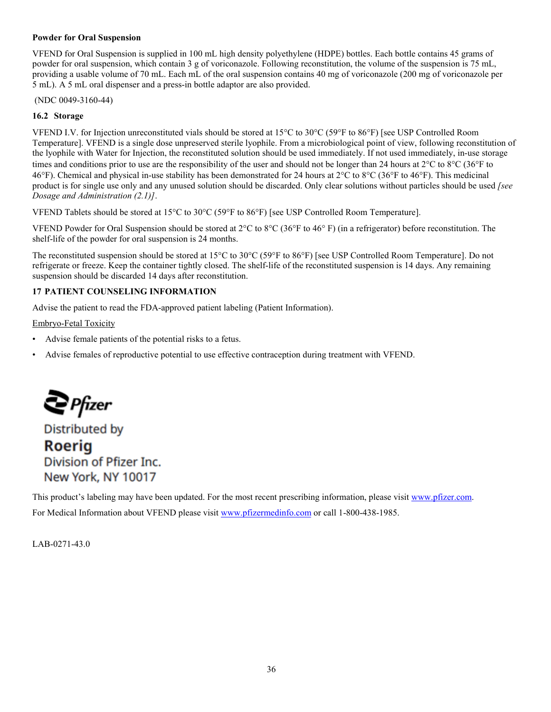# **Powder for Oral Suspension**

VFEND for Oral Suspension is supplied in 100 mL high density polyethylene (HDPE) bottles. Each bottle contains 45 grams of powder for oral suspension, which contain 3 g of voriconazole. Following reconstitution, the volume of the suspension is 75 mL, providing a usable volume of 70 mL. Each mL of the oral suspension contains 40 mg of voriconazole (200 mg of voriconazole per 5 mL). A 5 mL oral dispenser and a press-in bottle adaptor are also provided.

(NDC 0049-3160-44)

# **16.2 Storage**

VFEND I.V. for Injection unreconstituted vials should be stored at 15 $\degree$ C to 30 $\degree$ C (59 $\degree$ F to 86 $\degree$ F) [see USP Controlled Room Temperature]. VFEND is a single dose unpreserved sterile lyophile. From a microbiological point of view, following reconstitution of the lyophile with Water for Injection, the reconstituted solution should be used immediately. If not used immediately, in-use storage times and conditions prior to use are the responsibility of the user and should not be longer than 24 hours at  $2^{\circ}C$  to  $8^{\circ}C$  (36°F to 46°F). Chemical and physical in-use stability has been demonstrated for 24 hours at  $2^{\circ}$ C to  $8^{\circ}$ C (36°F to 46°F). This medicinal product is for single use only and any unused solution should be discarded. Only clear solutions without particles should be used *[see Dosage and Administration (2.1)]*.

VFEND Tablets should be stored at 15°C to 30°C (59°F to 86°F) [see USP Controlled Room Temperature].

VFEND Powder for Oral Suspension should be stored at  $2^{\circ}C$  to  $8^{\circ}C$  (36 $^{\circ}F$  to 46 $^{\circ}F$ ) (in a refrigerator) before reconstitution. The shelf-life of the powder for oral suspension is 24 months.

The reconstituted suspension should be stored at 15 $^{\circ}$ C to 30 $^{\circ}$ C (59 $^{\circ}$ F to 86 $^{\circ}$ F) [see USP Controlled Room Temperature]. Do not refrigerate or freeze. Keep the container tightly closed. The shelf-life of the reconstituted suspension is 14 days. Any remaining suspension should be discarded 14 days after reconstitution.

# **17 PATIENT COUNSELING INFORMATION**

Advise the patient to read the FDA-approved patient labeling (Patient Information).

Embryo-Fetal Toxicity

- Advise female patients of the potential risks to a fetus.
- Advise females of reproductive potential to use effective contraception during treatment with VFEND.

 $\bigcirc$  Pfizer

**Distributed by Roeria** Division of Pfizer Inc. New York, NY 10017

This product's labeling may have been updated. For the most recent prescribing information, please visit [www.pfizer.com.](http://www.pfizer.com/) For Medical Information about VFEND please visit [www.pfizermedinfo.com](https://www.pfizermedinfo.com/) or call 1-800-438-1985.

LAB-0271-43.0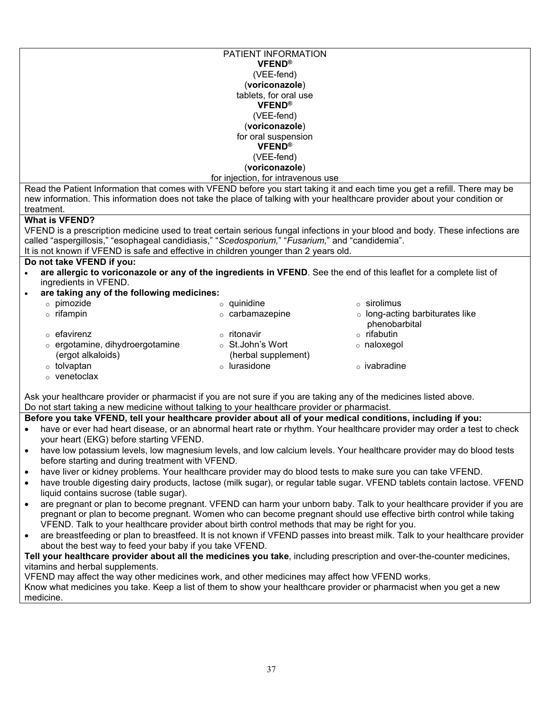|                                                                                                                                                                               | PATIENT INFORMATION                |                                                                                                                               |  |  |  |  |
|-------------------------------------------------------------------------------------------------------------------------------------------------------------------------------|------------------------------------|-------------------------------------------------------------------------------------------------------------------------------|--|--|--|--|
|                                                                                                                                                                               | <b>VFEND®</b>                      |                                                                                                                               |  |  |  |  |
|                                                                                                                                                                               | (VEE-fend)                         |                                                                                                                               |  |  |  |  |
|                                                                                                                                                                               | (voriconazole)                     |                                                                                                                               |  |  |  |  |
|                                                                                                                                                                               | tablets, for oral use              |                                                                                                                               |  |  |  |  |
|                                                                                                                                                                               | <b>VFEND®</b>                      |                                                                                                                               |  |  |  |  |
|                                                                                                                                                                               | (VEE-fend)                         |                                                                                                                               |  |  |  |  |
|                                                                                                                                                                               | (voriconazole)                     |                                                                                                                               |  |  |  |  |
|                                                                                                                                                                               | for oral suspension                |                                                                                                                               |  |  |  |  |
|                                                                                                                                                                               | <b>VFEND®</b>                      |                                                                                                                               |  |  |  |  |
|                                                                                                                                                                               | (VEE-fend)                         |                                                                                                                               |  |  |  |  |
|                                                                                                                                                                               | (voriconazole)                     |                                                                                                                               |  |  |  |  |
|                                                                                                                                                                               | for injection, for intravenous use |                                                                                                                               |  |  |  |  |
|                                                                                                                                                                               |                                    | Read the Patient Information that comes with VFEND before you start taking it and each time you get a refill. There may be    |  |  |  |  |
| new information. This information does not take the place of talking with your healthcare provider about your condition or                                                    |                                    |                                                                                                                               |  |  |  |  |
| treatment.                                                                                                                                                                    |                                    |                                                                                                                               |  |  |  |  |
| <b>What is VFEND?</b>                                                                                                                                                         |                                    |                                                                                                                               |  |  |  |  |
|                                                                                                                                                                               |                                    | VFEND is a prescription medicine used to treat certain serious fungal infections in your blood and body. These infections are |  |  |  |  |
| called "aspergillosis," "esophageal candidiasis," "Scedosporium," "Fusarium," and "candidemia".                                                                               |                                    |                                                                                                                               |  |  |  |  |
| It is not known if VFEND is safe and effective in children younger than 2 years old.                                                                                          |                                    |                                                                                                                               |  |  |  |  |
| Do not take VFEND if you:                                                                                                                                                     |                                    |                                                                                                                               |  |  |  |  |
|                                                                                                                                                                               |                                    | are allergic to voriconazole or any of the ingredients in VFEND. See the end of this leaflet for a complete list of           |  |  |  |  |
| ingredients in VFEND.                                                                                                                                                         |                                    |                                                                                                                               |  |  |  |  |
| are taking any of the following medicines:                                                                                                                                    |                                    |                                                                                                                               |  |  |  |  |
| o pimozide                                                                                                                                                                    | $\circ$ quinidine                  | ○ sirolimus                                                                                                                   |  |  |  |  |
| $\circ$ rifampin                                                                                                                                                              | $\circ$ carbamazepine              | ○ long-acting barbiturates like                                                                                               |  |  |  |  |
|                                                                                                                                                                               |                                    | phenobarbital                                                                                                                 |  |  |  |  |
| $\circ$ efavirenz                                                                                                                                                             | $\circ$ ritonavir                  | $\circ$ rifabutin                                                                                                             |  |  |  |  |
| o ergotamine, dihydroergotamine                                                                                                                                               | ○ St.John's Wort                   | o naloxegol                                                                                                                   |  |  |  |  |
| (ergot alkaloids)                                                                                                                                                             | (herbal supplement)                |                                                                                                                               |  |  |  |  |
| $\circ$ tolvaptan                                                                                                                                                             | o lurasidone                       | $\circ$ ivabradine                                                                                                            |  |  |  |  |
| o venetoclax                                                                                                                                                                  |                                    |                                                                                                                               |  |  |  |  |
|                                                                                                                                                                               |                                    |                                                                                                                               |  |  |  |  |
| Ask your healthcare provider or pharmacist if you are not sure if you are taking any of the medicines listed above.                                                           |                                    |                                                                                                                               |  |  |  |  |
| Do not start taking a new medicine without talking to your healthcare provider or pharmacist.                                                                                 |                                    |                                                                                                                               |  |  |  |  |
| Before you take VFEND, tell your healthcare provider about all of your medical conditions, including if you:                                                                  |                                    |                                                                                                                               |  |  |  |  |
|                                                                                                                                                                               |                                    | have or ever had heart disease, or an abnormal heart rate or rhythm. Your healthcare provider may order a test to check       |  |  |  |  |
| your heart (EKG) before starting VFEND.                                                                                                                                       |                                    |                                                                                                                               |  |  |  |  |
|                                                                                                                                                                               |                                    |                                                                                                                               |  |  |  |  |
| have low potassium levels, low magnesium levels, and low calcium levels. Your healthcare provider may do blood tests<br>٠<br>before starting and during treatment with VFEND. |                                    |                                                                                                                               |  |  |  |  |
|                                                                                                                                                                               |                                    |                                                                                                                               |  |  |  |  |
| have liver or kidney problems. Your healthcare provider may do blood tests to make sure you can take VFEND.<br>$\bullet$                                                      |                                    |                                                                                                                               |  |  |  |  |
| have trouble digesting dairy products, lactose (milk sugar), or regular table sugar. VFEND tablets contain lactose. VFEND<br>$\bullet$                                        |                                    |                                                                                                                               |  |  |  |  |
| liquid contains sucrose (table sugar).                                                                                                                                        |                                    |                                                                                                                               |  |  |  |  |
| are pregnant or plan to become pregnant. VFEND can harm your unborn baby. Talk to your healthcare provider if you are<br>$\bullet$                                            |                                    |                                                                                                                               |  |  |  |  |
| pregnant or plan to become pregnant. Women who can become pregnant should use effective birth control while taking                                                            |                                    |                                                                                                                               |  |  |  |  |
| VFEND. Talk to your healthcare provider about birth control methods that may be right for you.                                                                                |                                    |                                                                                                                               |  |  |  |  |
| are breastfeeding or plan to breastfeed. It is not known if VFEND passes into breast milk. Talk to your healthcare provider<br>$\bullet$                                      |                                    |                                                                                                                               |  |  |  |  |
| about the best way to feed your baby if you take VFEND.                                                                                                                       |                                    |                                                                                                                               |  |  |  |  |
| Tell your healthcare provider about all the medicines you take, including prescription and over-the-counter medicines,                                                        |                                    |                                                                                                                               |  |  |  |  |
| vitamins and herbal supplements.<br>VEEND may affect the way other modicines work, and other modicines may affect how VEEND works                                             |                                    |                                                                                                                               |  |  |  |  |
|                                                                                                                                                                               |                                    |                                                                                                                               |  |  |  |  |

VFEND may affect the way other medicines work, and other medicines may affect how VFEND works. Know what medicines you take. Keep a list of them to show your healthcare provider or pharmacist when you get a new medicine.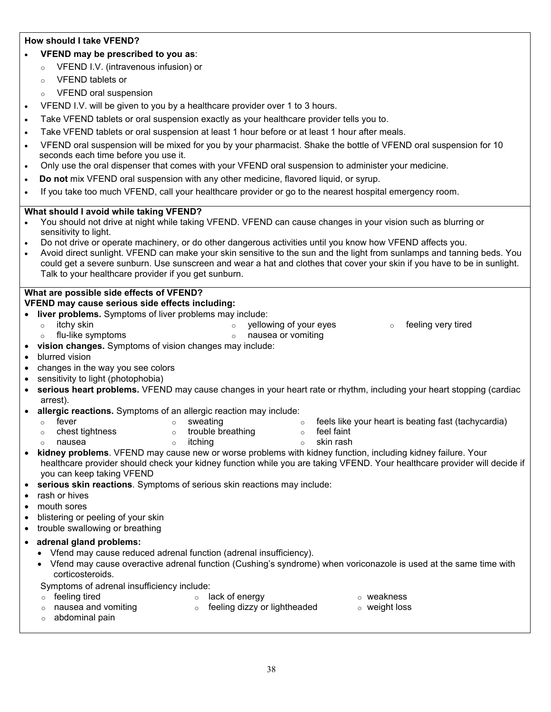# **How should I take VFEND?**

- **VFEND may be prescribed to you as**:
	- o VFEND I.V. (intravenous infusion) or
	- o VFEND tablets or
	- o VFEND oral suspension
- VFEND I.V. will be given to you by a healthcare provider over 1 to 3 hours.
- Take VFEND tablets or oral suspension exactly as your healthcare provider tells you to.
- Take VFEND tablets or oral suspension at least 1 hour before or at least 1 hour after meals.
- VFEND oral suspension will be mixed for you by your pharmacist. Shake the bottle of VFEND oral suspension for 10 seconds each time before you use it.
- Only use the oral dispenser that comes with your VFEND oral suspension to administer your medicine.
- **Do not** mix VFEND oral suspension with any other medicine, flavored liquid, or syrup.
- If you take too much VFEND, call your healthcare provider or go to the nearest hospital emergency room.

# **What should I avoid while taking VFEND?**

- You should not drive at night while taking VFEND. VFEND can cause changes in your vision such as blurring or sensitivity to light.
- Do not drive or operate machinery, or do other dangerous activities until you know how VFEND affects you.
- Avoid direct sunlight. VFEND can make your skin sensitive to the sun and the light from sunlamps and tanning beds. You could get a severe sunburn. Use sunscreen and wear a hat and clothes that cover your skin if you have to be in sunlight. Talk to your healthcare provider if you get sunburn.

# **What are possible side effects of VFEND?**

**VFEND may cause serious side effects including:** 

- **liver problems.** Symptoms of liver problems may include:  $\circ$  itchy skin or the state of yellowing of your eyes  $\circ$  feeling very tired o flu-like symptoms o nausea or vomiting **vision changes.** Symptoms of vision changes may include: blurred vision changes in the way you see colors • sensitivity to light (photophobia) **serious heart problems.** VFEND may cause changes in your heart rate or rhythm, including your heart stopping (cardiac arrest). **allergic reactions.** Symptoms of an allergic reaction may include:  $\circ$  fever  $\circ$  sweating  $\circ$  sweating  $\circ$  feels like your heart is beating fast (tachycardia)  $\circ$  chest tightness  $\circ$  trouble breathing  $\circ$  feel faint  $\circ$  nausea  $\qquad \circ$  itching  $\qquad \circ$  skin rash **kidney problems**. VFEND may cause new or worse problems with kidney function, including kidney failure. Your healthcare provider should check your kidney function while you are taking VFEND. Your healthcare provider will decide if you can keep taking VFEND **serious skin reactions**. Symptoms of serious skin reactions may include: rash or hives • mouth sores blistering or peeling of your skin • trouble swallowing or breathing **adrenal gland problems:** Vfend may cause reduced adrenal function (adrenal insufficiency). Vfend may cause overactive adrenal function (Cushing's syndrome) when voriconazole is used at the same time with corticosteroids. Symptoms of adrenal insufficiency include:  $\circ$  feeling tired  $\circ$  lack of energy  $\circ$  weakness
	- o nausea and vomiting o abdominal pain  $\circ$  feeling dizzy or lightheaded  $\circ$  weight loss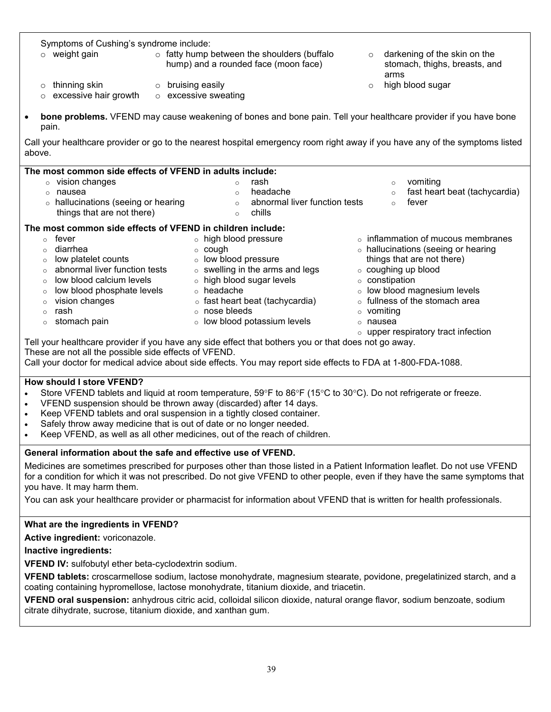| Symptoms of Cushing's syndrome include:                                                                                                |                                                   |          |                                           |  |  |  |
|----------------------------------------------------------------------------------------------------------------------------------------|---------------------------------------------------|----------|-------------------------------------------|--|--|--|
| $\circ$ weight gain                                                                                                                    | $\circ$ fatty hump between the shoulders (buffalo | $\circ$  | darkening of the skin on the              |  |  |  |
|                                                                                                                                        | hump) and a rounded face (moon face)              |          | stomach, thighs, breasts, and             |  |  |  |
|                                                                                                                                        |                                                   |          | arms                                      |  |  |  |
| thinning skin<br>O                                                                                                                     | o bruising easily                                 | $\circ$  | high blood sugar                          |  |  |  |
| excessive hair growth                                                                                                                  | o excessive sweating                              |          |                                           |  |  |  |
| bone problems. VFEND may cause weakening of bones and bone pain. Tell your healthcare provider if you have bone<br>$\bullet$<br>pain.  |                                                   |          |                                           |  |  |  |
| Call your healthcare provider or go to the nearest hospital emergency room right away if you have any of the symptoms listed<br>above. |                                                   |          |                                           |  |  |  |
| The most common side effects of VFEND in adults include:                                                                               |                                                   |          |                                           |  |  |  |
| vision changes<br>$\circ$                                                                                                              | rash<br>$\circ$                                   |          | vomiting<br>$\circ$                       |  |  |  |
| nausea<br>$\circ$                                                                                                                      | headache<br>$\circ$                               |          | fast heart beat (tachycardia)<br>$\circ$  |  |  |  |
| hallucinations (seeing or hearing<br>$\circ$                                                                                           | abnormal liver function tests<br>$\circ$          |          | fever<br>$\circ$                          |  |  |  |
| things that are not there)                                                                                                             | chills<br>$\circ$                                 |          |                                           |  |  |  |
| The most common side effects of VFEND in children include:                                                                             |                                                   |          |                                           |  |  |  |
| fever<br>$\circ$                                                                                                                       | o high blood pressure                             |          | $\circ$ inflammation of mucous membranes  |  |  |  |
| diarrhea<br>$\circ$                                                                                                                    | $\circ$ cough                                     |          | o hallucinations (seeing or hearing       |  |  |  |
| low platelet counts<br>$\circ$                                                                                                         | o low blood pressure                              |          | things that are not there)                |  |  |  |
| abnormal liver function tests<br>$\circ$                                                                                               | $\circ$ swelling in the arms and legs             |          | ○ coughing up blood                       |  |  |  |
| low blood calcium levels                                                                                                               | o high blood sugar levels                         |          | ○ constipation                            |  |  |  |
| low blood phosphate levels<br>$\circ$                                                                                                  | o headache                                        |          | o low blood magnesium levels              |  |  |  |
| vision changes<br>$\circ$                                                                                                              | ○ fast heart beat (tachycardia)<br>$\circ$        |          | fullness of the stomach area              |  |  |  |
| rash<br>$\Omega$                                                                                                                       | o nose bleeds<br>$\circ$                          | vomiting |                                           |  |  |  |
| stomach pain<br>$\circ$                                                                                                                | o low blood potassium levels<br>$\circ$           | nausea   |                                           |  |  |  |
|                                                                                                                                        |                                                   |          | $\circ$ upper respiratory tract infection |  |  |  |
| Tell your healthcare provider if you have any side effect that bothers you or that does not go away.                                   |                                                   |          |                                           |  |  |  |
| These are not all the possible side effects of VFEND.                                                                                  |                                                   |          |                                           |  |  |  |

Call your doctor for medical advice about side effects. You may report side effects to FDA at 1-800-FDA-1088.

# **How should I store VFEND?**

- Store VFEND tablets and liquid at room temperature,  $59^{\circ}F$  to  $86^{\circ}F$  (15°C to 30°C). Do not refrigerate or freeze.
- VFEND suspension should be thrown away (discarded) after 14 days.
- Keep VFEND tablets and oral suspension in a tightly closed container.
- Safely throw away medicine that is out of date or no longer needed.
- Keep VFEND, as well as all other medicines, out of the reach of children.

# **General information about the safe and effective use of VFEND.**

Medicines are sometimes prescribed for purposes other than those listed in a Patient Information leaflet. Do not use VFEND for a condition for which it was not prescribed. Do not give VFEND to other people, even if they have the same symptoms that you have. It may harm them.

You can ask your healthcare provider or pharmacist for information about VFEND that is written for health professionals.

# **What are the ingredients in VFEND?**

**Active ingredient:** voriconazole.

# **Inactive ingredients:**

**VFEND IV:** sulfobutyl ether beta-cyclodextrin sodium.

**VFEND tablets:** croscarmellose sodium, lactose monohydrate, magnesium stearate, povidone, pregelatinized starch, and a coating containing hypromellose, lactose monohydrate, titanium dioxide, and triacetin.

**VFEND oral suspension:** anhydrous citric acid, colloidal silicon dioxide, natural orange flavor, sodium benzoate, sodium citrate dihydrate, sucrose, titanium dioxide, and xanthan gum.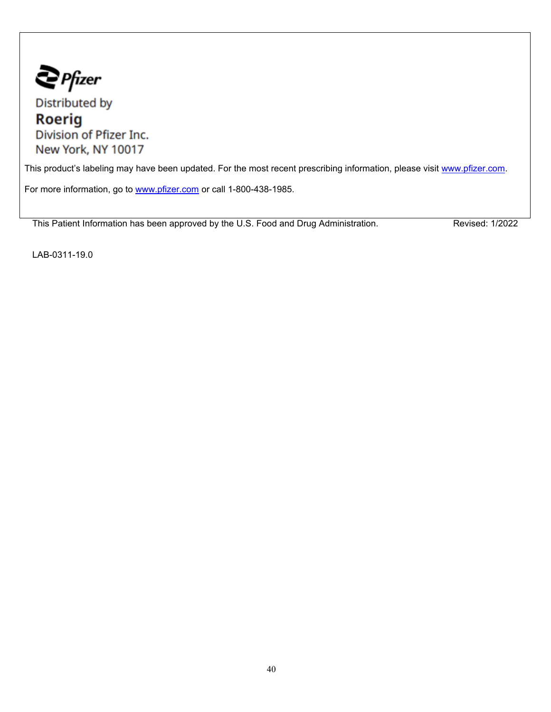$\sum$  Pfizer

Distributed by **Roerig** Division of Pfizer Inc. New York, NY 10017

This product's labeling may have been updated. For the most recent prescribing information, please visit [www.pfizer.com](http://www.pfizer.com/).

For more information, go to [www.pfizer.com](http://www.pfizer.com/) or call 1-800-438-1985.

This Patient Information has been approved by the U.S. Food and Drug Administration. Revised: 1/2022

LAB-0311-19.0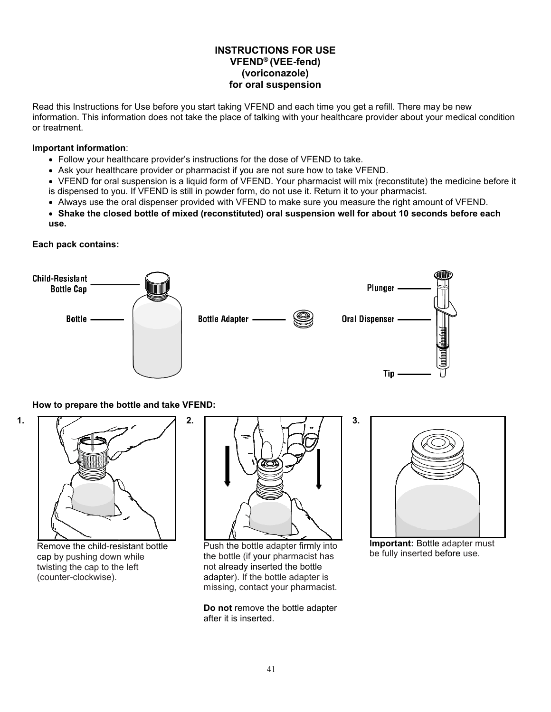# **INSTRUCTIONS FOR USE VFEND® (VEE-fend) (voriconazole) for oral suspension**

Read this Instructions for Use before you start taking VFEND and each time you get a refill. There may be new information. This information does not take the place of talking with your healthcare provider about your medical condition or treatment.

# **Important information**:

Follow your healthcare provider's instructions for the dose of VFEND to take.

**2.**

- Ask your healthcare provider or pharmacist if you are not sure how to take VFEND.
- VFEND for oral suspension is a liquid form of VFEND. Your pharmacist will mix (reconstitute) the medicine before it is dispensed to you. If VFEND is still in powder form, do not use it. Return it to your pharmacist.
- Always use the oral dispenser provided with VFEND to make sure you measure the right amount of VFEND.
- **Shake the closed bottle of mixed (reconstituted) oral suspension well for about 10 seconds before each use.**

**Each pack contains:**



**How to prepare the bottle and take VFEND:**





Remove the child-resistant bottle cap by pushing down while twisting the cap to the left (counter-clockwise).



**3.**

Push the bottle adapter firmly into the bottle (if your pharmacist has not already inserted the bottle adapter). If the bottle adapter is missing, contact your pharmacist.

**Do not** remove the bottle adapter after it is inserted.



**Important:** Bottle adapter must be fully inserted before use.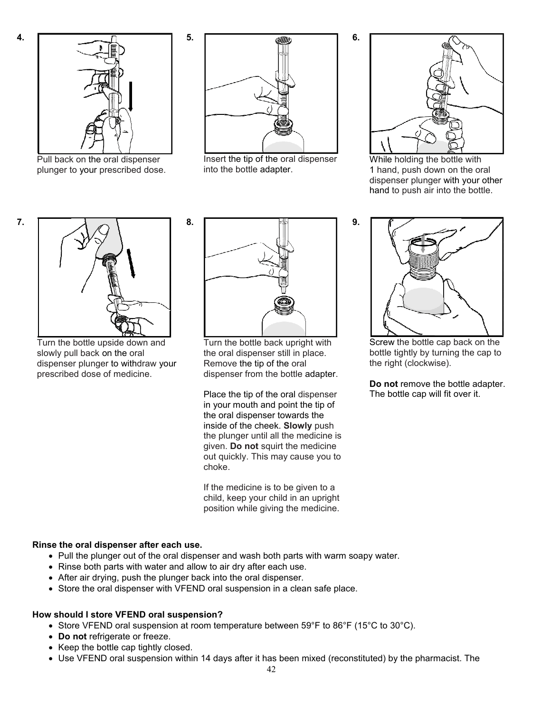**7.**



Pull back on the oral dispenser plunger to your prescribed dose.



**5.**

**8.**

Insert the tip of the oral dispenser into the bottle adapter.



**6.**

**9.**

While holding the bottle with 1 hand, push down on the oral dispenser plunger with your other hand to push air into the bottle.



Turn the bottle upside down and slowly pull back on the oral dispenser plunger to withdraw your prescribed dose of medicine.



Turn the bottle back upright with the oral dispenser still in place. Remove the tip of the oral dispenser from the bottle adapter.

Place the tip of the oral dispenser in your mouth and point the tip of the oral dispenser towards the inside of the cheek. **Slowly** push the plunger until all the medicine is given. **Do not** squirt the medicine out quickly. This may cause you to choke.

If the medicine is to be given to a child, keep your child in an upright position while giving the medicine.



Screw the bottle cap back on the bottle tightly by turning the cap to the right (clockwise).

**Do not** remove the bottle adapter. The bottle cap will fit over it.

### **Rinse the oral dispenser after each use.**

- Pull the plunger out of the oral dispenser and wash both parts with warm soapy water.
- Rinse both parts with water and allow to air dry after each use.
- After air drying, push the plunger back into the oral dispenser.
- Store the oral dispenser with VFEND oral suspension in a clean safe place.

### **How should I store VFEND oral suspension?**

- Store VFEND oral suspension at room temperature between 59°F to 86°F (15°C to 30°C).
- **Do not** refrigerate or freeze.
- Keep the bottle cap tightly closed.
- Use VFEND oral suspension within 14 days after it has been mixed (reconstituted) by the pharmacist. The